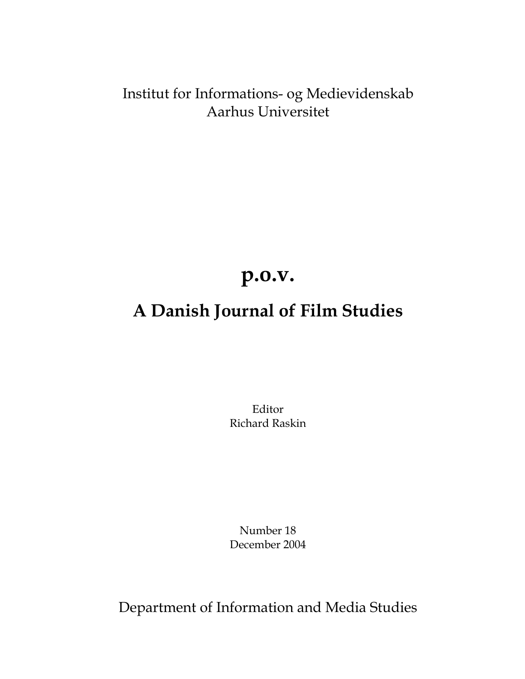### Institut for Informations- og Medievidenskab Aarhus Universitet

# **p.o.v.**

# **A Danish Journal of Film Studies**

Editor Richard Raskin

Number 18 December 2004

Department of Information and Media Studies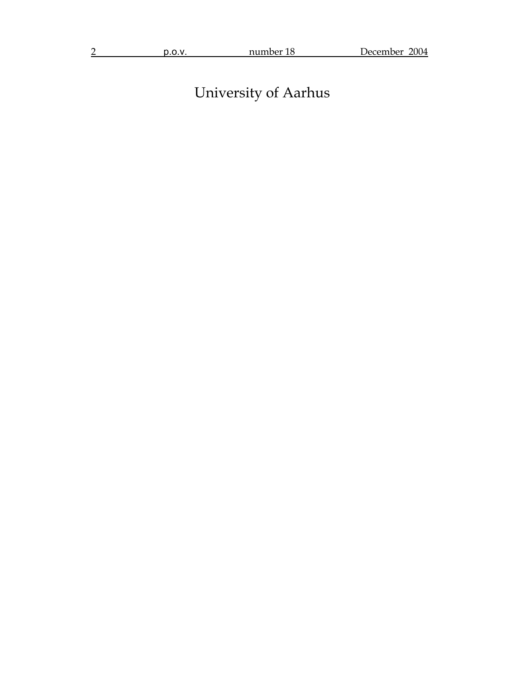| _ | ۰ |
|---|---|
|   |   |

# University of Aarhus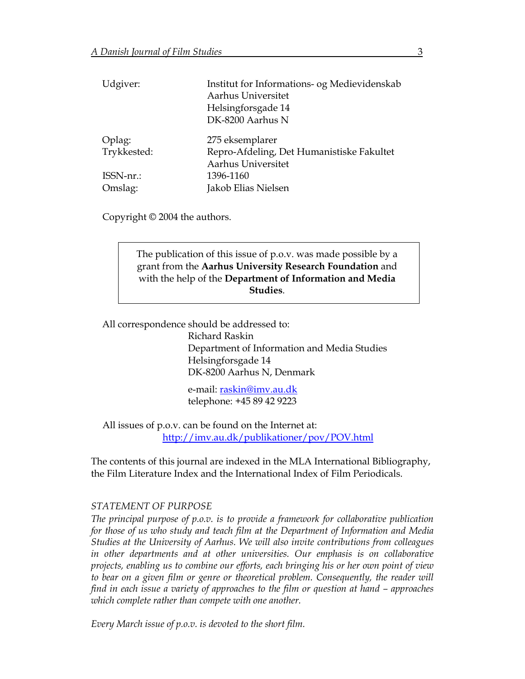| Udgiver:    | Institut for Informations- og Medievidenskab<br>Aarhus Universitet<br>Helsingforsgade 14<br>DK-8200 Aarhus N |
|-------------|--------------------------------------------------------------------------------------------------------------|
| Oplag:      | 275 eksemplarer                                                                                              |
| Trykkested: | Repro-Afdeling, Det Humanistiske Fakultet                                                                    |
|             | Aarhus Universitet                                                                                           |
| ISSN-nr.:   | 1396-1160                                                                                                    |
| Omslag:     | Jakob Elias Nielsen                                                                                          |

Copyright © 2004 the authors.

The publication of this issue of p.o.v. was made possible by a grant from the **Aarhus University Research Foundation** and with the help of the **Department of Information and Media Studies**.

All correspondence should be addressed to:

Richard Raskin Department of Information and Media Studies Helsingforsgade 14 DK-8200 Aarhus N, Denmark

e-mail: raskin@imv.au.dk telephone: +45 89 42 9223

All issues of p.o.v. can be found on the Internet at: http://imv.au.dk/publikationer/pov/POV.html

The contents of this journal are indexed in the MLA International Bibliography, the Film Literature Index and the International Index of Film Periodicals.

#### *STATEMENT OF PURPOSE*

*The principal purpose of p.o.v. is to provide a framework for collaborative publication for those of us who study and teach film at the Department of Information and Media Studies at the University of Aarhus. We will also invite contributions from colleagues in other departments and at other universities. Our emphasis is on collaborative projects, enabling us to combine our efforts, each bringing his or her own point of view to bear on a given film or genre or theoretical problem. Consequently, the reader will find in each issue a variety of approaches to the film or question at hand – approaches which complete rather than compete with one another.* 

*Every March issue of p.o.v. is devoted to the short film.*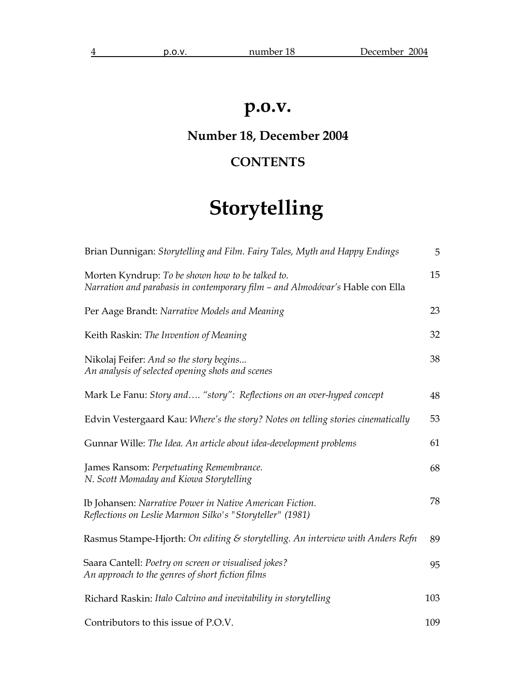## **p.o.v.**

### **Number 18, December 2004**

### **CONTENTS**

# **Storytelling**

| Brian Dunnigan: Storytelling and Film. Fairy Tales, Myth and Happy Endings                                                        | 5   |
|-----------------------------------------------------------------------------------------------------------------------------------|-----|
| Morten Kyndrup: To be shown how to be talked to.<br>Narration and parabasis in contemporary film - and Almodóvar's Hable con Ella | 15  |
| Per Aage Brandt: Narrative Models and Meaning                                                                                     | 23  |
| Keith Raskin: The Invention of Meaning                                                                                            | 32  |
| Nikolaj Feifer: And so the story begins<br>An analysis of selected opening shots and scenes                                       | 38  |
| Mark Le Fanu: Story and "story": Reflections on an over-hyped concept                                                             | 48  |
| Edvin Vestergaard Kau: Where's the story? Notes on telling stories cinematically                                                  | 53  |
| Gunnar Wille: The Idea. An article about idea-development problems                                                                | 61  |
| James Ransom: Perpetuating Remembrance.<br>N. Scott Momaday and Kiowa Storytelling                                                | 68  |
| Ib Johansen: Narrative Power in Native American Fiction.<br>Reflections on Leslie Marmon Silko's "Storyteller" (1981)             | 78  |
| Rasmus Stampe-Hjorth: On editing & storytelling. An interview with Anders Refn                                                    | 89  |
| Saara Cantell: Poetry on screen or visualised jokes?<br>An approach to the genres of short fiction films                          | 95  |
| Richard Raskin: Italo Calvino and inevitability in storytelling                                                                   | 103 |
| Contributors to this issue of P.O.V.                                                                                              | 109 |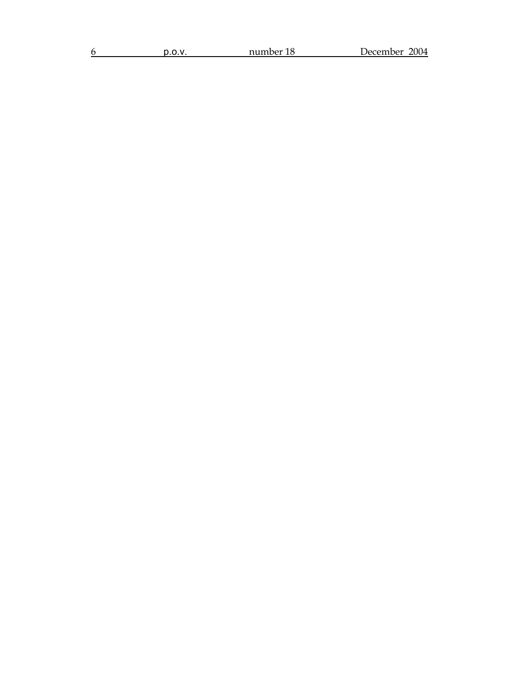| $\mathbf b$ | . . | number | 2004<br>Jecember |
|-------------|-----|--------|------------------|
|             |     |        |                  |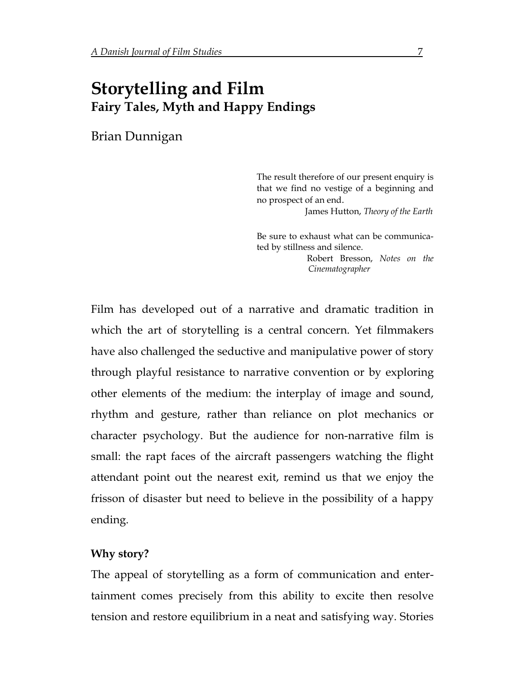### **Storytelling and Film Fairy Tales, Myth and Happy Endings**

Brian Dunnigan

The result therefore of our present enquiry is that we find no vestige of a beginning and no prospect of an end.

James Hutton, *Theory of the Earth*

Be sure to exhaust what can be communicated by stillness and silence. Robert Bresson, *Notes on the* 

*Cinematographer*

Film has developed out of a narrative and dramatic tradition in which the art of storytelling is a central concern. Yet filmmakers have also challenged the seductive and manipulative power of story through playful resistance to narrative convention or by exploring other elements of the medium: the interplay of image and sound, rhythm and gesture, rather than reliance on plot mechanics or character psychology. But the audience for non-narrative film is small: the rapt faces of the aircraft passengers watching the flight attendant point out the nearest exit, remind us that we enjoy the frisson of disaster but need to believe in the possibility of a happy ending.

#### **Why story?**

The appeal of storytelling as a form of communication and entertainment comes precisely from this ability to excite then resolve tension and restore equilibrium in a neat and satisfying way. Stories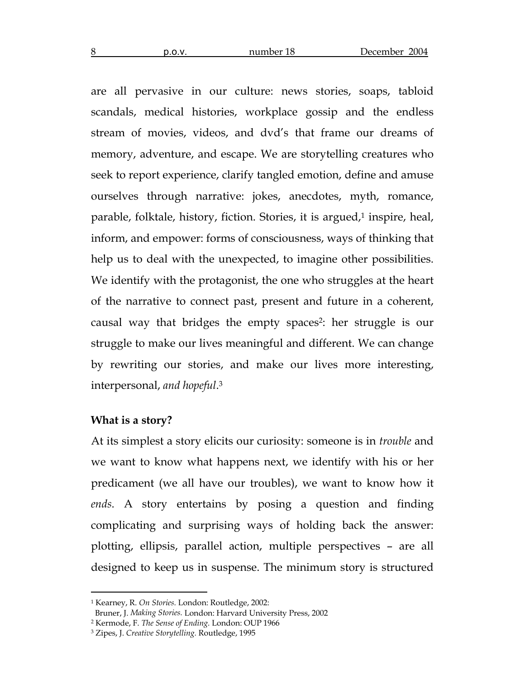are all pervasive in our culture: news stories, soaps, tabloid scandals, medical histories, workplace gossip and the endless stream of movies, videos, and dvd's that frame our dreams of memory, adventure, and escape. We are storytelling creatures who seek to report experience, clarify tangled emotion, define and amuse ourselves through narrative: jokes, anecdotes, myth, romance, parable, folktale, history, fiction. Stories, it is argued,<sup>1</sup> inspire, heal, inform, and empower: forms of consciousness, ways of thinking that help us to deal with the unexpected, to imagine other possibilities. We identify with the protagonist, the one who struggles at the heart of the narrative to connect past, present and future in a coherent, causal way that bridges the empty spaces<sup>2</sup>: her struggle is our struggle to make our lives meaningful and different. We can change by rewriting our stories, and make our lives more interesting, interpersonal, *and hopeful*. 3

#### **What is a story?**

At its simplest a story elicits our curiosity: someone is in *trouble* and we want to know what happens next, we identify with his or her predicament (we all have our troubles), we want to know how it *ends*. A story entertains by posing a question and finding complicating and surprising ways of holding back the answer: plotting, ellipsis, parallel action, multiple perspectives – are all designed to keep us in suspense. The minimum story is structured

<sup>1</sup> Kearney, R. *On Stories.* London: Routledge, 2002:

Bruner, J. *Making Stories.* London: Harvard University Press, 2002<br><sup>2</sup> Kermode, F. *The Sense of Ending*. London: OUP 1966<br><sup>3</sup> Zipes, J. *Creative Storytelling*. Routledge, 1995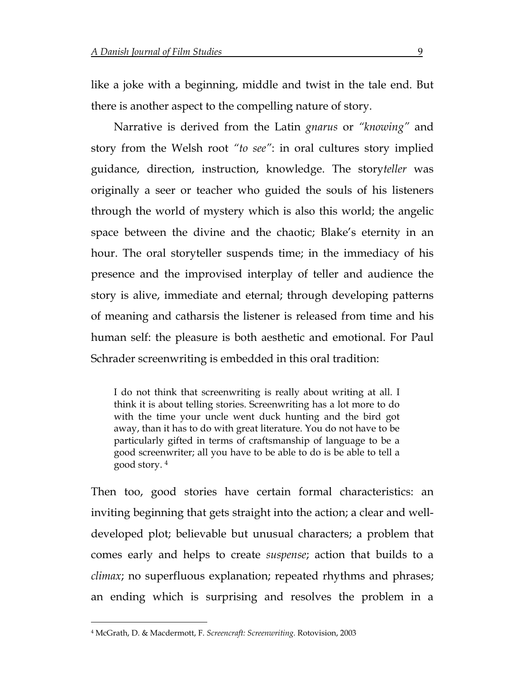like a joke with a beginning, middle and twist in the tale end. But there is another aspect to the compelling nature of story.

Narrative is derived from the Latin *gnarus* or *"knowing"* and story from the Welsh root *"to see"*: in oral cultures story implied guidance, direction, instruction, knowledge. The story*teller* was originally a seer or teacher who guided the souls of his listeners through the world of mystery which is also this world; the angelic space between the divine and the chaotic; Blake's eternity in an hour. The oral storyteller suspends time; in the immediacy of his presence and the improvised interplay of teller and audience the story is alive, immediate and eternal; through developing patterns of meaning and catharsis the listener is released from time and his human self: the pleasure is both aesthetic and emotional. For Paul Schrader screenwriting is embedded in this oral tradition:

I do not think that screenwriting is really about writing at all. I think it is about telling stories. Screenwriting has a lot more to do with the time your uncle went duck hunting and the bird got away, than it has to do with great literature. You do not have to be particularly gifted in terms of craftsmanship of language to be a good screenwriter; all you have to be able to do is be able to tell a good story. 4

Then too, good stories have certain formal characteristics: an inviting beginning that gets straight into the action; a clear and welldeveloped plot; believable but unusual characters; a problem that comes early and helps to create *suspense*; action that builds to a *climax*; no superfluous explanation; repeated rhythms and phrases; an ending which is surprising and resolves the problem in a

<sup>4</sup> McGrath, D. & Macdermott, F. *Screencraft: Screenwriting.* Rotovision, 2003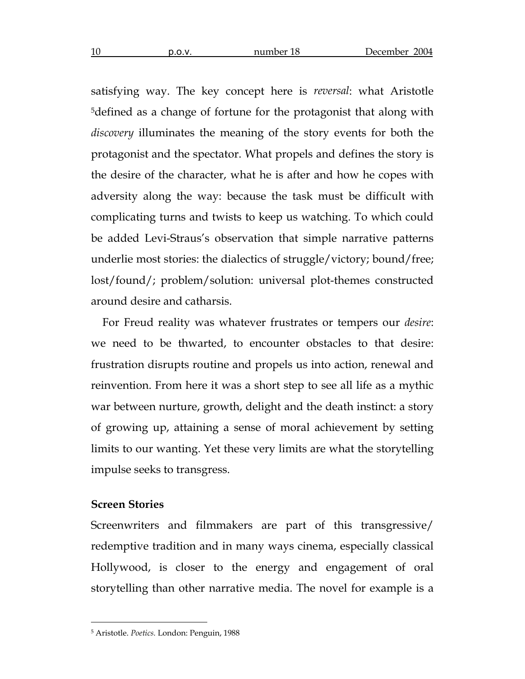satisfying way. The key concept here is *reversal*: what Aristotle 5defined as a change of fortune for the protagonist that along with *discovery* illuminates the meaning of the story events for both the protagonist and the spectator. What propels and defines the story is the desire of the character, what he is after and how he copes with adversity along the way: because the task must be difficult with complicating turns and twists to keep us watching. To which could be added Levi-Straus's observation that simple narrative patterns underlie most stories: the dialectics of struggle/victory; bound/free; lost/found/; problem/solution: universal plot-themes constructed around desire and catharsis.

For Freud reality was whatever frustrates or tempers our *desire*: we need to be thwarted, to encounter obstacles to that desire: frustration disrupts routine and propels us into action, renewal and reinvention. From here it was a short step to see all life as a mythic war between nurture, growth, delight and the death instinct: a story of growing up, attaining a sense of moral achievement by setting limits to our wanting. Yet these very limits are what the storytelling impulse seeks to transgress.

#### **Screen Stories**

 $\overline{a}$ 

Screenwriters and filmmakers are part of this transgressive/ redemptive tradition and in many ways cinema, especially classical Hollywood, is closer to the energy and engagement of oral storytelling than other narrative media. The novel for example is a

<sup>5</sup> Aristotle. *Poetics.* London: Penguin, 1988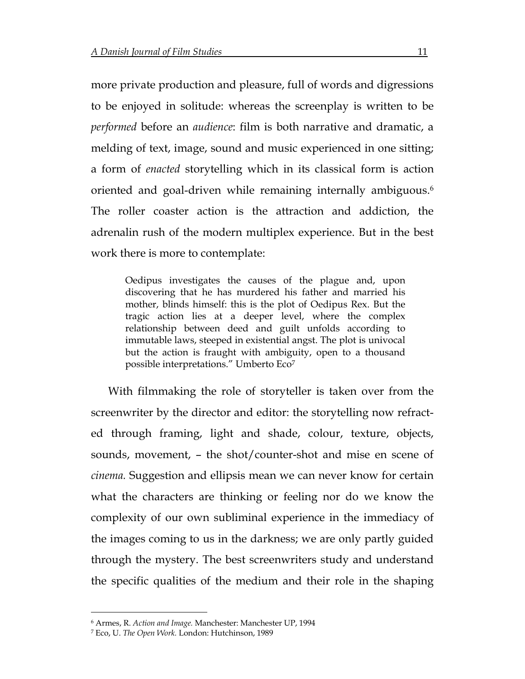more private production and pleasure, full of words and digressions to be enjoyed in solitude: whereas the screenplay is written to be *performed* before an *audience*: film is both narrative and dramatic, a melding of text, image, sound and music experienced in one sitting; a form of *enacted* storytelling which in its classical form is action oriented and goal-driven while remaining internally ambiguous.6 The roller coaster action is the attraction and addiction, the adrenalin rush of the modern multiplex experience. But in the best work there is more to contemplate:

Oedipus investigates the causes of the plague and, upon discovering that he has murdered his father and married his mother, blinds himself: this is the plot of Oedipus Rex. But the tragic action lies at a deeper level, where the complex relationship between deed and guilt unfolds according to immutable laws, steeped in existential angst. The plot is univocal but the action is fraught with ambiguity, open to a thousand possible interpretations." Umberto Eco7

With filmmaking the role of storyteller is taken over from the screenwriter by the director and editor: the storytelling now refracted through framing, light and shade, colour, texture, objects, sounds, movement, – the shot/counter-shot and mise en scene of *cinema.* Suggestion and ellipsis mean we can never know for certain what the characters are thinking or feeling nor do we know the complexity of our own subliminal experience in the immediacy of the images coming to us in the darkness; we are only partly guided through the mystery. The best screenwriters study and understand the specific qualities of the medium and their role in the shaping

<sup>6</sup> Armes, R. *Action and Image.* Manchester: Manchester UP, 1994 7 Eco, U. *The Open Work.* London: Hutchinson, 1989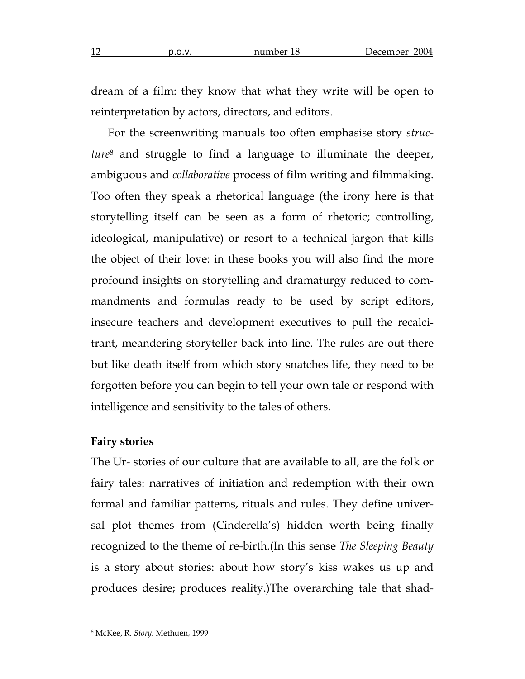dream of a film: they know that what they write will be open to reinterpretation by actors, directors, and editors.

For the screenwriting manuals too often emphasise story *structure*<sup>8</sup> and struggle to find a language to illuminate the deeper, ambiguous and *collaborative* process of film writing and filmmaking. Too often they speak a rhetorical language (the irony here is that storytelling itself can be seen as a form of rhetoric; controlling, ideological, manipulative) or resort to a technical jargon that kills the object of their love: in these books you will also find the more profound insights on storytelling and dramaturgy reduced to commandments and formulas ready to be used by script editors, insecure teachers and development executives to pull the recalcitrant, meandering storyteller back into line. The rules are out there but like death itself from which story snatches life, they need to be forgotten before you can begin to tell your own tale or respond with intelligence and sensitivity to the tales of others.

#### **Fairy stories**

The Ur- stories of our culture that are available to all, are the folk or fairy tales: narratives of initiation and redemption with their own formal and familiar patterns, rituals and rules. They define universal plot themes from (Cinderella's) hidden worth being finally recognized to the theme of re-birth.(In this sense *The Sleeping Beauty* is a story about stories: about how story's kiss wakes us up and produces desire; produces reality.)The overarching tale that shad-

<sup>8</sup> McKee, R. *Story.* Methuen, 1999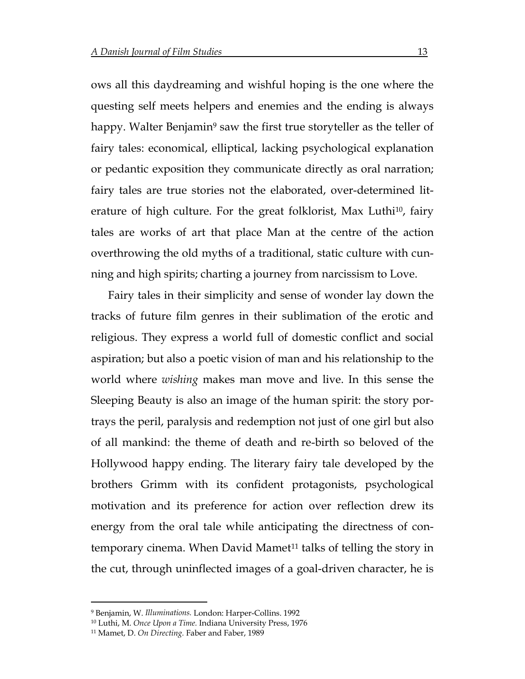ows all this daydreaming and wishful hoping is the one where the questing self meets helpers and enemies and the ending is always happy. Walter Benjamin<sup>9</sup> saw the first true storyteller as the teller of fairy tales: economical, elliptical, lacking psychological explanation or pedantic exposition they communicate directly as oral narration; fairy tales are true stories not the elaborated, over-determined literature of high culture. For the great folklorist, Max Luthi<sup>10</sup>, fairy tales are works of art that place Man at the centre of the action overthrowing the old myths of a traditional, static culture with cunning and high spirits; charting a journey from narcissism to Love.

Fairy tales in their simplicity and sense of wonder lay down the tracks of future film genres in their sublimation of the erotic and religious. They express a world full of domestic conflict and social aspiration; but also a poetic vision of man and his relationship to the world where *wishing* makes man move and live. In this sense the Sleeping Beauty is also an image of the human spirit: the story portrays the peril, paralysis and redemption not just of one girl but also of all mankind: the theme of death and re-birth so beloved of the Hollywood happy ending. The literary fairy tale developed by the brothers Grimm with its confident protagonists, psychological motivation and its preference for action over reflection drew its energy from the oral tale while anticipating the directness of contemporary cinema. When David Mamet<sup>11</sup> talks of telling the story in the cut, through uninflected images of a goal-driven character, he is

<sup>9</sup> Benjamin, W. *Illuminations.* London: Harper-Collins. 1992 10 Luthi, M. *Once Upon a Time.* Indiana University Press, 1976 11 Mamet, D. *On Directing.* Faber and Faber, 1989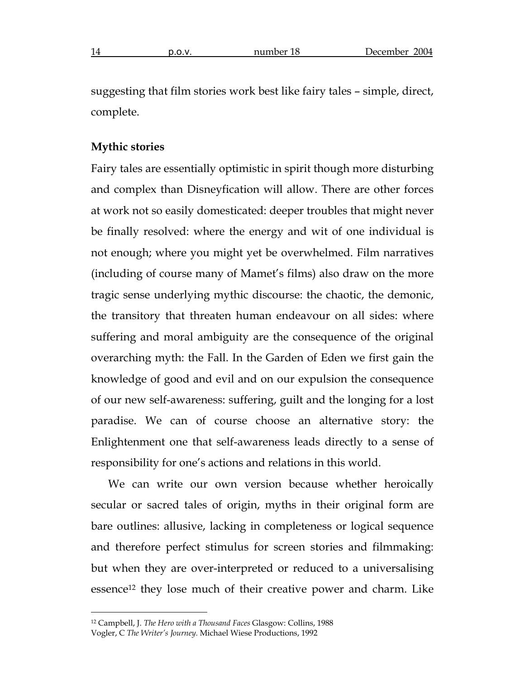| 14 | number 18 | December. | 2004 |
|----|-----------|-----------|------|
|    |           |           |      |

suggesting that film stories work best like fairy tales – simple, direct, complete.

#### **Mythic stories**

Fairy tales are essentially optimistic in spirit though more disturbing and complex than Disneyfication will allow. There are other forces at work not so easily domesticated: deeper troubles that might never be finally resolved: where the energy and wit of one individual is not enough; where you might yet be overwhelmed. Film narratives (including of course many of Mamet's films) also draw on the more tragic sense underlying mythic discourse: the chaotic, the demonic, the transitory that threaten human endeavour on all sides: where suffering and moral ambiguity are the consequence of the original overarching myth: the Fall. In the Garden of Eden we first gain the knowledge of good and evil and on our expulsion the consequence of our new self-awareness: suffering, guilt and the longing for a lost paradise. We can of course choose an alternative story: the Enlightenment one that self-awareness leads directly to a sense of responsibility for one's actions and relations in this world.

We can write our own version because whether heroically secular or sacred tales of origin, myths in their original form are bare outlines: allusive, lacking in completeness or logical sequence and therefore perfect stimulus for screen stories and filmmaking: but when they are over-interpreted or reduced to a universalising essence<sup>12</sup> they lose much of their creative power and charm. Like

<sup>12</sup> Campbell, J. *The Hero with a Thousand Faces* Glasgow: Collins, 1988 Vogler, C *The Writer's Journey.* Michael Wiese Productions, 1992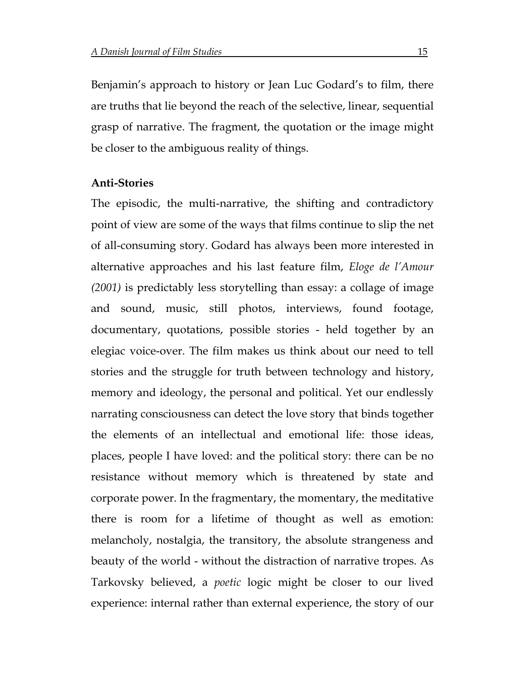Benjamin's approach to history or Jean Luc Godard's to film, there are truths that lie beyond the reach of the selective, linear, sequential grasp of narrative. The fragment, the quotation or the image might be closer to the ambiguous reality of things.

#### **Anti-Stories**

The episodic, the multi-narrative, the shifting and contradictory point of view are some of the ways that films continue to slip the net of all-consuming story. Godard has always been more interested in alternative approaches and his last feature film, *Eloge de l'Amour (2001)* is predictably less storytelling than essay: a collage of image and sound, music, still photos, interviews, found footage, documentary, quotations, possible stories - held together by an elegiac voice-over. The film makes us think about our need to tell stories and the struggle for truth between technology and history, memory and ideology, the personal and political. Yet our endlessly narrating consciousness can detect the love story that binds together the elements of an intellectual and emotional life: those ideas, places, people I have loved: and the political story: there can be no resistance without memory which is threatened by state and corporate power. In the fragmentary, the momentary, the meditative there is room for a lifetime of thought as well as emotion: melancholy, nostalgia, the transitory, the absolute strangeness and beauty of the world - without the distraction of narrative tropes. As Tarkovsky believed, a *poetic* logic might be closer to our lived experience: internal rather than external experience, the story of our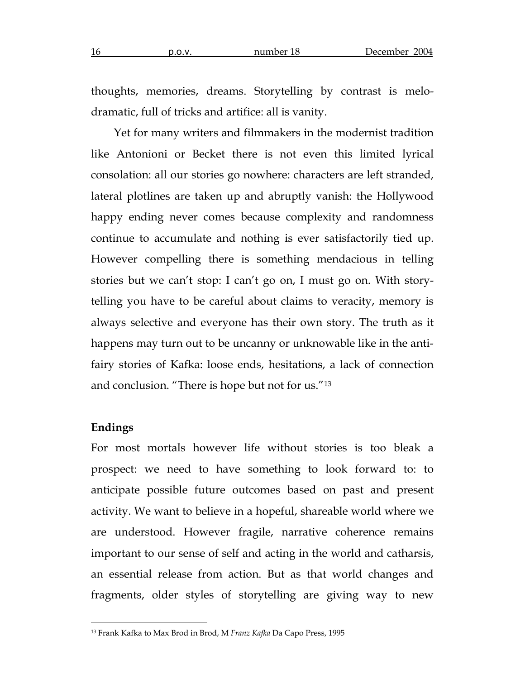16 p.o.v. number 18 December 2004

thoughts, memories, dreams. Storytelling by contrast is melodramatic, full of tricks and artifice: all is vanity.

Yet for many writers and filmmakers in the modernist tradition like Antonioni or Becket there is not even this limited lyrical consolation: all our stories go nowhere: characters are left stranded, lateral plotlines are taken up and abruptly vanish: the Hollywood happy ending never comes because complexity and randomness continue to accumulate and nothing is ever satisfactorily tied up. However compelling there is something mendacious in telling stories but we can't stop: I can't go on, I must go on. With storytelling you have to be careful about claims to veracity, memory is always selective and everyone has their own story. The truth as it happens may turn out to be uncanny or unknowable like in the antifairy stories of Kafka: loose ends, hesitations, a lack of connection and conclusion. "There is hope but not for us."13

#### **Endings**

 $\overline{a}$ 

For most mortals however life without stories is too bleak a prospect: we need to have something to look forward to: to anticipate possible future outcomes based on past and present activity. We want to believe in a hopeful, shareable world where we are understood. However fragile, narrative coherence remains important to our sense of self and acting in the world and catharsis, an essential release from action. But as that world changes and fragments, older styles of storytelling are giving way to new

<sup>13</sup> Frank Kafka to Max Brod in Brod, M *Franz Kafka* Da Capo Press, 1995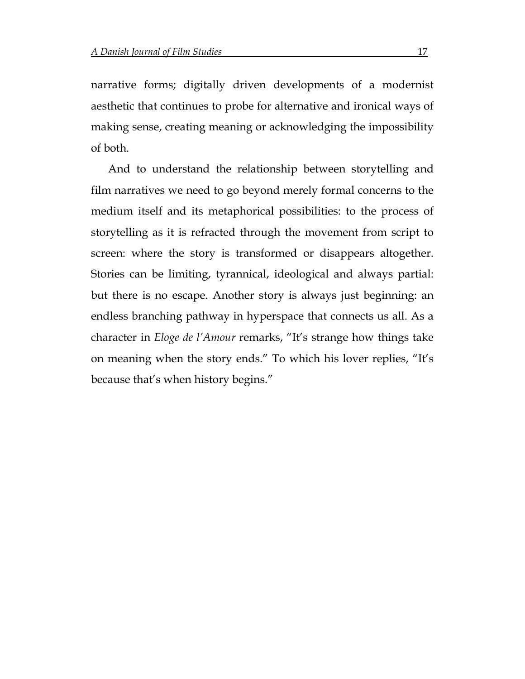narrative forms; digitally driven developments of a modernist aesthetic that continues to probe for alternative and ironical ways of making sense, creating meaning or acknowledging the impossibility of both.

And to understand the relationship between storytelling and film narratives we need to go beyond merely formal concerns to the medium itself and its metaphorical possibilities: to the process of storytelling as it is refracted through the movement from script to screen: where the story is transformed or disappears altogether. Stories can be limiting, tyrannical, ideological and always partial: but there is no escape. Another story is always just beginning: an endless branching pathway in hyperspace that connects us all. As a character in *Eloge de l'Amour* remarks, "It's strange how things take on meaning when the story ends." To which his lover replies, "It's because that's when history begins."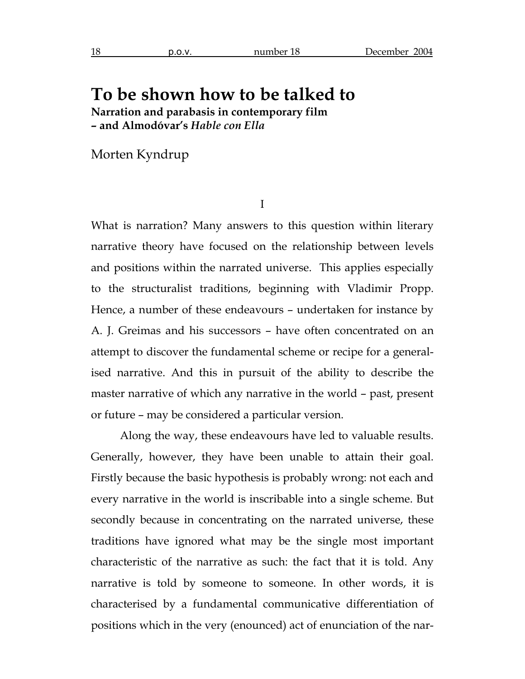### **To be shown how to be talked to**

**Narration and parabasis in contemporary film – and Almodóvar's** *Hable con Ella* 

Morten Kyndrup

I

What is narration? Many answers to this question within literary narrative theory have focused on the relationship between levels and positions within the narrated universe. This applies especially to the structuralist traditions, beginning with Vladimir Propp. Hence, a number of these endeavours – undertaken for instance by A. J. Greimas and his successors – have often concentrated on an attempt to discover the fundamental scheme or recipe for a generalised narrative. And this in pursuit of the ability to describe the master narrative of which any narrative in the world – past, present or future – may be considered a particular version.

 Along the way, these endeavours have led to valuable results. Generally, however, they have been unable to attain their goal. Firstly because the basic hypothesis is probably wrong: not each and every narrative in the world is inscribable into a single scheme. But secondly because in concentrating on the narrated universe, these traditions have ignored what may be the single most important characteristic of the narrative as such: the fact that it is told. Any narrative is told by someone to someone. In other words, it is characterised by a fundamental communicative differentiation of positions which in the very (enounced) act of enunciation of the nar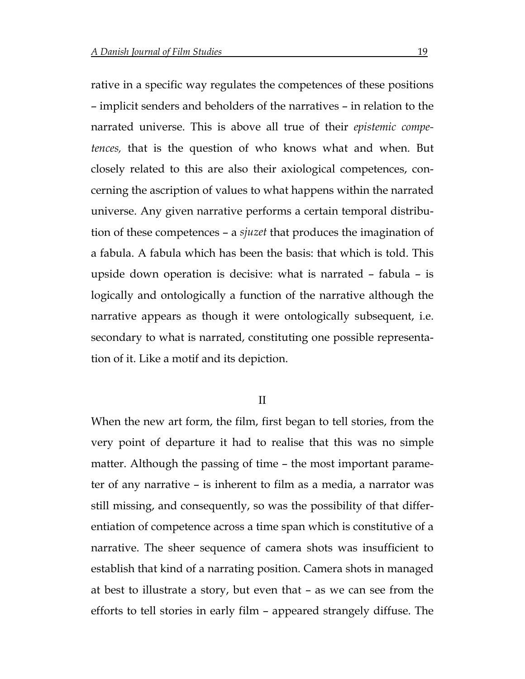rative in a specific way regulates the competences of these positions – implicit senders and beholders of the narratives – in relation to the narrated universe. This is above all true of their *epistemic competences,* that is the question of who knows what and when. But closely related to this are also their axiological competences, concerning the ascription of values to what happens within the narrated universe. Any given narrative performs a certain temporal distribution of these competences – a *sjuzet* that produces the imagination of a fabula. A fabula which has been the basis: that which is told. This upside down operation is decisive: what is narrated – fabula – is logically and ontologically a function of the narrative although the narrative appears as though it were ontologically subsequent, i.e. secondary to what is narrated, constituting one possible representation of it. Like a motif and its depiction.

II

When the new art form, the film, first began to tell stories, from the very point of departure it had to realise that this was no simple matter. Although the passing of time – the most important parameter of any narrative – is inherent to film as a media, a narrator was still missing, and consequently, so was the possibility of that differentiation of competence across a time span which is constitutive of a narrative. The sheer sequence of camera shots was insufficient to establish that kind of a narrating position. Camera shots in managed at best to illustrate a story, but even that – as we can see from the efforts to tell stories in early film – appeared strangely diffuse. The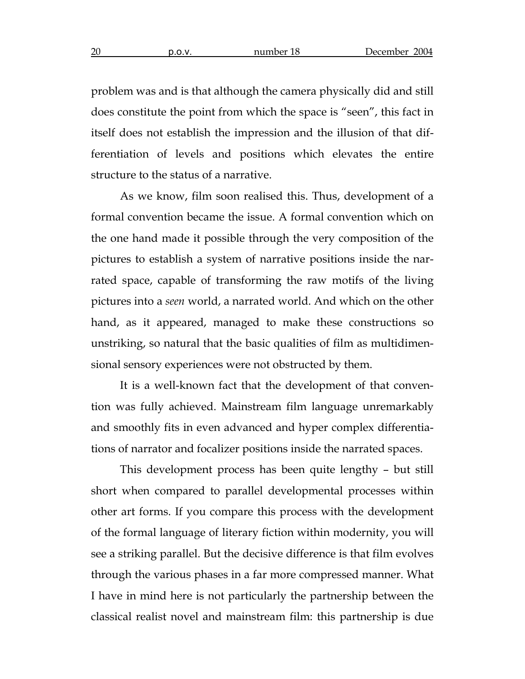problem was and is that although the camera physically did and still does constitute the point from which the space is "seen", this fact in itself does not establish the impression and the illusion of that differentiation of levels and positions which elevates the entire structure to the status of a narrative.

 As we know, film soon realised this. Thus, development of a formal convention became the issue. A formal convention which on the one hand made it possible through the very composition of the pictures to establish a system of narrative positions inside the narrated space, capable of transforming the raw motifs of the living pictures into a *seen* world, a narrated world. And which on the other hand, as it appeared, managed to make these constructions so unstriking, so natural that the basic qualities of film as multidimensional sensory experiences were not obstructed by them.

 It is a well-known fact that the development of that convention was fully achieved. Mainstream film language unremarkably and smoothly fits in even advanced and hyper complex differentiations of narrator and focalizer positions inside the narrated spaces.

 This development process has been quite lengthy – but still short when compared to parallel developmental processes within other art forms. If you compare this process with the development of the formal language of literary fiction within modernity, you will see a striking parallel. But the decisive difference is that film evolves through the various phases in a far more compressed manner. What I have in mind here is not particularly the partnership between the classical realist novel and mainstream film: this partnership is due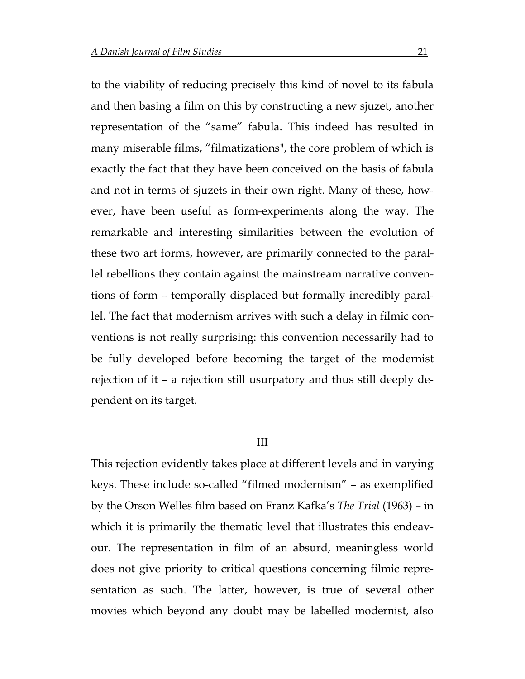to the viability of reducing precisely this kind of novel to its fabula and then basing a film on this by constructing a new sjuzet, another representation of the "same" fabula. This indeed has resulted in many miserable films, "filmatizations", the core problem of which is exactly the fact that they have been conceived on the basis of fabula and not in terms of sjuzets in their own right. Many of these, however, have been useful as form-experiments along the way. The remarkable and interesting similarities between the evolution of these two art forms, however, are primarily connected to the parallel rebellions they contain against the mainstream narrative conventions of form – temporally displaced but formally incredibly parallel. The fact that modernism arrives with such a delay in filmic conventions is not really surprising: this convention necessarily had to be fully developed before becoming the target of the modernist rejection of it – a rejection still usurpatory and thus still deeply dependent on its target.

#### III

This rejection evidently takes place at different levels and in varying keys. These include so-called "filmed modernism" – as exemplified by the Orson Welles film based on Franz Kafka's *The Trial* (1963) – in which it is primarily the thematic level that illustrates this endeavour. The representation in film of an absurd, meaningless world does not give priority to critical questions concerning filmic representation as such. The latter, however, is true of several other movies which beyond any doubt may be labelled modernist, also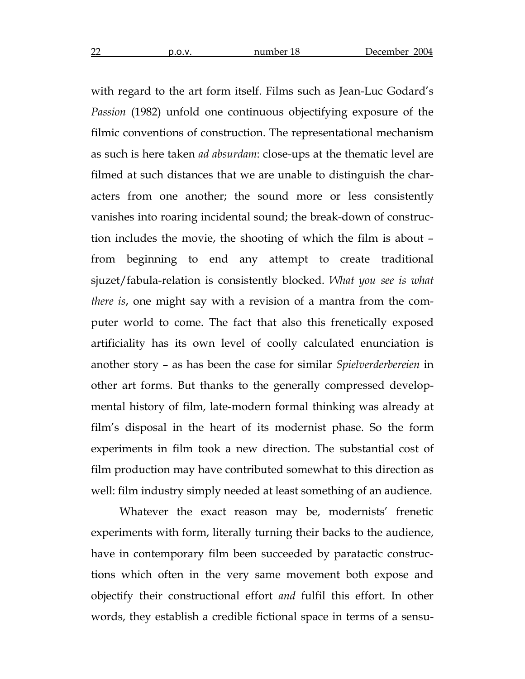with regard to the art form itself. Films such as Jean-Luc Godard's *Passion* (1982) unfold one continuous objectifying exposure of the filmic conventions of construction. The representational mechanism as such is here taken *ad absurdam*: close-ups at the thematic level are filmed at such distances that we are unable to distinguish the characters from one another; the sound more or less consistently vanishes into roaring incidental sound; the break-down of construction includes the movie, the shooting of which the film is about – from beginning to end any attempt to create traditional sjuzet/fabula-relation is consistently blocked. *What you see is what there is*, one might say with a revision of a mantra from the computer world to come. The fact that also this frenetically exposed artificiality has its own level of coolly calculated enunciation is another story – as has been the case for similar *Spielverderbereien* in other art forms. But thanks to the generally compressed developmental history of film, late-modern formal thinking was already at film's disposal in the heart of its modernist phase. So the form experiments in film took a new direction. The substantial cost of film production may have contributed somewhat to this direction as well: film industry simply needed at least something of an audience.

Whatever the exact reason may be, modernists' frenetic experiments with form, literally turning their backs to the audience, have in contemporary film been succeeded by paratactic constructions which often in the very same movement both expose and objectify their constructional effort *and* fulfil this effort. In other words, they establish a credible fictional space in terms of a sensu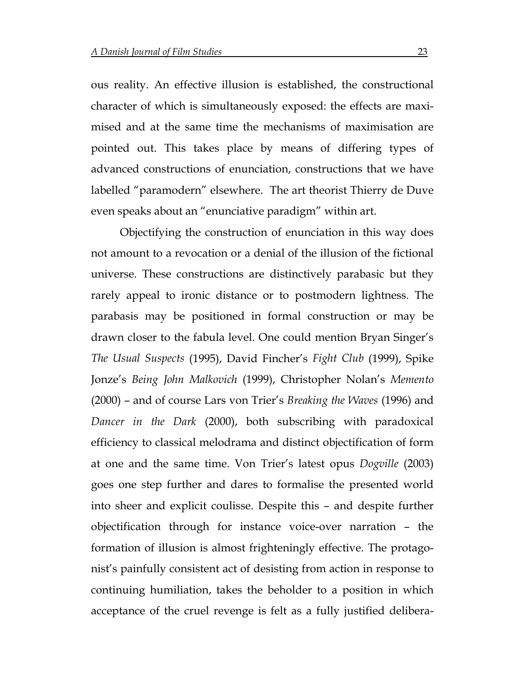ous reality. An effective illusion is established, the constructional character of which is simultaneously exposed: the effects are maximised and at the same time the mechanisms of maximisation are pointed out. This takes place by means of differing types of advanced constructions of enunciation, constructions that we have labelled "paramodern" elsewhere. The art theorist Thierry de Duve even speaks about an "enunciative paradigm" within art.

 Objectifying the construction of enunciation in this way does not amount to a revocation or a denial of the illusion of the fictional universe. These constructions are distinctively parabasic but they rarely appeal to ironic distance or to postmodern lightness. The parabasis may be positioned in formal construction or may be drawn closer to the fabula level. One could mention Bryan Singer's *The Usual Suspects* (1995), David Fincher's *Fight Club* (1999), Spike Jonze's *Being John Malkovich* (1999), Christopher Nolan's *Memento*  (2000) – and of course Lars von Trier's *Breaking the Waves* (1996) and *Dancer in the Dark* (2000), both subscribing with paradoxical efficiency to classical melodrama and distinct objectification of form at one and the same time. Von Trier's latest opus *Dogville* (2003) goes one step further and dares to formalise the presented world into sheer and explicit coulisse. Despite this – and despite further objectification through for instance voice-over narration – the formation of illusion is almost frighteningly effective. The protagonist's painfully consistent act of desisting from action in response to continuing humiliation, takes the beholder to a position in which acceptance of the cruel revenge is felt as a fully justified delibera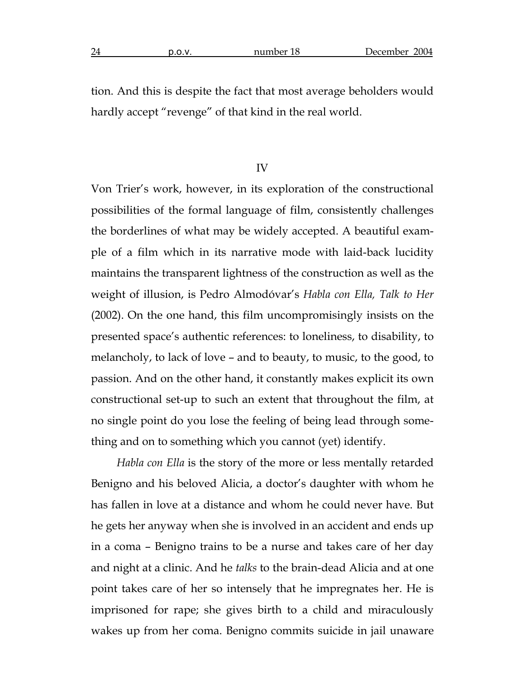tion. And this is despite the fact that most average beholders would hardly accept "revenge" of that kind in the real world.

#### IV

Von Trier's work, however, in its exploration of the constructional possibilities of the formal language of film, consistently challenges the borderlines of what may be widely accepted. A beautiful example of a film which in its narrative mode with laid-back lucidity maintains the transparent lightness of the construction as well as the weight of illusion, is Pedro Almodóvar's *Habla con Ella, Talk to Her* (2002). On the one hand, this film uncompromisingly insists on the presented space's authentic references: to loneliness, to disability, to melancholy, to lack of love – and to beauty, to music, to the good, to passion. And on the other hand, it constantly makes explicit its own constructional set-up to such an extent that throughout the film, at no single point do you lose the feeling of being lead through something and on to something which you cannot (yet) identify.

*Habla con Ella* is the story of the more or less mentally retarded Benigno and his beloved Alicia, a doctor's daughter with whom he has fallen in love at a distance and whom he could never have. But he gets her anyway when she is involved in an accident and ends up in a coma – Benigno trains to be a nurse and takes care of her day and night at a clinic. And he *talks* to the brain-dead Alicia and at one point takes care of her so intensely that he impregnates her. He is imprisoned for rape; she gives birth to a child and miraculously wakes up from her coma. Benigno commits suicide in jail unaware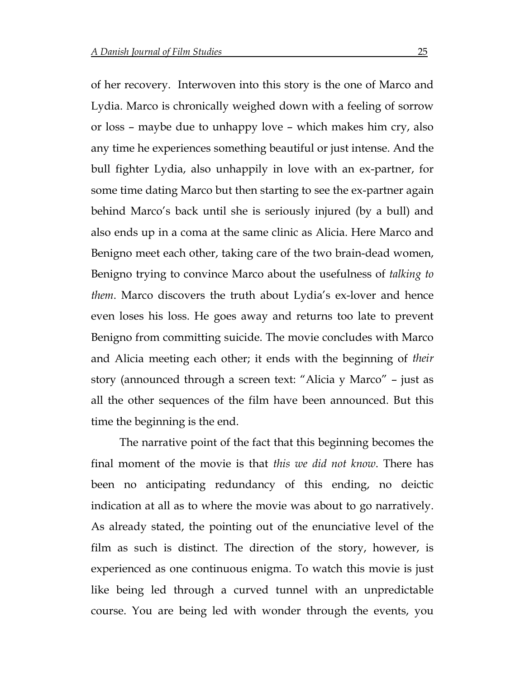of her recovery. Interwoven into this story is the one of Marco and Lydia. Marco is chronically weighed down with a feeling of sorrow or loss – maybe due to unhappy love – which makes him cry, also any time he experiences something beautiful or just intense. And the bull fighter Lydia, also unhappily in love with an ex-partner, for some time dating Marco but then starting to see the ex-partner again behind Marco's back until she is seriously injured (by a bull) and also ends up in a coma at the same clinic as Alicia. Here Marco and Benigno meet each other, taking care of the two brain-dead women, Benigno trying to convince Marco about the usefulness of *talking to them*. Marco discovers the truth about Lydia's ex-lover and hence even loses his loss. He goes away and returns too late to prevent Benigno from committing suicide. The movie concludes with Marco and Alicia meeting each other; it ends with the beginning of *their* story (announced through a screen text: "Alicia y Marco" – just as all the other sequences of the film have been announced. But this time the beginning is the end.

The narrative point of the fact that this beginning becomes the final moment of the movie is that *this we did not know*. There has been no anticipating redundancy of this ending, no deictic indication at all as to where the movie was about to go narratively. As already stated, the pointing out of the enunciative level of the film as such is distinct. The direction of the story, however, is experienced as one continuous enigma. To watch this movie is just like being led through a curved tunnel with an unpredictable course. You are being led with wonder through the events, you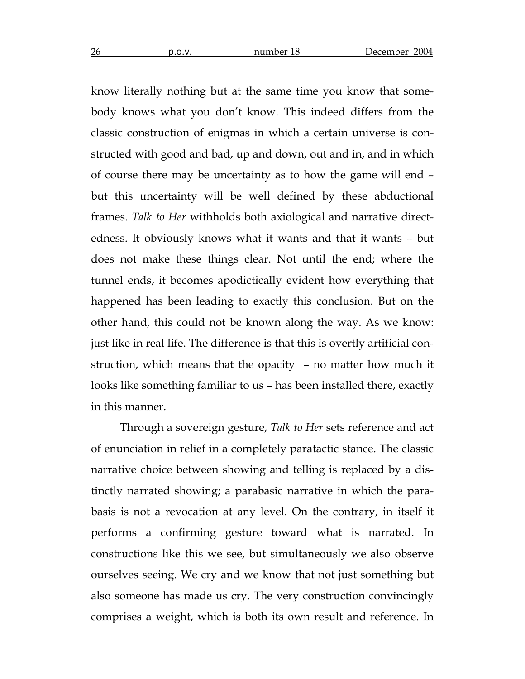know literally nothing but at the same time you know that somebody knows what you don't know. This indeed differs from the classic construction of enigmas in which a certain universe is constructed with good and bad, up and down, out and in, and in which of course there may be uncertainty as to how the game will end – but this uncertainty will be well defined by these abductional frames. *Talk to Her* withholds both axiological and narrative directedness. It obviously knows what it wants and that it wants – but does not make these things clear. Not until the end; where the tunnel ends, it becomes apodictically evident how everything that happened has been leading to exactly this conclusion. But on the other hand, this could not be known along the way. As we know: just like in real life. The difference is that this is overtly artificial construction, which means that the opacity – no matter how much it looks like something familiar to us – has been installed there, exactly in this manner.

 Through a sovereign gesture, *Talk to Her* sets reference and act of enunciation in relief in a completely paratactic stance. The classic narrative choice between showing and telling is replaced by a distinctly narrated showing; a parabasic narrative in which the parabasis is not a revocation at any level. On the contrary, in itself it performs a confirming gesture toward what is narrated. In constructions like this we see, but simultaneously we also observe ourselves seeing. We cry and we know that not just something but also someone has made us cry. The very construction convincingly comprises a weight, which is both its own result and reference. In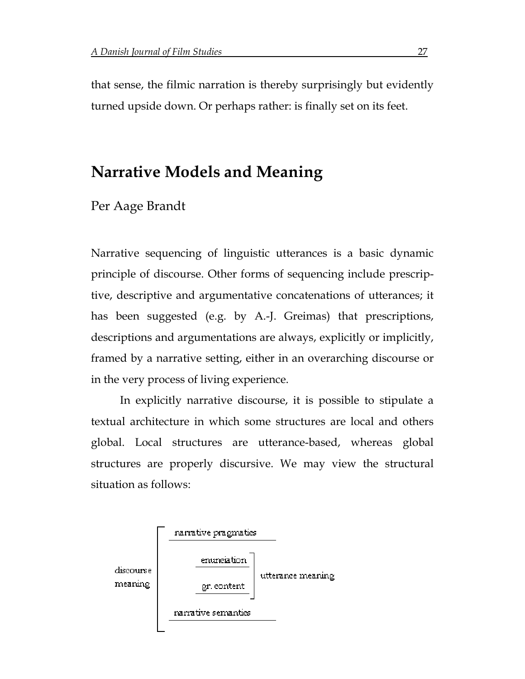that sense, the filmic narration is thereby surprisingly but evidently turned upside down. Or perhaps rather: is finally set on its feet.

### **Narrative Models and Meaning**

#### Per Aage Brandt

Narrative sequencing of linguistic utterances is a basic dynamic principle of discourse. Other forms of sequencing include prescriptive, descriptive and argumentative concatenations of utterances; it has been suggested (e.g. by A.-J. Greimas) that prescriptions, descriptions and argumentations are always, explicitly or implicitly, framed by a narrative setting, either in an overarching discourse or in the very process of living experience.

In explicitly narrative discourse, it is possible to stipulate a textual architecture in which some structures are local and others global. Local structures are utterance-based, whereas global structures are properly discursive. We may view the structural situation as follows:

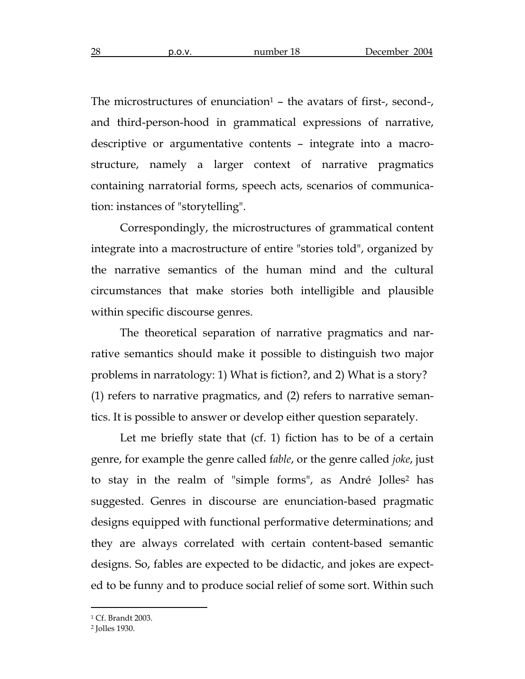The microstructures of enunciation $1$  – the avatars of first-, second-, and third-person-hood in grammatical expressions of narrative, descriptive or argumentative contents – integrate into a macrostructure, namely a larger context of narrative pragmatics containing narratorial forms, speech acts, scenarios of communication: instances of "storytelling".

Correspondingly, the microstructures of grammatical content integrate into a macrostructure of entire "stories told", organized by the narrative semantics of the human mind and the cultural circumstances that make stories both intelligible and plausible within specific discourse genres.

 The theoretical separation of narrative pragmatics and narrative semantics should make it possible to distinguish two major problems in narratology: 1) What is fiction?, and 2) What is a story? (1) refers to narrative pragmatics, and (2) refers to narrative semantics. It is possible to answer or develop either question separately.

 Let me briefly state that (cf. 1) fiction has to be of a certain genre, for example the genre called f*able*, or the genre called *joke*, just to stay in the realm of "simple forms", as André Jolles2 has suggested. Genres in discourse are enunciation-based pragmatic designs equipped with functional performative determinations; and they are always correlated with certain content-based semantic designs. So, fables are expected to be didactic, and jokes are expected to be funny and to produce social relief of some sort. Within such

<sup>1</sup> Cf. Brandt 2003.

<sup>2</sup> Jolles 1930.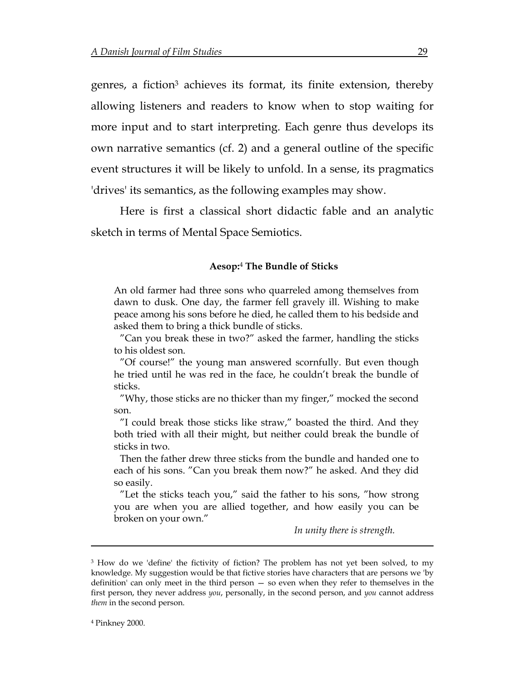genres, a fiction3 achieves its format, its finite extension, thereby allowing listeners and readers to know when to stop waiting for more input and to start interpreting. Each genre thus develops its own narrative semantics (cf. 2) and a general outline of the specific event structures it will be likely to unfold. In a sense, its pragmatics 'drives' its semantics, as the following examples may show.

 Here is first a classical short didactic fable and an analytic sketch in terms of Mental Space Semiotics.

#### **Aesop:**4 **The Bundle of Sticks**

An old farmer had three sons who quarreled among themselves from dawn to dusk. One day, the farmer fell gravely ill. Wishing to make peace among his sons before he died, he called them to his bedside and asked them to bring a thick bundle of sticks.

 "Can you break these in two?" asked the farmer, handling the sticks to his oldest son.

 "Of course!" the young man answered scornfully. But even though he tried until he was red in the face, he couldn't break the bundle of sticks.

 "Why, those sticks are no thicker than my finger," mocked the second son.

 "I could break those sticks like straw," boasted the third. And they both tried with all their might, but neither could break the bundle of sticks in two.

 Then the father drew three sticks from the bundle and handed one to each of his sons. "Can you break them now?" he asked. And they did so easily.

 "Let the sticks teach you," said the father to his sons, "how strong you are when you are allied together, and how easily you can be broken on your own."

*In unity there is strength.* 

<sup>3</sup> How do we 'define' the fictivity of fiction? The problem has not yet been solved, to my knowledge. My suggestion would be that fictive stories have characters that are persons we 'by definition' can only meet in the third person — so even when they refer to themselves in the first person, they never address *you*, personally, in the second person, and *you* cannot address *them* in the second person.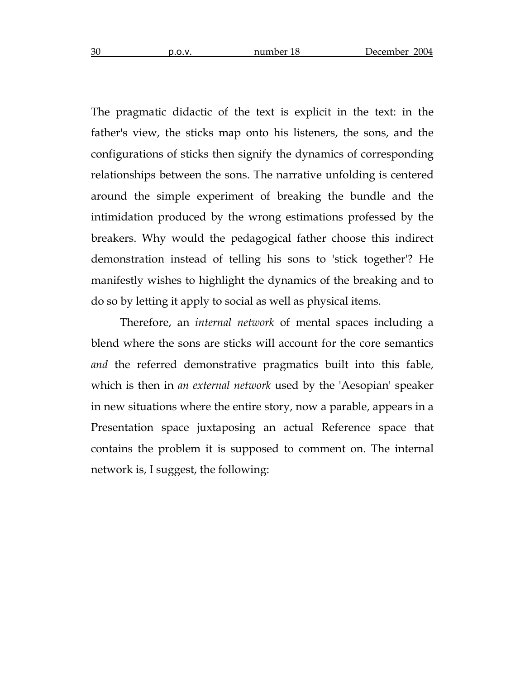The pragmatic didactic of the text is explicit in the text: in the father's view, the sticks map onto his listeners, the sons, and the configurations of sticks then signify the dynamics of corresponding relationships between the sons. The narrative unfolding is centered around the simple experiment of breaking the bundle and the intimidation produced by the wrong estimations professed by the breakers. Why would the pedagogical father choose this indirect demonstration instead of telling his sons to 'stick together'? He manifestly wishes to highlight the dynamics of the breaking and to do so by letting it apply to social as well as physical items.

 Therefore, an *internal network* of mental spaces including a blend where the sons are sticks will account for the core semantics *and* the referred demonstrative pragmatics built into this fable, which is then in *an external network* used by the 'Aesopian' speaker in new situations where the entire story, now a parable, appears in a Presentation space juxtaposing an actual Reference space that contains the problem it is supposed to comment on. The internal network is, I suggest, the following: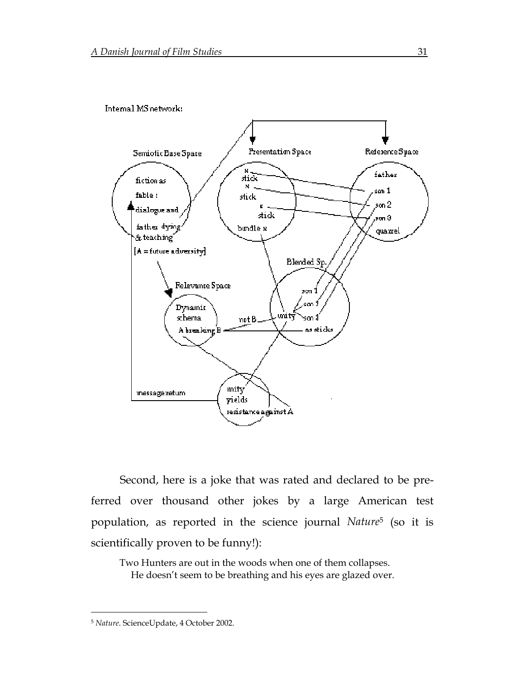

Second, here is a joke that was rated and declared to be preferred over thousand other jokes by a large American test population, as reported in the science journal *Nature*5 (so it is scientifically proven to be funny!):

Two Hunters are out in the woods when one of them collapses. He doesn't seem to be breathing and his eyes are glazed over.

<sup>5</sup> *Nature*. ScienceUpdate, 4 October 2002.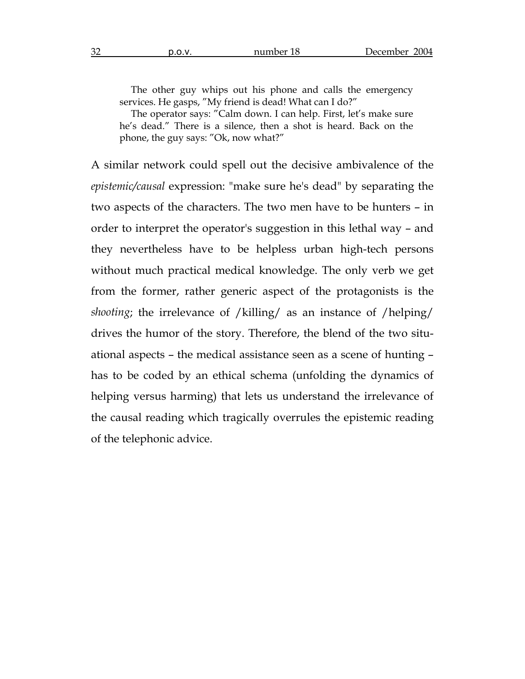The other guy whips out his phone and calls the emergency services. He gasps, "My friend is dead! What can I do?"

The operator says: "Calm down. I can help. First, let's make sure he's dead." There is a silence, then a shot is heard. Back on the phone, the guy says: "Ok, now what?"

A similar network could spell out the decisive ambivalence of the *epistemic/causal* expression: "make sure he's dead" by separating the two aspects of the characters. The two men have to be hunters – in order to interpret the operator's suggestion in this lethal way – and they nevertheless have to be helpless urban high-tech persons without much practical medical knowledge. The only verb we get from the former, rather generic aspect of the protagonists is the *shooting*; the irrelevance of /killing/ as an instance of /helping/ drives the humor of the story. Therefore, the blend of the two situational aspects – the medical assistance seen as a scene of hunting – has to be coded by an ethical schema (unfolding the dynamics of helping versus harming) that lets us understand the irrelevance of the causal reading which tragically overrules the epistemic reading of the telephonic advice.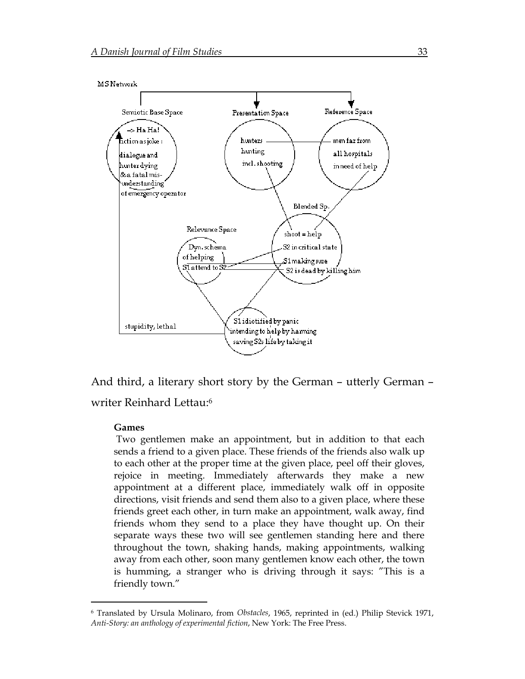

And third, a literary short story by the German – utterly German –

writer Reinhard Lettau:6

#### **Games**

 $\overline{a}$ 

 Two gentlemen make an appointment, but in addition to that each sends a friend to a given place. These friends of the friends also walk up to each other at the proper time at the given place, peel off their gloves, rejoice in meeting. Immediately afterwards they make a new appointment at a different place, immediately walk off in opposite directions, visit friends and send them also to a given place, where these friends greet each other, in turn make an appointment, walk away, find friends whom they send to a place they have thought up. On their separate ways these two will see gentlemen standing here and there throughout the town, shaking hands, making appointments, walking away from each other, soon many gentlemen know each other, the town is humming, a stranger who is driving through it says: "This is a friendly town."

<sup>6</sup> Translated by Ursula Molinaro, from *Obstacles*, 1965, reprinted in (ed.) Philip Stevick 1971, *Anti-Story: an anthology of experimental fiction*, New York: The Free Press.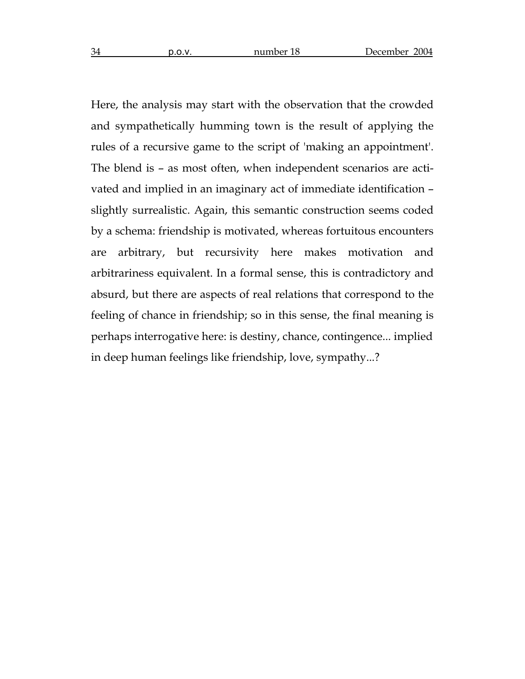Here, the analysis may start with the observation that the crowded and sympathetically humming town is the result of applying the rules of a recursive game to the script of 'making an appointment'. The blend is – as most often, when independent scenarios are activated and implied in an imaginary act of immediate identification – slightly surrealistic. Again, this semantic construction seems coded by a schema: friendship is motivated, whereas fortuitous encounters are arbitrary, but recursivity here makes motivation and arbitrariness equivalent. In a formal sense, this is contradictory and absurd, but there are aspects of real relations that correspond to the feeling of chance in friendship; so in this sense, the final meaning is perhaps interrogative here: is destiny, chance, contingence... implied in deep human feelings like friendship, love, sympathy...?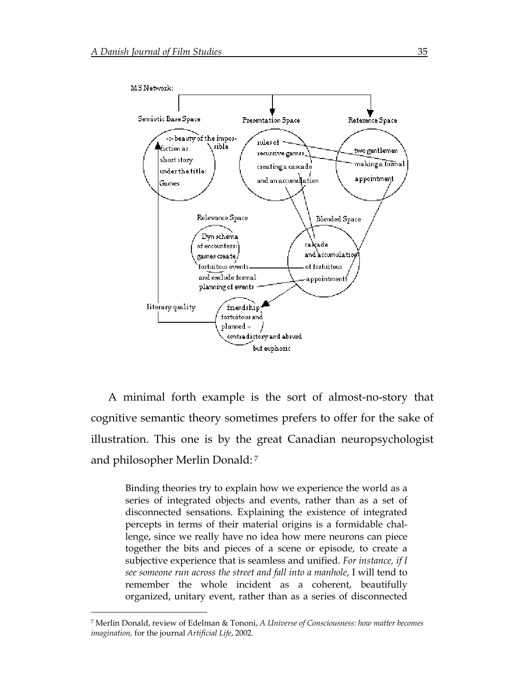

A minimal forth example is the sort of almost-no-story that cognitive semantic theory sometimes prefers to offer for the sake of illustration. This one is by the great Canadian neuropsychologist and philosopher Merlin Donald: 7

Binding theories try to explain how we experience the world as a series of integrated objects and events, rather than as a set of disconnected sensations. Explaining the existence of integrated percepts in terms of their material origins is a formidable challenge, since we really have no idea how mere neurons can piece together the bits and pieces of a scene or episode, to create a subjective experience that is seamless and unified. *For instance, if I see someone run across the street and fall into a manhole*, I will tend to remember the whole incident as a coherent, beautifully organized, unitary event, rather than as a series of disconnected

<sup>7</sup> Merlin Donald, review of Edelman & Tononi, *A Universe of Consciousness: how matter becomes imagination,* for the journal *Artificial Life*, 2002.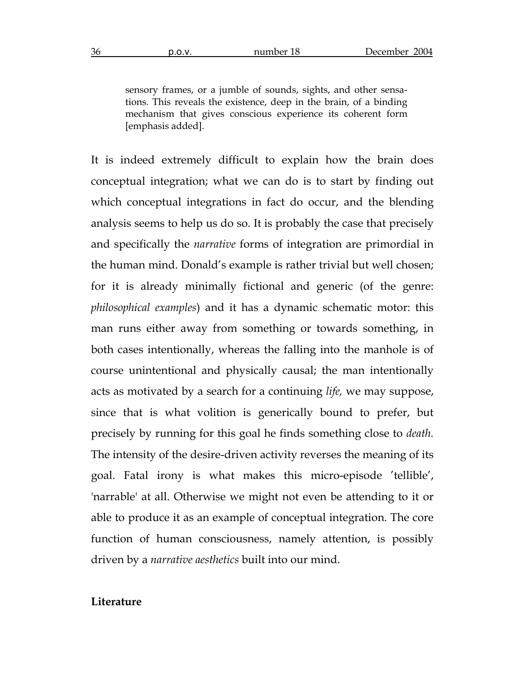sensory frames, or a jumble of sounds, sights, and other sensations. This reveals the existence, deep in the brain, of a binding mechanism that gives conscious experience its coherent form [emphasis added].

It is indeed extremely difficult to explain how the brain does conceptual integration; what we can do is to start by finding out which conceptual integrations in fact do occur, and the blending analysis seems to help us do so. It is probably the case that precisely and specifically the *narrative* forms of integration are primordial in the human mind. Donald's example is rather trivial but well chosen; for it is already minimally fictional and generic (of the genre: *philosophical examples*) and it has a dynamic schematic motor: this man runs either away from something or towards something, in both cases intentionally, whereas the falling into the manhole is of course unintentional and physically causal; the man intentionally acts as motivated by a search for a continuing *life,* we may suppose, since that is what volition is generically bound to prefer, but precisely by running for this goal he finds something close to *death.*  The intensity of the desire-driven activity reverses the meaning of its goal. Fatal irony is what makes this micro-episode 'tellible', 'narrable' at all. Otherwise we might not even be attending to it or able to produce it as an example of conceptual integration. The core function of human consciousness, namely attention, is possibly driven by a *narrative aesthetics* built into our mind.

#### **Literature**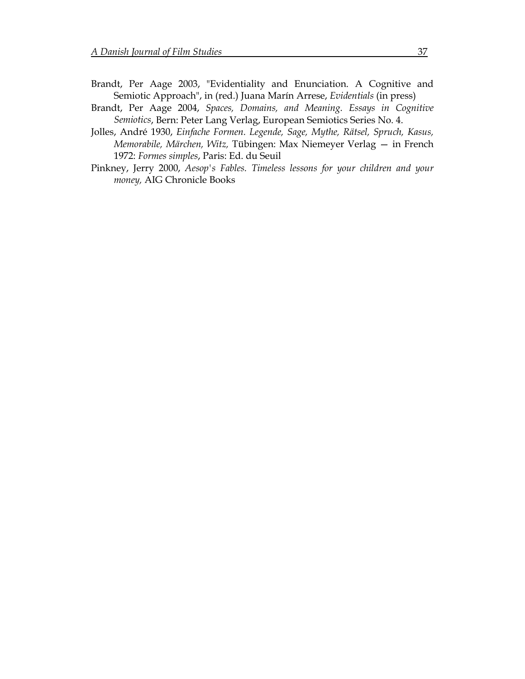- Brandt, Per Aage 2003, "Evidentiality and Enunciation. A Cognitive and Semiotic Approach", in (red.) Juana Marín Arrese, *Evidentials* (in press)
- Brandt, Per Aage 2004, *Spaces, Domains, and Meaning. Essays in Cognitive Semiotics*, Bern: Peter Lang Verlag, European Semiotics Series No. 4.
- Jolles, André 1930, *Einfache Formen. Legende, Sage, Mythe, Rätsel, Spruch, Kasus, Memorabile, Märchen, Witz,* Tübingen: Max Niemeyer Verlag — in French 1972: *Formes simples*, Paris: Ed. du Seuil
- Pinkney, Jerry 2000, *Aesop's Fables. Timeless lessons for your children and your money,* AIG Chronicle Books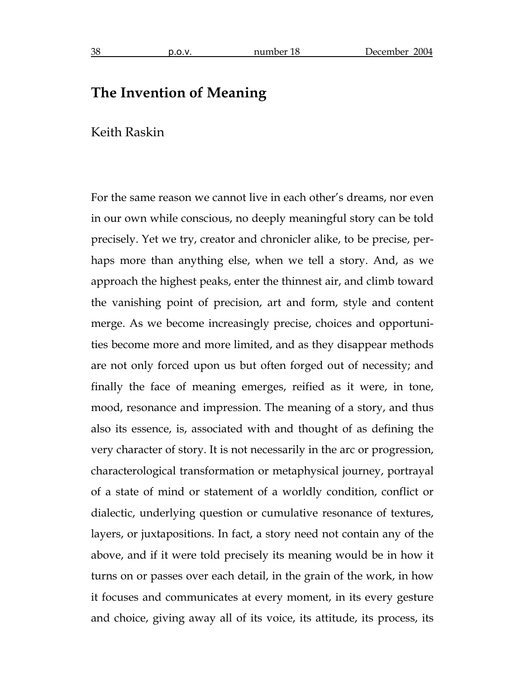### Keith Raskin

For the same reason we cannot live in each other's dreams, nor even in our own while conscious, no deeply meaningful story can be told precisely. Yet we try, creator and chronicler alike, to be precise, perhaps more than anything else, when we tell a story. And, as we approach the highest peaks, enter the thinnest air, and climb toward the vanishing point of precision, art and form, style and content merge. As we become increasingly precise, choices and opportunities become more and more limited, and as they disappear methods are not only forced upon us but often forged out of necessity; and finally the face of meaning emerges, reified as it were, in tone, mood, resonance and impression. The meaning of a story, and thus also its essence, is, associated with and thought of as defining the very character of story. It is not necessarily in the arc or progression, characterological transformation or metaphysical journey, portrayal of a state of mind or statement of a worldly condition, conflict or dialectic, underlying question or cumulative resonance of textures, layers, or juxtapositions. In fact, a story need not contain any of the above, and if it were told precisely its meaning would be in how it turns on or passes over each detail, in the grain of the work, in how it focuses and communicates at every moment, in its every gesture and choice, giving away all of its voice, its attitude, its process, its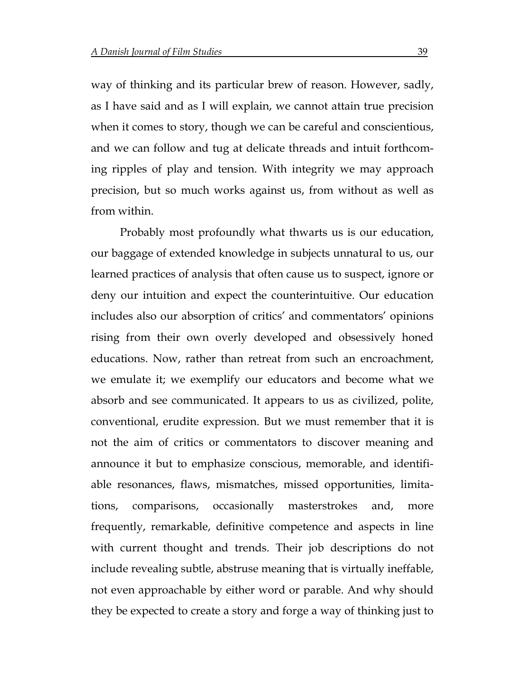way of thinking and its particular brew of reason. However, sadly, as I have said and as I will explain, we cannot attain true precision when it comes to story, though we can be careful and conscientious, and we can follow and tug at delicate threads and intuit forthcoming ripples of play and tension. With integrity we may approach precision, but so much works against us, from without as well as from within.

 Probably most profoundly what thwarts us is our education, our baggage of extended knowledge in subjects unnatural to us, our learned practices of analysis that often cause us to suspect, ignore or deny our intuition and expect the counterintuitive. Our education includes also our absorption of critics' and commentators' opinions rising from their own overly developed and obsessively honed educations. Now, rather than retreat from such an encroachment, we emulate it; we exemplify our educators and become what we absorb and see communicated. It appears to us as civilized, polite, conventional, erudite expression. But we must remember that it is not the aim of critics or commentators to discover meaning and announce it but to emphasize conscious, memorable, and identifiable resonances, flaws, mismatches, missed opportunities, limitations, comparisons, occasionally masterstrokes and, more frequently, remarkable, definitive competence and aspects in line with current thought and trends. Their job descriptions do not include revealing subtle, abstruse meaning that is virtually ineffable, not even approachable by either word or parable. And why should they be expected to create a story and forge a way of thinking just to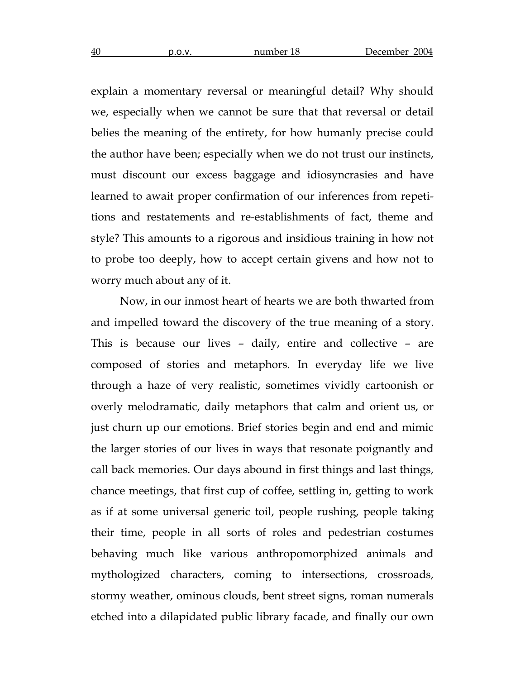explain a momentary reversal or meaningful detail? Why should we, especially when we cannot be sure that that reversal or detail belies the meaning of the entirety, for how humanly precise could the author have been; especially when we do not trust our instincts, must discount our excess baggage and idiosyncrasies and have learned to await proper confirmation of our inferences from repetitions and restatements and re-establishments of fact, theme and style? This amounts to a rigorous and insidious training in how not to probe too deeply, how to accept certain givens and how not to worry much about any of it.

 Now, in our inmost heart of hearts we are both thwarted from and impelled toward the discovery of the true meaning of a story. This is because our lives – daily, entire and collective – are composed of stories and metaphors. In everyday life we live through a haze of very realistic, sometimes vividly cartoonish or overly melodramatic, daily metaphors that calm and orient us, or just churn up our emotions. Brief stories begin and end and mimic the larger stories of our lives in ways that resonate poignantly and call back memories. Our days abound in first things and last things, chance meetings, that first cup of coffee, settling in, getting to work as if at some universal generic toil, people rushing, people taking their time, people in all sorts of roles and pedestrian costumes behaving much like various anthropomorphized animals and mythologized characters, coming to intersections, crossroads, stormy weather, ominous clouds, bent street signs, roman numerals etched into a dilapidated public library facade, and finally our own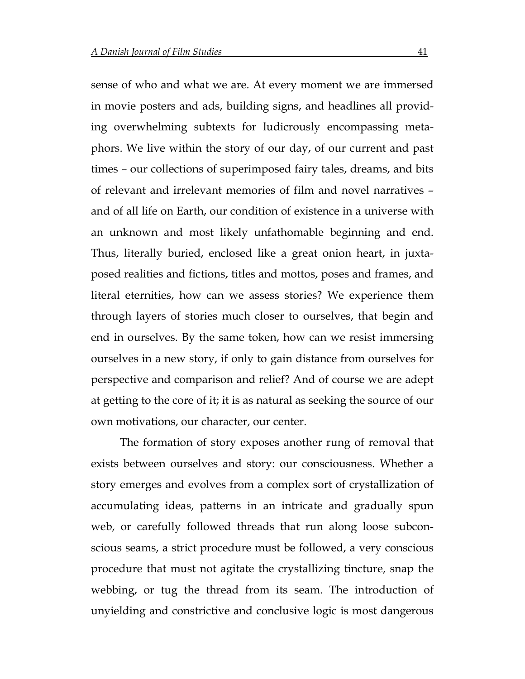sense of who and what we are. At every moment we are immersed in movie posters and ads, building signs, and headlines all providing overwhelming subtexts for ludicrously encompassing metaphors. We live within the story of our day, of our current and past times – our collections of superimposed fairy tales, dreams, and bits of relevant and irrelevant memories of film and novel narratives – and of all life on Earth, our condition of existence in a universe with an unknown and most likely unfathomable beginning and end. Thus, literally buried, enclosed like a great onion heart, in juxtaposed realities and fictions, titles and mottos, poses and frames, and literal eternities, how can we assess stories? We experience them through layers of stories much closer to ourselves, that begin and end in ourselves. By the same token, how can we resist immersing ourselves in a new story, if only to gain distance from ourselves for perspective and comparison and relief? And of course we are adept at getting to the core of it; it is as natural as seeking the source of our own motivations, our character, our center.

 The formation of story exposes another rung of removal that exists between ourselves and story: our consciousness. Whether a story emerges and evolves from a complex sort of crystallization of accumulating ideas, patterns in an intricate and gradually spun web, or carefully followed threads that run along loose subconscious seams, a strict procedure must be followed, a very conscious procedure that must not agitate the crystallizing tincture, snap the webbing, or tug the thread from its seam. The introduction of unyielding and constrictive and conclusive logic is most dangerous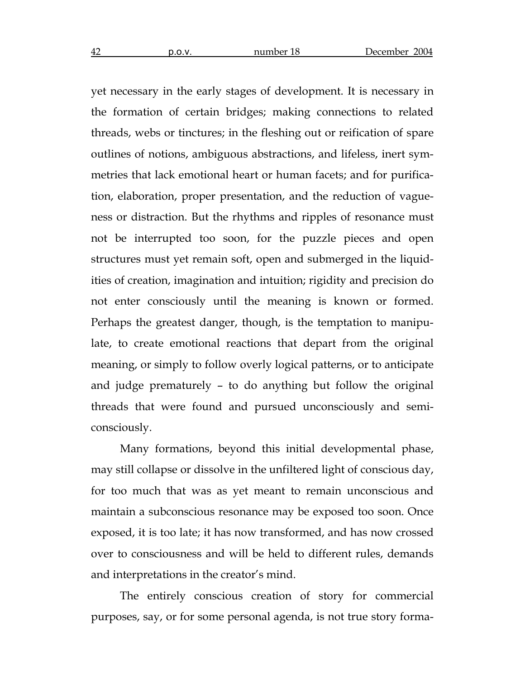yet necessary in the early stages of development. It is necessary in the formation of certain bridges; making connections to related threads, webs or tinctures; in the fleshing out or reification of spare outlines of notions, ambiguous abstractions, and lifeless, inert symmetries that lack emotional heart or human facets; and for purification, elaboration, proper presentation, and the reduction of vagueness or distraction. But the rhythms and ripples of resonance must not be interrupted too soon, for the puzzle pieces and open structures must yet remain soft, open and submerged in the liquidities of creation, imagination and intuition; rigidity and precision do not enter consciously until the meaning is known or formed. Perhaps the greatest danger, though, is the temptation to manipulate, to create emotional reactions that depart from the original meaning, or simply to follow overly logical patterns, or to anticipate and judge prematurely – to do anything but follow the original threads that were found and pursued unconsciously and semiconsciously.

 Many formations, beyond this initial developmental phase, may still collapse or dissolve in the unfiltered light of conscious day, for too much that was as yet meant to remain unconscious and maintain a subconscious resonance may be exposed too soon. Once exposed, it is too late; it has now transformed, and has now crossed over to consciousness and will be held to different rules, demands and interpretations in the creator's mind.

 The entirely conscious creation of story for commercial purposes, say, or for some personal agenda, is not true story forma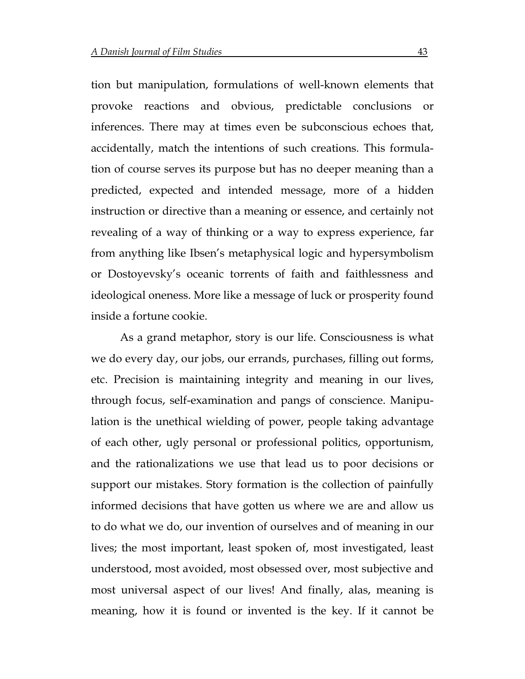tion but manipulation, formulations of well-known elements that provoke reactions and obvious, predictable conclusions or inferences. There may at times even be subconscious echoes that, accidentally, match the intentions of such creations. This formulation of course serves its purpose but has no deeper meaning than a predicted, expected and intended message, more of a hidden instruction or directive than a meaning or essence, and certainly not revealing of a way of thinking or a way to express experience, far from anything like Ibsen's metaphysical logic and hypersymbolism or Dostoyevsky's oceanic torrents of faith and faithlessness and ideological oneness. More like a message of luck or prosperity found inside a fortune cookie.

 As a grand metaphor, story is our life. Consciousness is what we do every day, our jobs, our errands, purchases, filling out forms, etc. Precision is maintaining integrity and meaning in our lives, through focus, self-examination and pangs of conscience. Manipulation is the unethical wielding of power, people taking advantage of each other, ugly personal or professional politics, opportunism, and the rationalizations we use that lead us to poor decisions or support our mistakes. Story formation is the collection of painfully informed decisions that have gotten us where we are and allow us to do what we do, our invention of ourselves and of meaning in our lives; the most important, least spoken of, most investigated, least understood, most avoided, most obsessed over, most subjective and most universal aspect of our lives! And finally, alas, meaning is meaning, how it is found or invented is the key. If it cannot be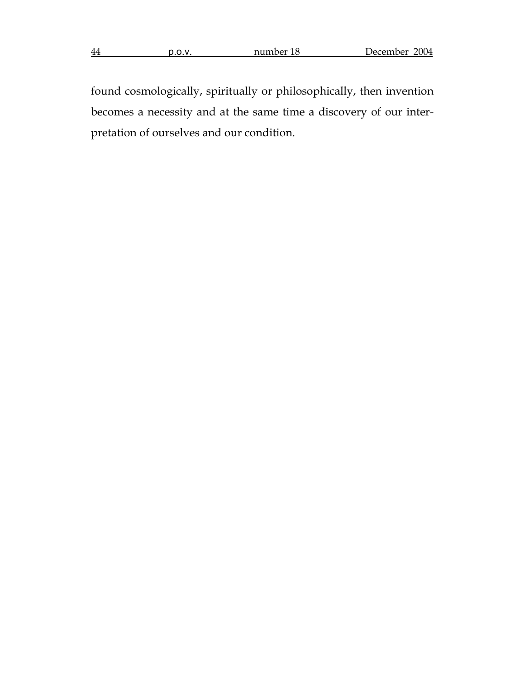| 44 | number | Jecember<br>. س | 2004 |
|----|--------|-----------------|------|
|    |        |                 |      |

found cosmologically, spiritually or philosophically, then invention becomes a necessity and at the same time a discovery of our interpretation of ourselves and our condition.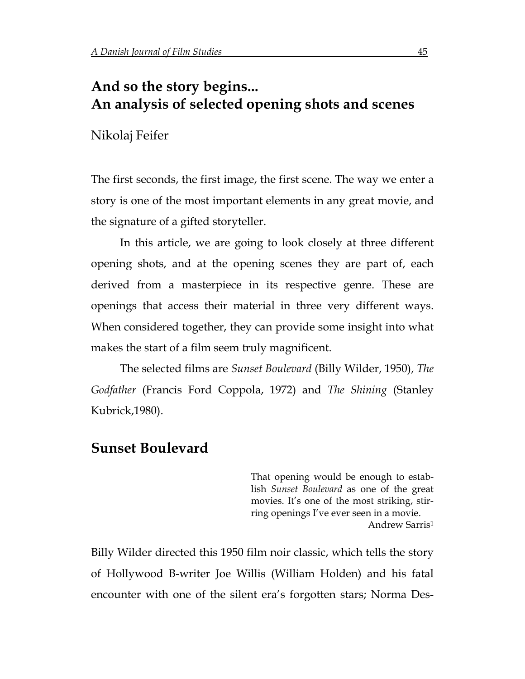# **And so the story begins... An analysis of selected opening shots and scenes**

Nikolaj Feifer

The first seconds, the first image, the first scene. The way we enter a story is one of the most important elements in any great movie, and the signature of a gifted storyteller.

In this article, we are going to look closely at three different opening shots, and at the opening scenes they are part of, each derived from a masterpiece in its respective genre. These are openings that access their material in three very different ways. When considered together, they can provide some insight into what makes the start of a film seem truly magnificent.

The selected films are *Sunset Boulevard* (Billy Wilder, 1950), *The Godfather* (Francis Ford Coppola, 1972) and *The Shining* (Stanley Kubrick,1980).

# **Sunset Boulevard**

That opening would be enough to establish *Sunset Boulevard* as one of the great movies. It's one of the most striking, stirring openings I've ever seen in a movie. Andrew Sarris1

Billy Wilder directed this 1950 film noir classic, which tells the story of Hollywood B-writer Joe Willis (William Holden) and his fatal encounter with one of the silent era's forgotten stars; Norma Des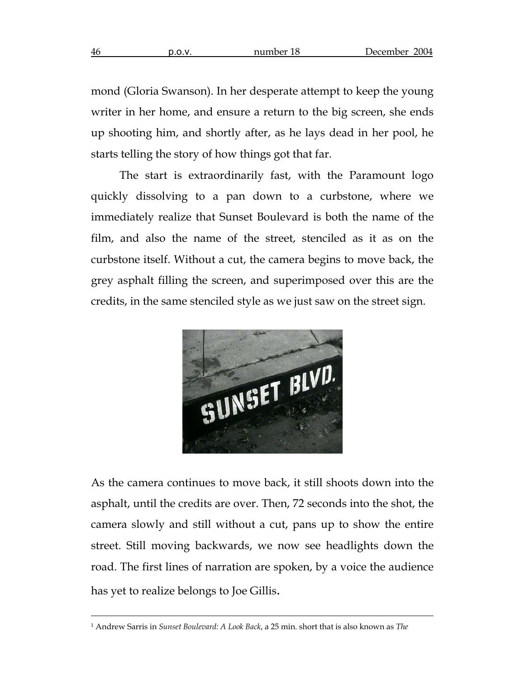mond (Gloria Swanson). In her desperate attempt to keep the young writer in her home, and ensure a return to the big screen, she ends up shooting him, and shortly after, as he lays dead in her pool, he starts telling the story of how things got that far.

The start is extraordinarily fast, with the Paramount logo quickly dissolving to a pan down to a curbstone, where we immediately realize that Sunset Boulevard is both the name of the film, and also the name of the street, stenciled as it as on the curbstone itself. Without a cut, the camera begins to move back, the grey asphalt filling the screen, and superimposed over this are the credits, in the same stenciled style as we just saw on the street sign.



As the camera continues to move back, it still shoots down into the asphalt, until the credits are over. Then, 72 seconds into the shot, the camera slowly and still without a cut, pans up to show the entire street. Still moving backwards, we now see headlights down the road. The first lines of narration are spoken, by a voice the audience has yet to realize belongs to Joe Gillis.

 $\overline{a}$ 

<sup>1</sup> Andrew Sarris in *Sunset Boulevard: A Look Back*, a 25 min. short that is also known as *The*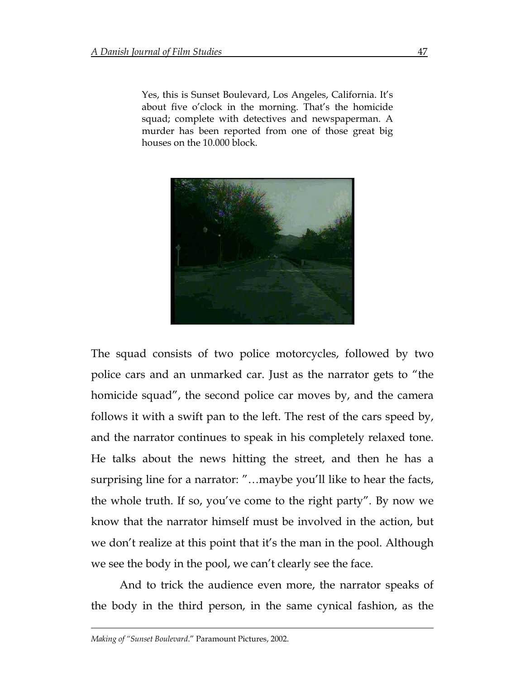Yes, this is Sunset Boulevard, Los Angeles, California. It's about five o'clock in the morning. That's the homicide squad; complete with detectives and newspaperman. A murder has been reported from one of those great big houses on the 10.000 block.



The squad consists of two police motorcycles, followed by two police cars and an unmarked car. Just as the narrator gets to "the homicide squad", the second police car moves by, and the camera follows it with a swift pan to the left. The rest of the cars speed by, and the narrator continues to speak in his completely relaxed tone. He talks about the news hitting the street, and then he has a surprising line for a narrator: "…maybe you'll like to hear the facts, the whole truth. If so, you've come to the right party". By now we know that the narrator himself must be involved in the action, but we don't realize at this point that it's the man in the pool. Although we see the body in the pool, we can't clearly see the face.

And to trick the audience even more, the narrator speaks of the body in the third person, in the same cynical fashion, as the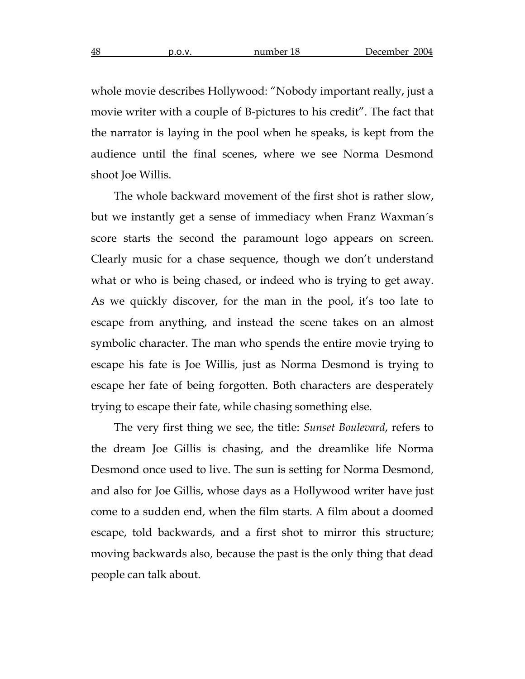whole movie describes Hollywood: "Nobody important really, just a movie writer with a couple of B-pictures to his credit". The fact that the narrator is laying in the pool when he speaks, is kept from the audience until the final scenes, where we see Norma Desmond shoot Joe Willis.

The whole backward movement of the first shot is rather slow, but we instantly get a sense of immediacy when Franz Waxman´s score starts the second the paramount logo appears on screen. Clearly music for a chase sequence, though we don't understand what or who is being chased, or indeed who is trying to get away. As we quickly discover, for the man in the pool, it's too late to escape from anything, and instead the scene takes on an almost symbolic character. The man who spends the entire movie trying to escape his fate is Joe Willis, just as Norma Desmond is trying to escape her fate of being forgotten. Both characters are desperately trying to escape their fate, while chasing something else.

The very first thing we see, the title: *Sunset Boulevard*, refers to the dream Joe Gillis is chasing, and the dreamlike life Norma Desmond once used to live. The sun is setting for Norma Desmond, and also for Joe Gillis, whose days as a Hollywood writer have just come to a sudden end, when the film starts. A film about a doomed escape, told backwards, and a first shot to mirror this structure; moving backwards also, because the past is the only thing that dead people can talk about.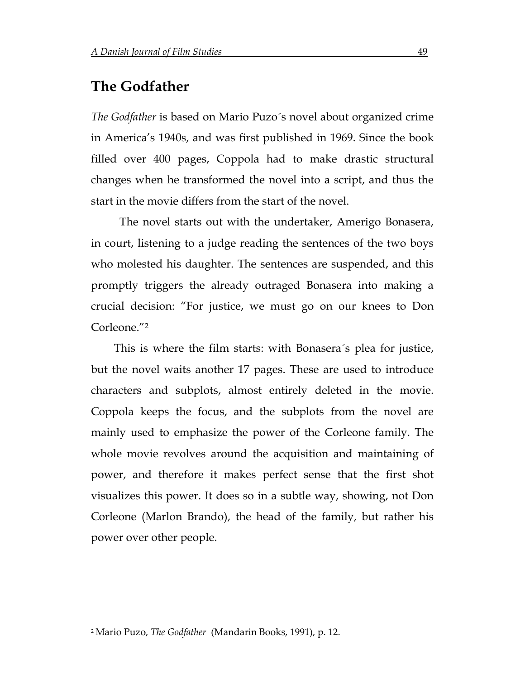## **The Godfather**

*The Godfather* is based on Mario Puzo´s novel about organized crime in America's 1940s, and was first published in 1969. Since the book filled over 400 pages, Coppola had to make drastic structural changes when he transformed the novel into a script, and thus the start in the movie differs from the start of the novel.

The novel starts out with the undertaker, Amerigo Bonasera, in court, listening to a judge reading the sentences of the two boys who molested his daughter. The sentences are suspended, and this promptly triggers the already outraged Bonasera into making a crucial decision: "For justice, we must go on our knees to Don Corleone."2

This is where the film starts: with Bonasera´s plea for justice, but the novel waits another 17 pages. These are used to introduce characters and subplots, almost entirely deleted in the movie. Coppola keeps the focus, and the subplots from the novel are mainly used to emphasize the power of the Corleone family. The whole movie revolves around the acquisition and maintaining of power, and therefore it makes perfect sense that the first shot visualizes this power. It does so in a subtle way, showing, not Don Corleone (Marlon Brando), the head of the family, but rather his power over other people.

<sup>2</sup> Mario Puzo, *The Godfather* (Mandarin Books, 1991), p. 12.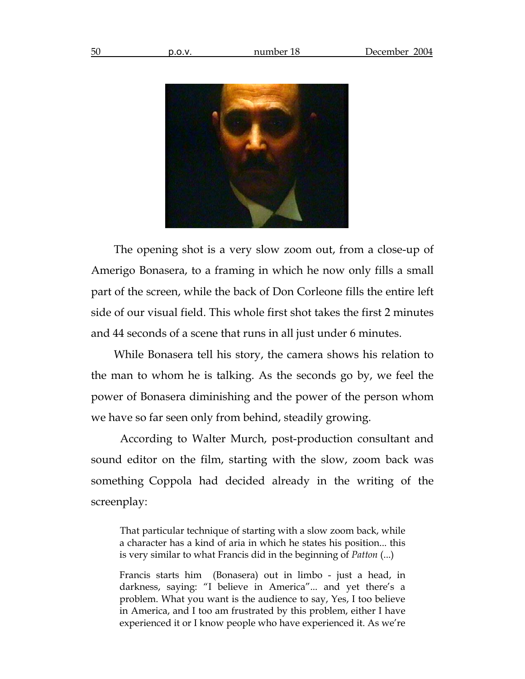

The opening shot is a very slow zoom out, from a close-up of Amerigo Bonasera, to a framing in which he now only fills a small part of the screen, while the back of Don Corleone fills the entire left side of our visual field. This whole first shot takes the first 2 minutes and 44 seconds of a scene that runs in all just under 6 minutes.

While Bonasera tell his story, the camera shows his relation to the man to whom he is talking. As the seconds go by, we feel the power of Bonasera diminishing and the power of the person whom we have so far seen only from behind, steadily growing.

According to Walter Murch, post-production consultant and sound editor on the film, starting with the slow, zoom back was something Coppola had decided already in the writing of the screenplay:

 That particular technique of starting with a slow zoom back, while a character has a kind of aria in which he states his position... this is very similar to what Francis did in the beginning of *Patton* (...)

Francis starts him (Bonasera) out in limbo - just a head, in darkness, saying: "I believe in America"... and yet there's a problem. What you want is the audience to say, Yes, I too believe in America, and I too am frustrated by this problem, either I have experienced it or I know people who have experienced it. As we're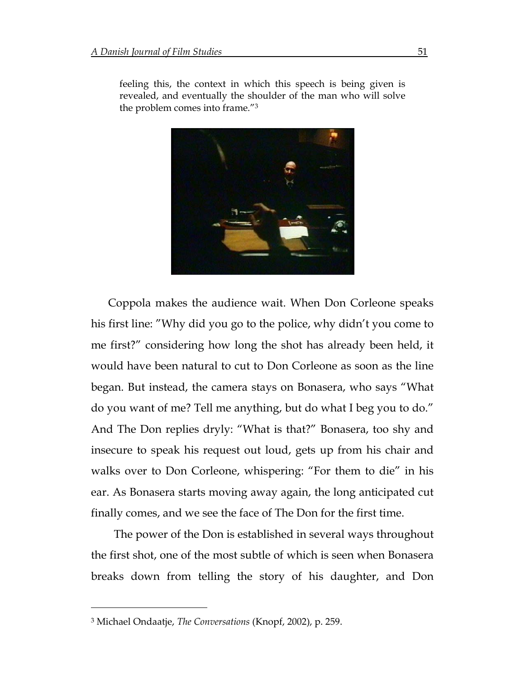feeling this, the context in which this speech is being given is revealed, and eventually the shoulder of the man who will solve the problem comes into frame."3



Coppola makes the audience wait. When Don Corleone speaks his first line: "Why did you go to the police, why didn't you come to me first?" considering how long the shot has already been held, it would have been natural to cut to Don Corleone as soon as the line began. But instead, the camera stays on Bonasera, who says "What do you want of me? Tell me anything, but do what I beg you to do." And The Don replies dryly: "What is that?" Bonasera, too shy and insecure to speak his request out loud, gets up from his chair and walks over to Don Corleone, whispering: "For them to die" in his ear. As Bonasera starts moving away again, the long anticipated cut finally comes, and we see the face of The Don for the first time.

The power of the Don is established in several ways throughout the first shot, one of the most subtle of which is seen when Bonasera breaks down from telling the story of his daughter, and Don

 $\overline{a}$ 

<sup>3</sup> Michael Ondaatje, *The Conversations* (Knopf, 2002), p. 259.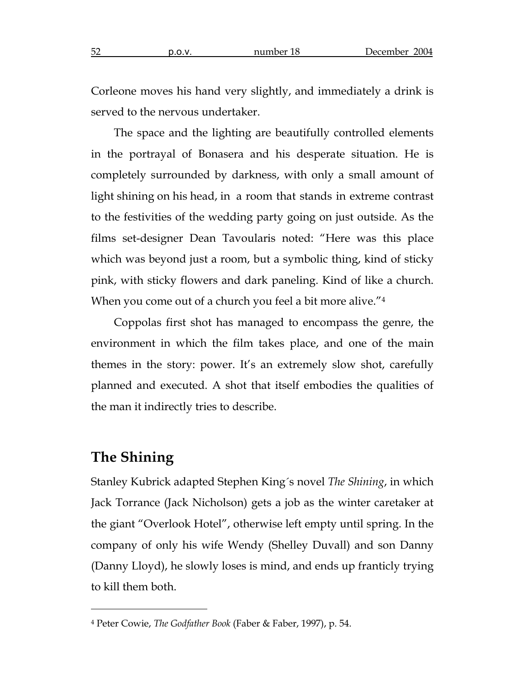Corleone moves his hand very slightly, and immediately a drink is served to the nervous undertaker.

The space and the lighting are beautifully controlled elements in the portrayal of Bonasera and his desperate situation. He is completely surrounded by darkness, with only a small amount of light shining on his head, in a room that stands in extreme contrast to the festivities of the wedding party going on just outside. As the films set-designer Dean Tavoularis noted: "Here was this place which was beyond just a room, but a symbolic thing, kind of sticky pink, with sticky flowers and dark paneling. Kind of like a church. When you come out of a church you feel a bit more alive.<sup>"4</sup>

Coppolas first shot has managed to encompass the genre, the environment in which the film takes place, and one of the main themes in the story: power. It's an extremely slow shot, carefully planned and executed. A shot that itself embodies the qualities of the man it indirectly tries to describe.

### **The Shining**

Stanley Kubrick adapted Stephen King´s novel *The Shining*, in which Jack Torrance (Jack Nicholson) gets a job as the winter caretaker at the giant "Overlook Hotel", otherwise left empty until spring. In the company of only his wife Wendy (Shelley Duvall) and son Danny (Danny Lloyd), he slowly loses is mind, and ends up franticly trying to kill them both.

<sup>4</sup> Peter Cowie, *The Godfather Book* (Faber & Faber, 1997), p. 54.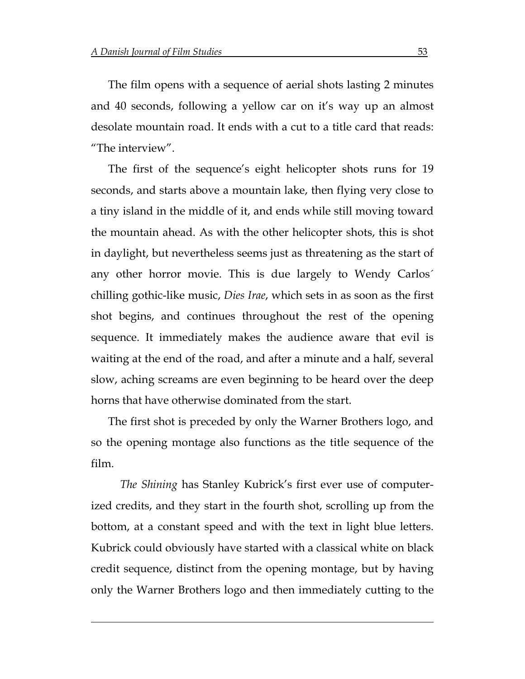$\overline{a}$ 

The film opens with a sequence of aerial shots lasting 2 minutes and 40 seconds, following a yellow car on it's way up an almost desolate mountain road. It ends with a cut to a title card that reads: "The interview".

The first of the sequence's eight helicopter shots runs for 19 seconds, and starts above a mountain lake, then flying very close to a tiny island in the middle of it, and ends while still moving toward the mountain ahead. As with the other helicopter shots, this is shot in daylight, but nevertheless seems just as threatening as the start of any other horror movie. This is due largely to Wendy Carlos´ chilling gothic-like music, *Dies Irae*, which sets in as soon as the first shot begins, and continues throughout the rest of the opening sequence. It immediately makes the audience aware that evil is waiting at the end of the road, and after a minute and a half, several slow, aching screams are even beginning to be heard over the deep horns that have otherwise dominated from the start.

The first shot is preceded by only the Warner Brothers logo, and so the opening montage also functions as the title sequence of the film.

*The Shining* has Stanley Kubrick's first ever use of computerized credits, and they start in the fourth shot, scrolling up from the bottom, at a constant speed and with the text in light blue letters. Kubrick could obviously have started with a classical white on black credit sequence, distinct from the opening montage, but by having only the Warner Brothers logo and then immediately cutting to the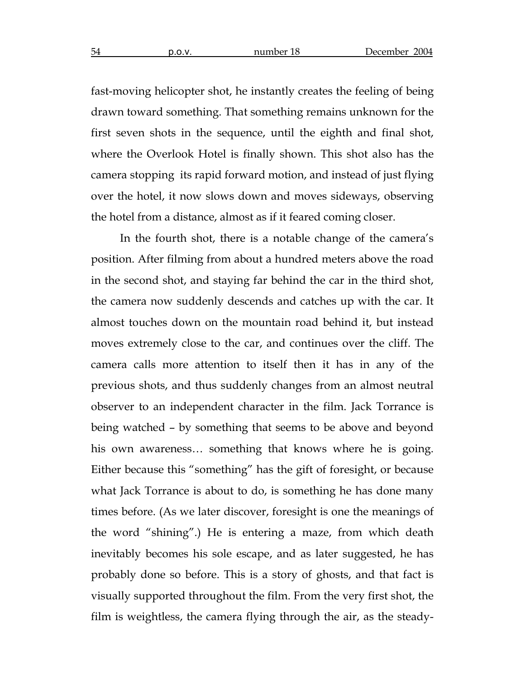fast-moving helicopter shot, he instantly creates the feeling of being drawn toward something. That something remains unknown for the first seven shots in the sequence, until the eighth and final shot, where the Overlook Hotel is finally shown. This shot also has the camera stopping its rapid forward motion, and instead of just flying over the hotel, it now slows down and moves sideways, observing the hotel from a distance, almost as if it feared coming closer.

In the fourth shot, there is a notable change of the camera's position. After filming from about a hundred meters above the road in the second shot, and staying far behind the car in the third shot, the camera now suddenly descends and catches up with the car. It almost touches down on the mountain road behind it, but instead moves extremely close to the car, and continues over the cliff. The camera calls more attention to itself then it has in any of the previous shots, and thus suddenly changes from an almost neutral observer to an independent character in the film. Jack Torrance is being watched – by something that seems to be above and beyond his own awareness… something that knows where he is going. Either because this "something" has the gift of foresight, or because what Jack Torrance is about to do, is something he has done many times before. (As we later discover, foresight is one the meanings of the word "shining".) He is entering a maze, from which death inevitably becomes his sole escape, and as later suggested, he has probably done so before. This is a story of ghosts, and that fact is visually supported throughout the film. From the very first shot, the film is weightless, the camera flying through the air, as the steady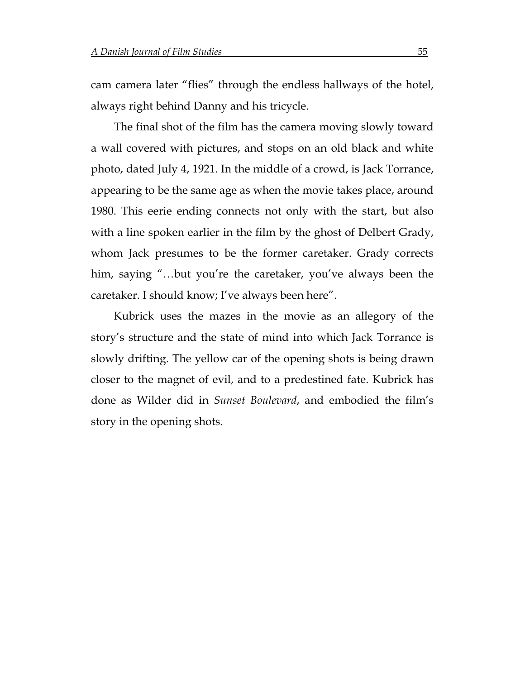cam camera later "flies" through the endless hallways of the hotel, always right behind Danny and his tricycle.

The final shot of the film has the camera moving slowly toward a wall covered with pictures, and stops on an old black and white photo, dated July 4, 1921. In the middle of a crowd, is Jack Torrance, appearing to be the same age as when the movie takes place, around 1980. This eerie ending connects not only with the start, but also with a line spoken earlier in the film by the ghost of Delbert Grady, whom Jack presumes to be the former caretaker. Grady corrects him, saying "...but you're the caretaker, you've always been the caretaker. I should know; I've always been here".

Kubrick uses the mazes in the movie as an allegory of the story's structure and the state of mind into which Jack Torrance is slowly drifting. The yellow car of the opening shots is being drawn closer to the magnet of evil, and to a predestined fate. Kubrick has done as Wilder did in *Sunset Boulevard*, and embodied the film's story in the opening shots.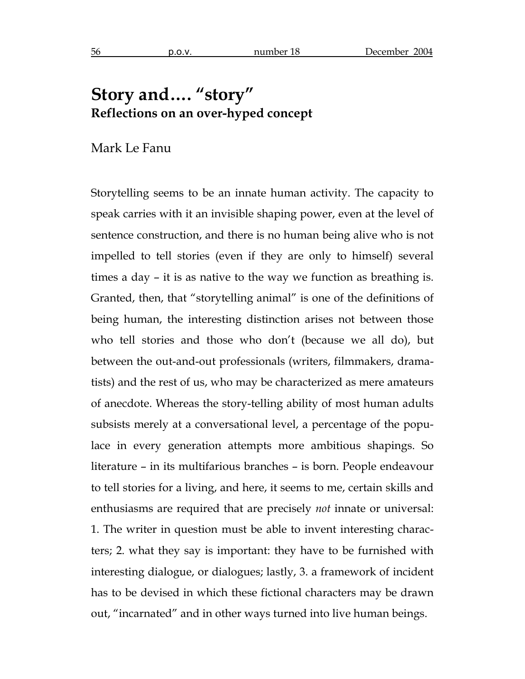# **Story and…. "story" Reflections on an over-hyped concept**

### Mark Le Fanu

Storytelling seems to be an innate human activity. The capacity to speak carries with it an invisible shaping power, even at the level of sentence construction, and there is no human being alive who is not impelled to tell stories (even if they are only to himself) several times a day – it is as native to the way we function as breathing is. Granted, then, that "storytelling animal" is one of the definitions of being human, the interesting distinction arises not between those who tell stories and those who don't (because we all do), but between the out-and-out professionals (writers, filmmakers, dramatists) and the rest of us, who may be characterized as mere amateurs of anecdote. Whereas the story-telling ability of most human adults subsists merely at a conversational level, a percentage of the populace in every generation attempts more ambitious shapings. So literature – in its multifarious branches – is born. People endeavour to tell stories for a living, and here, it seems to me, certain skills and enthusiasms are required that are precisely *not* innate or universal: 1. The writer in question must be able to invent interesting characters; 2. what they say is important: they have to be furnished with interesting dialogue, or dialogues; lastly, 3. a framework of incident has to be devised in which these fictional characters may be drawn out, "incarnated" and in other ways turned into live human beings.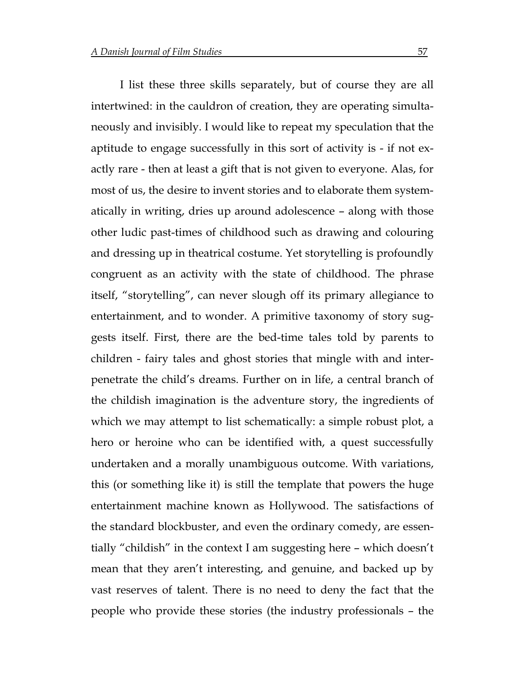I list these three skills separately, but of course they are all intertwined: in the cauldron of creation, they are operating simultaneously and invisibly. I would like to repeat my speculation that the aptitude to engage successfully in this sort of activity is - if not exactly rare - then at least a gift that is not given to everyone. Alas, for most of us, the desire to invent stories and to elaborate them systematically in writing, dries up around adolescence – along with those other ludic past-times of childhood such as drawing and colouring and dressing up in theatrical costume. Yet storytelling is profoundly congruent as an activity with the state of childhood. The phrase itself, "storytelling", can never slough off its primary allegiance to entertainment, and to wonder. A primitive taxonomy of story suggests itself. First, there are the bed-time tales told by parents to children - fairy tales and ghost stories that mingle with and interpenetrate the child's dreams. Further on in life, a central branch of the childish imagination is the adventure story, the ingredients of which we may attempt to list schematically: a simple robust plot, a hero or heroine who can be identified with, a quest successfully undertaken and a morally unambiguous outcome. With variations, this (or something like it) is still the template that powers the huge entertainment machine known as Hollywood. The satisfactions of the standard blockbuster, and even the ordinary comedy, are essentially "childish" in the context I am suggesting here – which doesn't mean that they aren't interesting, and genuine, and backed up by vast reserves of talent. There is no need to deny the fact that the people who provide these stories (the industry professionals – the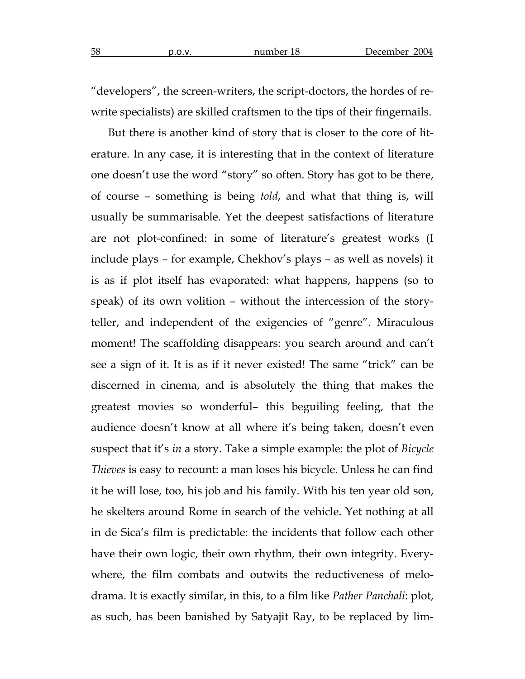"developers", the screen-writers, the script-doctors, the hordes of rewrite specialists) are skilled craftsmen to the tips of their fingernails.

But there is another kind of story that is closer to the core of literature. In any case, it is interesting that in the context of literature one doesn't use the word "story" so often. Story has got to be there, of course – something is being *told*, and what that thing is, will usually be summarisable. Yet the deepest satisfactions of literature are not plot-confined: in some of literature's greatest works (I include plays – for example, Chekhov's plays – as well as novels) it is as if plot itself has evaporated: what happens, happens (so to speak) of its own volition – without the intercession of the storyteller, and independent of the exigencies of "genre". Miraculous moment! The scaffolding disappears: you search around and can't see a sign of it. It is as if it never existed! The same "trick" can be discerned in cinema, and is absolutely the thing that makes the greatest movies so wonderful– this beguiling feeling, that the audience doesn't know at all where it's being taken, doesn't even suspect that it's *in* a story. Take a simple example: the plot of *Bicycle Thieves* is easy to recount: a man loses his bicycle. Unless he can find it he will lose, too, his job and his family. With his ten year old son, he skelters around Rome in search of the vehicle. Yet nothing at all in de Sica's film is predictable: the incidents that follow each other have their own logic, their own rhythm, their own integrity. Everywhere, the film combats and outwits the reductiveness of melodrama. It is exactly similar, in this, to a film like *Pather Panchali*: plot, as such, has been banished by Satyajit Ray, to be replaced by lim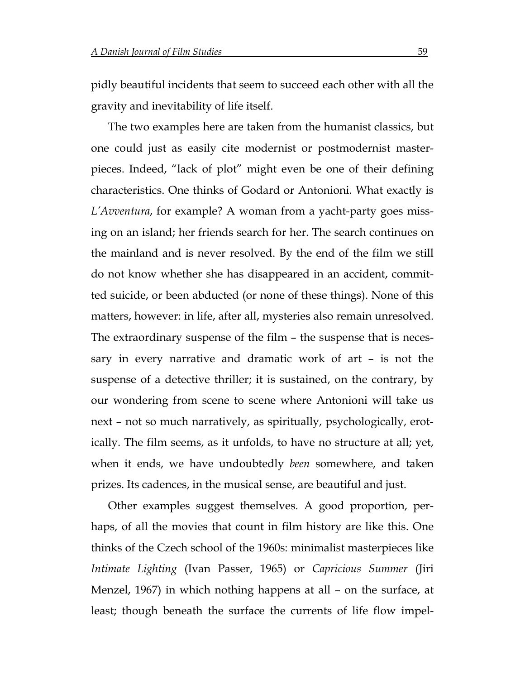pidly beautiful incidents that seem to succeed each other with all the gravity and inevitability of life itself.

The two examples here are taken from the humanist classics, but one could just as easily cite modernist or postmodernist masterpieces. Indeed, "lack of plot" might even be one of their defining characteristics. One thinks of Godard or Antonioni. What exactly is *L'Avventura*, for example? A woman from a yacht-party goes missing on an island; her friends search for her. The search continues on the mainland and is never resolved. By the end of the film we still do not know whether she has disappeared in an accident, committed suicide, or been abducted (or none of these things). None of this matters, however: in life, after all, mysteries also remain unresolved. The extraordinary suspense of the film – the suspense that is necessary in every narrative and dramatic work of art – is not the suspense of a detective thriller; it is sustained, on the contrary, by our wondering from scene to scene where Antonioni will take us next – not so much narratively, as spiritually, psychologically, erotically. The film seems, as it unfolds, to have no structure at all; yet, when it ends, we have undoubtedly *been* somewhere, and taken prizes. Its cadences, in the musical sense, are beautiful and just.

Other examples suggest themselves. A good proportion, perhaps, of all the movies that count in film history are like this. One thinks of the Czech school of the 1960s: minimalist masterpieces like *Intimate Lighting* (Ivan Passer, 1965) or *Capricious Summer* (Jiri Menzel, 1967) in which nothing happens at all – on the surface, at least; though beneath the surface the currents of life flow impel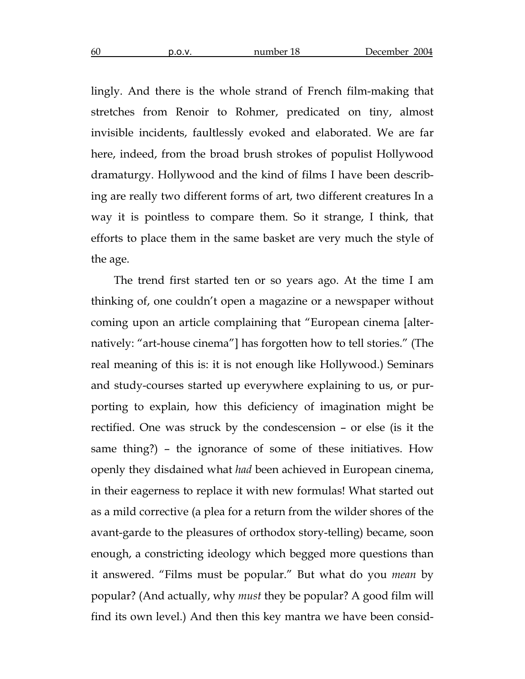lingly. And there is the whole strand of French film-making that stretches from Renoir to Rohmer, predicated on tiny, almost invisible incidents, faultlessly evoked and elaborated. We are far here, indeed, from the broad brush strokes of populist Hollywood dramaturgy. Hollywood and the kind of films I have been describing are really two different forms of art, two different creatures In a way it is pointless to compare them. So it strange, I think, that efforts to place them in the same basket are very much the style of the age.

The trend first started ten or so years ago. At the time I am thinking of, one couldn't open a magazine or a newspaper without coming upon an article complaining that "European cinema [alternatively: "art-house cinema"] has forgotten how to tell stories." (The real meaning of this is: it is not enough like Hollywood.) Seminars and study-courses started up everywhere explaining to us, or purporting to explain, how this deficiency of imagination might be rectified. One was struck by the condescension – or else (is it the same thing?) – the ignorance of some of these initiatives. How openly they disdained what *had* been achieved in European cinema, in their eagerness to replace it with new formulas! What started out as a mild corrective (a plea for a return from the wilder shores of the avant-garde to the pleasures of orthodox story-telling) became, soon enough, a constricting ideology which begged more questions than it answered. "Films must be popular." But what do you *mean* by popular? (And actually, why *must* they be popular? A good film will find its own level.) And then this key mantra we have been consid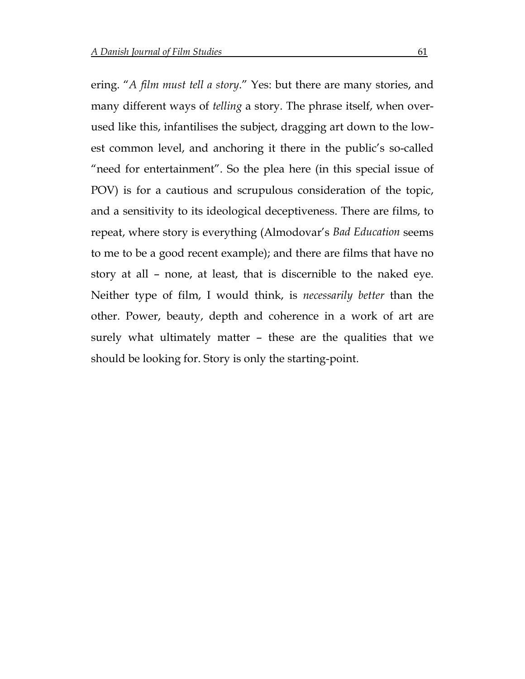ering. "*A film must tell a story*." Yes: but there are many stories, and many different ways of *telling* a story. The phrase itself, when overused like this, infantilises the subject, dragging art down to the lowest common level, and anchoring it there in the public's so-called "need for entertainment". So the plea here (in this special issue of POV) is for a cautious and scrupulous consideration of the topic, and a sensitivity to its ideological deceptiveness. There are films, to repeat, where story is everything (Almodovar's *Bad Education* seems to me to be a good recent example); and there are films that have no story at all – none, at least, that is discernible to the naked eye. Neither type of film, I would think, is *necessarily better* than the other. Power, beauty, depth and coherence in a work of art are surely what ultimately matter – these are the qualities that we should be looking for. Story is only the starting-point.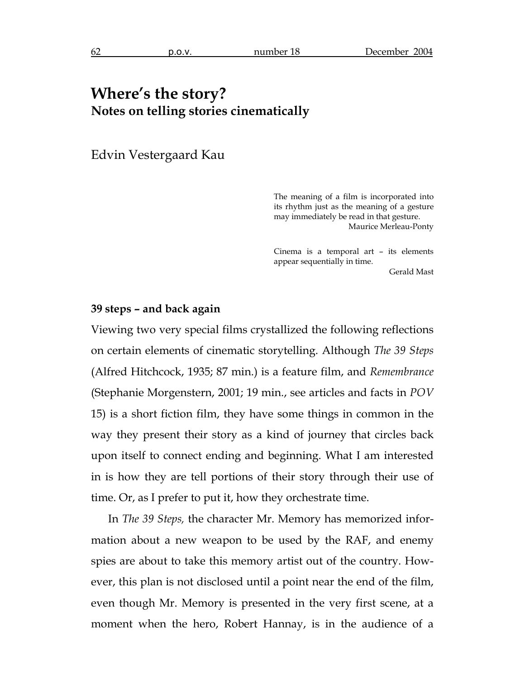# **Where's the story? Notes on telling stories cinematically**

### Edvin Vestergaard Kau

The meaning of a film is incorporated into its rhythm just as the meaning of a gesture may immediately be read in that gesture. Maurice Merleau-Ponty

Cinema is a temporal art – its elements appear sequentially in time. Gerald Mast

#### **39 steps – and back again**

Viewing two very special films crystallized the following reflections on certain elements of cinematic storytelling. Although *The 39 Steps* (Alfred Hitchcock, 1935; 87 min.) is a feature film, and *Remembrance* (Stephanie Morgenstern, 2001; 19 min., see articles and facts in *POV*  15) is a short fiction film, they have some things in common in the way they present their story as a kind of journey that circles back upon itself to connect ending and beginning. What I am interested in is how they are tell portions of their story through their use of time. Or, as I prefer to put it, how they orchestrate time.

In *The 39 Steps,* the character Mr. Memory has memorized information about a new weapon to be used by the RAF, and enemy spies are about to take this memory artist out of the country. However, this plan is not disclosed until a point near the end of the film, even though Mr. Memory is presented in the very first scene, at a moment when the hero, Robert Hannay, is in the audience of a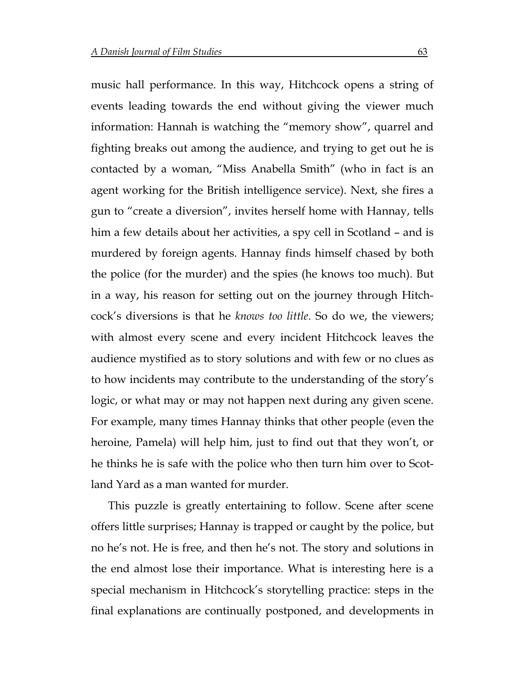music hall performance. In this way, Hitchcock opens a string of events leading towards the end without giving the viewer much information: Hannah is watching the "memory show", quarrel and fighting breaks out among the audience, and trying to get out he is contacted by a woman, "Miss Anabella Smith" (who in fact is an agent working for the British intelligence service). Next, she fires a gun to "create a diversion", invites herself home with Hannay, tells him a few details about her activities, a spy cell in Scotland – and is murdered by foreign agents. Hannay finds himself chased by both the police (for the murder) and the spies (he knows too much). But in a way, his reason for setting out on the journey through Hitchcock's diversions is that he *knows too little*. So do we, the viewers; with almost every scene and every incident Hitchcock leaves the audience mystified as to story solutions and with few or no clues as to how incidents may contribute to the understanding of the story's logic, or what may or may not happen next during any given scene. For example, many times Hannay thinks that other people (even the heroine, Pamela) will help him, just to find out that they won't, or he thinks he is safe with the police who then turn him over to Scotland Yard as a man wanted for murder.

This puzzle is greatly entertaining to follow. Scene after scene offers little surprises; Hannay is trapped or caught by the police, but no he's not. He is free, and then he's not. The story and solutions in the end almost lose their importance. What is interesting here is a special mechanism in Hitchcock's storytelling practice: steps in the final explanations are continually postponed, and developments in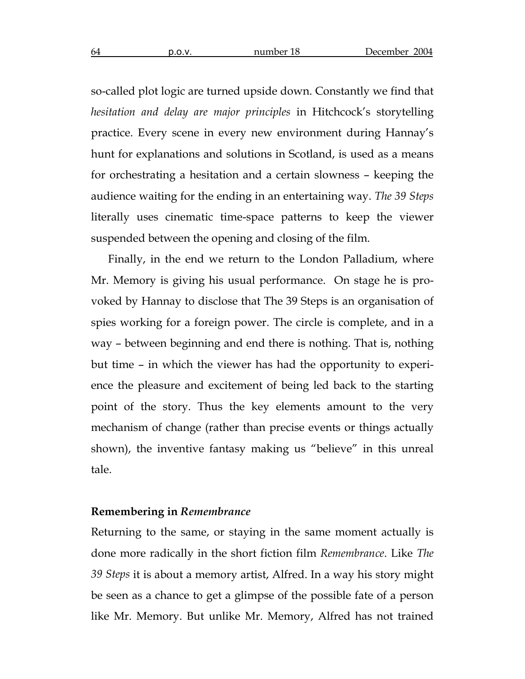so-called plot logic are turned upside down. Constantly we find that *hesitation and delay are major principles* in Hitchcock's storytelling practice. Every scene in every new environment during Hannay's hunt for explanations and solutions in Scotland, is used as a means for orchestrating a hesitation and a certain slowness – keeping the audience waiting for the ending in an entertaining way. *The 39 Steps* literally uses cinematic time-space patterns to keep the viewer suspended between the opening and closing of the film.

Finally, in the end we return to the London Palladium, where Mr. Memory is giving his usual performance. On stage he is provoked by Hannay to disclose that The 39 Steps is an organisation of spies working for a foreign power. The circle is complete, and in a way – between beginning and end there is nothing. That is, nothing but time – in which the viewer has had the opportunity to experience the pleasure and excitement of being led back to the starting point of the story. Thus the key elements amount to the very mechanism of change (rather than precise events or things actually shown), the inventive fantasy making us "believe" in this unreal tale.

#### **Remembering in** *Remembrance*

Returning to the same, or staying in the same moment actually is done more radically in the short fiction film *Remembrance*. Like *The 39 Steps* it is about a memory artist, Alfred. In a way his story might be seen as a chance to get a glimpse of the possible fate of a person like Mr. Memory. But unlike Mr. Memory, Alfred has not trained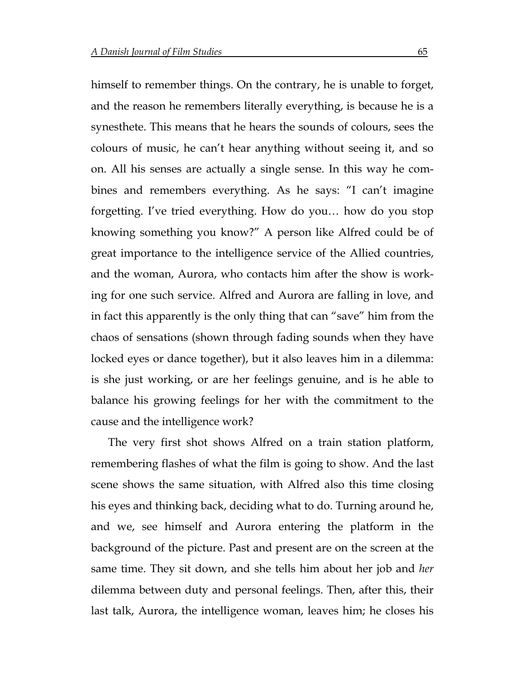himself to remember things. On the contrary, he is unable to forget, and the reason he remembers literally everything, is because he is a synesthete. This means that he hears the sounds of colours, sees the colours of music, he can't hear anything without seeing it, and so on. All his senses are actually a single sense. In this way he combines and remembers everything. As he says: "I can't imagine forgetting. I've tried everything. How do you… how do you stop knowing something you know?" A person like Alfred could be of great importance to the intelligence service of the Allied countries, and the woman, Aurora, who contacts him after the show is working for one such service. Alfred and Aurora are falling in love, and in fact this apparently is the only thing that can "save" him from the chaos of sensations (shown through fading sounds when they have locked eyes or dance together), but it also leaves him in a dilemma: is she just working, or are her feelings genuine, and is he able to balance his growing feelings for her with the commitment to the cause and the intelligence work?

The very first shot shows Alfred on a train station platform, remembering flashes of what the film is going to show. And the last scene shows the same situation, with Alfred also this time closing his eyes and thinking back, deciding what to do. Turning around he, and we, see himself and Aurora entering the platform in the background of the picture. Past and present are on the screen at the same time. They sit down, and she tells him about her job and *her* dilemma between duty and personal feelings. Then, after this, their last talk, Aurora, the intelligence woman, leaves him; he closes his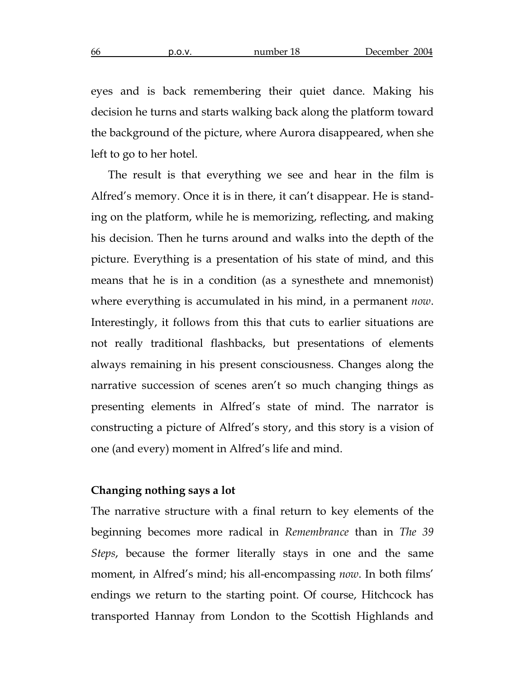eyes and is back remembering their quiet dance. Making his decision he turns and starts walking back along the platform toward the background of the picture, where Aurora disappeared, when she left to go to her hotel.

The result is that everything we see and hear in the film is Alfred's memory. Once it is in there, it can't disappear. He is standing on the platform, while he is memorizing, reflecting, and making his decision. Then he turns around and walks into the depth of the picture. Everything is a presentation of his state of mind, and this means that he is in a condition (as a synesthete and mnemonist) where everything is accumulated in his mind, in a permanent *now*. Interestingly, it follows from this that cuts to earlier situations are not really traditional flashbacks, but presentations of elements always remaining in his present consciousness. Changes along the narrative succession of scenes aren't so much changing things as presenting elements in Alfred's state of mind. The narrator is constructing a picture of Alfred's story, and this story is a vision of one (and every) moment in Alfred's life and mind.

#### **Changing nothing says a lot**

The narrative structure with a final return to key elements of the beginning becomes more radical in *Remembrance* than in *The 39 Steps*, because the former literally stays in one and the same moment, in Alfred's mind; his all-encompassing *now*. In both films' endings we return to the starting point. Of course, Hitchcock has transported Hannay from London to the Scottish Highlands and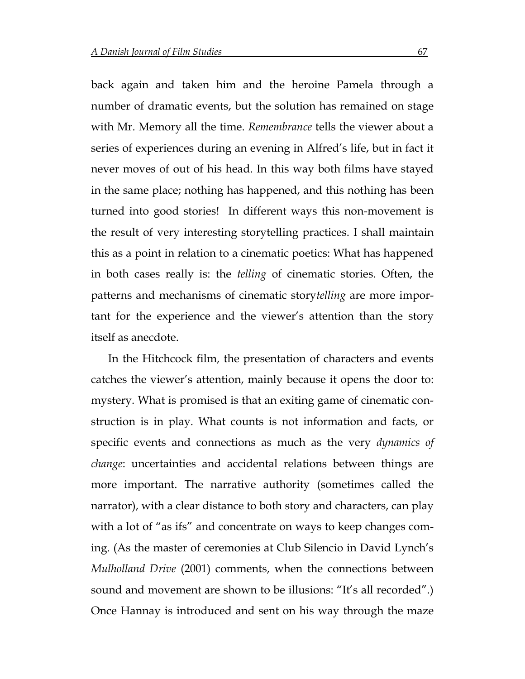back again and taken him and the heroine Pamela through a number of dramatic events, but the solution has remained on stage with Mr. Memory all the time. *Remembrance* tells the viewer about a series of experiences during an evening in Alfred's life, but in fact it never moves of out of his head. In this way both films have stayed in the same place; nothing has happened, and this nothing has been turned into good stories! In different ways this non-movement is the result of very interesting storytelling practices. I shall maintain this as a point in relation to a cinematic poetics: What has happened in both cases really is: the *telling* of cinematic stories. Often, the patterns and mechanisms of cinematic story*telling* are more important for the experience and the viewer's attention than the story itself as anecdote.

In the Hitchcock film, the presentation of characters and events catches the viewer's attention, mainly because it opens the door to: mystery. What is promised is that an exiting game of cinematic construction is in play. What counts is not information and facts, or specific events and connections as much as the very *dynamics of change*: uncertainties and accidental relations between things are more important. The narrative authority (sometimes called the narrator), with a clear distance to both story and characters, can play with a lot of "as ifs" and concentrate on ways to keep changes coming. (As the master of ceremonies at Club Silencio in David Lynch's *Mulholland Drive* (2001) comments, when the connections between sound and movement are shown to be illusions: "It's all recorded".) Once Hannay is introduced and sent on his way through the maze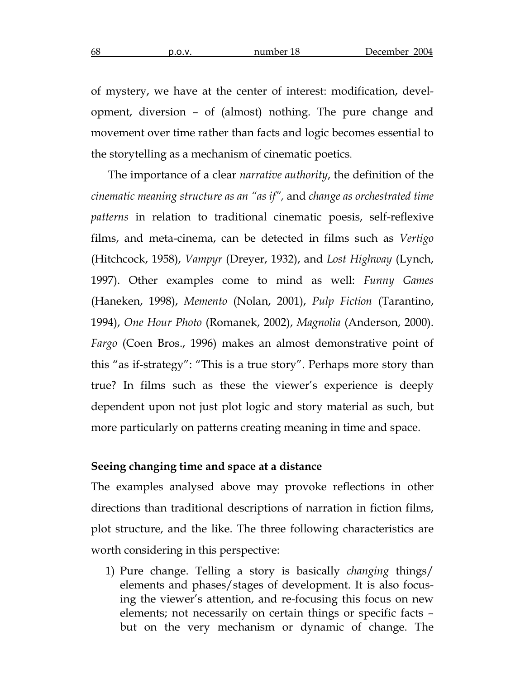68 p.o.v. number 18 December 2004

of mystery, we have at the center of interest: modification, development, diversion – of (almost) nothing. The pure change and movement over time rather than facts and logic becomes essential to the storytelling as a mechanism of cinematic poetics.

The importance of a clear *narrative authority*, the definition of the *cinematic meaning structure as an "as if",* and *change as orchestrated time patterns* in relation to traditional cinematic poesis, self-reflexive films, and meta-cinema, can be detected in films such as *Vertigo* (Hitchcock, 1958), *Vampyr* (Dreyer, 1932), and *Lost Highway* (Lynch, 1997). Other examples come to mind as well: *Funny Games* (Haneken, 1998), *Memento* (Nolan, 2001), *Pulp Fiction* (Tarantino, 1994), *One Hour Photo* (Romanek, 2002), *Magnolia* (Anderson, 2000). *Fargo* (Coen Bros., 1996) makes an almost demonstrative point of this "as if-strategy": "This is a true story". Perhaps more story than true? In films such as these the viewer's experience is deeply dependent upon not just plot logic and story material as such, but more particularly on patterns creating meaning in time and space.

### **Seeing changing time and space at a distance**

The examples analysed above may provoke reflections in other directions than traditional descriptions of narration in fiction films, plot structure, and the like. The three following characteristics are worth considering in this perspective:

1) Pure change. Telling a story is basically *changing* things/ elements and phases/stages of development. It is also focusing the viewer's attention, and re-focusing this focus on new elements; not necessarily on certain things or specific facts – but on the very mechanism or dynamic of change. The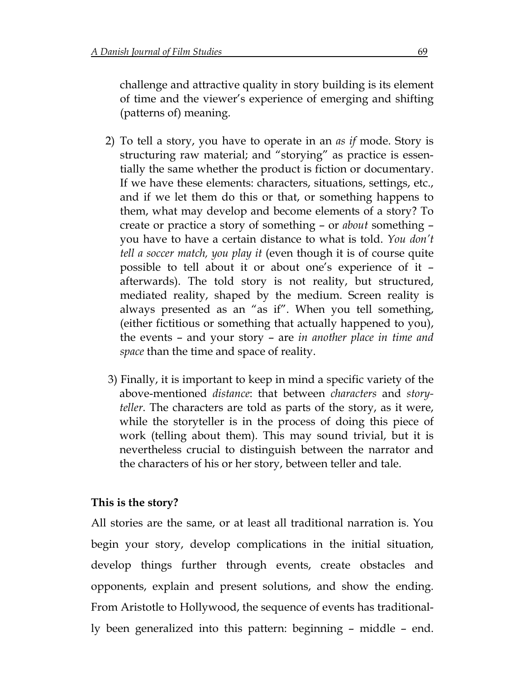challenge and attractive quality in story building is its element of time and the viewer's experience of emerging and shifting (patterns of) meaning.

- 2) To tell a story, you have to operate in an *as if* mode. Story is structuring raw material; and "storying" as practice is essentially the same whether the product is fiction or documentary. If we have these elements: characters, situations, settings, etc., and if we let them do this or that, or something happens to them, what may develop and become elements of a story? To create or practice a story of something – or *about* something – you have to have a certain distance to what is told. *You don't tell a soccer match, you play it* (even though it is of course quite possible to tell about it or about one's experience of it – afterwards). The told story is not reality, but structured, mediated reality, shaped by the medium. Screen reality is always presented as an "as if". When you tell something, (either fictitious or something that actually happened to you), the events – and your story – are *in another place in time and space* than the time and space of reality.
- 3) Finally, it is important to keep in mind a specific variety of the above-mentioned *distance*: that between *characters* and *storyteller*. The characters are told as parts of the story, as it were, while the storyteller is in the process of doing this piece of work (telling about them). This may sound trivial, but it is nevertheless crucial to distinguish between the narrator and the characters of his or her story, between teller and tale.

### **This is the story?**

All stories are the same, or at least all traditional narration is. You begin your story, develop complications in the initial situation, develop things further through events, create obstacles and opponents, explain and present solutions, and show the ending. From Aristotle to Hollywood, the sequence of events has traditionally been generalized into this pattern: beginning – middle – end.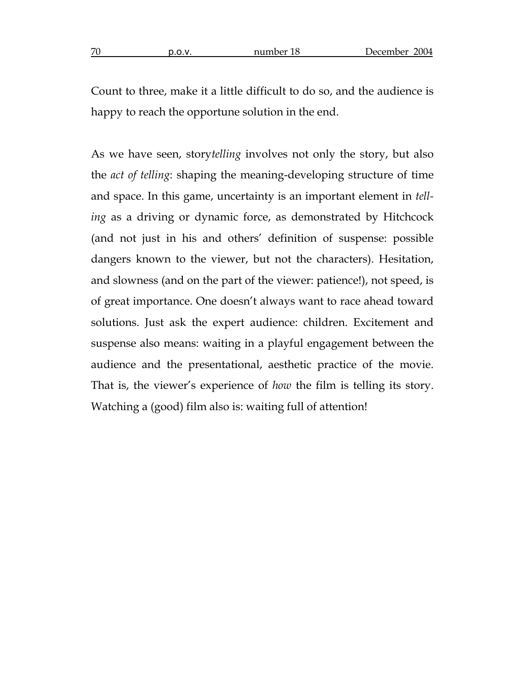Count to three, make it a little difficult to do so, and the audience is happy to reach the opportune solution in the end.

As we have seen, story*telling* involves not only the story, but also the *act of telling*: shaping the meaning-developing structure of time and space. In this game, uncertainty is an important element in *telling* as a driving or dynamic force, as demonstrated by Hitchcock (and not just in his and others' definition of suspense: possible dangers known to the viewer, but not the characters). Hesitation, and slowness (and on the part of the viewer: patience!), not speed, is of great importance. One doesn't always want to race ahead toward solutions. Just ask the expert audience: children. Excitement and suspense also means: waiting in a playful engagement between the audience and the presentational, aesthetic practice of the movie. That is, the viewer's experience of *how* the film is telling its story. Watching a (good) film also is: waiting full of attention!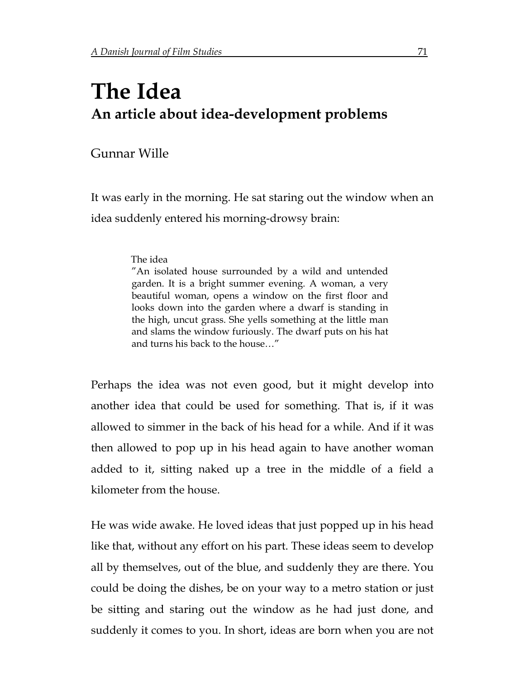# **The Idea An article about idea-development problems**

### Gunnar Wille

It was early in the morning. He sat staring out the window when an idea suddenly entered his morning-drowsy brain:

#### The idea

"An isolated house surrounded by a wild and untended garden. It is a bright summer evening. A woman, a very beautiful woman, opens a window on the first floor and looks down into the garden where a dwarf is standing in the high, uncut grass. She yells something at the little man and slams the window furiously. The dwarf puts on his hat and turns his back to the house…"

Perhaps the idea was not even good, but it might develop into another idea that could be used for something. That is, if it was allowed to simmer in the back of his head for a while. And if it was then allowed to pop up in his head again to have another woman added to it, sitting naked up a tree in the middle of a field a kilometer from the house.

He was wide awake. He loved ideas that just popped up in his head like that, without any effort on his part. These ideas seem to develop all by themselves, out of the blue, and suddenly they are there. You could be doing the dishes, be on your way to a metro station or just be sitting and staring out the window as he had just done, and suddenly it comes to you. In short, ideas are born when you are not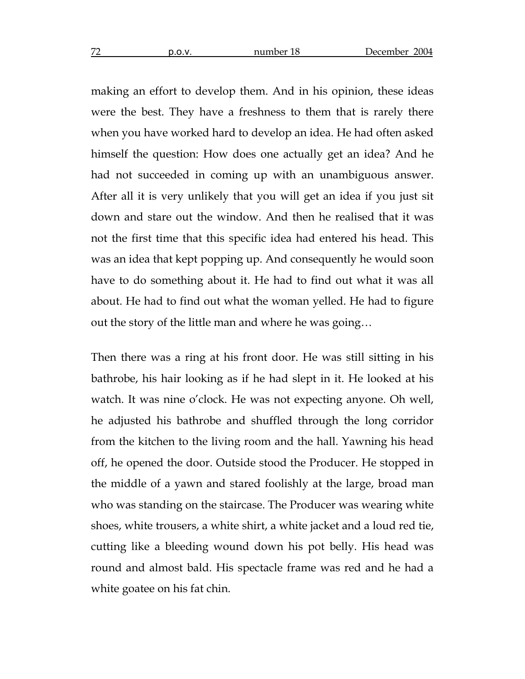making an effort to develop them. And in his opinion, these ideas were the best. They have a freshness to them that is rarely there when you have worked hard to develop an idea. He had often asked himself the question: How does one actually get an idea? And he had not succeeded in coming up with an unambiguous answer. After all it is very unlikely that you will get an idea if you just sit down and stare out the window. And then he realised that it was not the first time that this specific idea had entered his head. This was an idea that kept popping up. And consequently he would soon have to do something about it. He had to find out what it was all about. He had to find out what the woman yelled. He had to figure out the story of the little man and where he was going…

Then there was a ring at his front door. He was still sitting in his bathrobe, his hair looking as if he had slept in it. He looked at his watch. It was nine o'clock. He was not expecting anyone. Oh well, he adjusted his bathrobe and shuffled through the long corridor from the kitchen to the living room and the hall. Yawning his head off, he opened the door. Outside stood the Producer. He stopped in the middle of a yawn and stared foolishly at the large, broad man who was standing on the staircase. The Producer was wearing white shoes, white trousers, a white shirt, a white jacket and a loud red tie, cutting like a bleeding wound down his pot belly. His head was round and almost bald. His spectacle frame was red and he had a white goatee on his fat chin.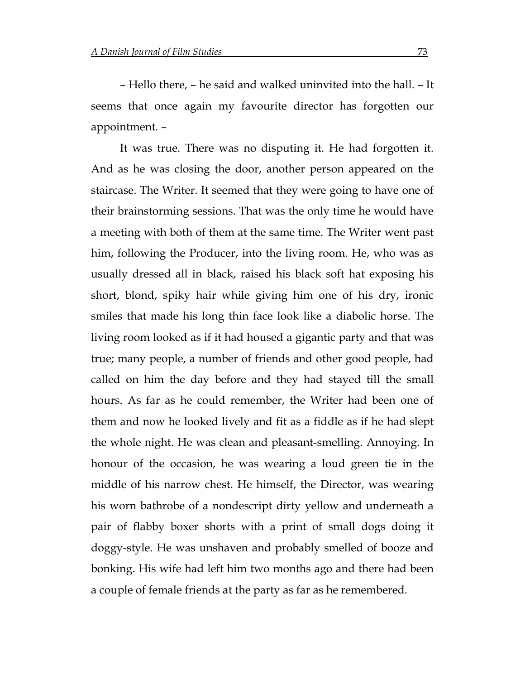– Hello there, – he said and walked uninvited into the hall. – It seems that once again my favourite director has forgotten our appointment. –

 It was true. There was no disputing it. He had forgotten it. And as he was closing the door, another person appeared on the staircase. The Writer. It seemed that they were going to have one of their brainstorming sessions. That was the only time he would have a meeting with both of them at the same time. The Writer went past him, following the Producer, into the living room. He, who was as usually dressed all in black, raised his black soft hat exposing his short, blond, spiky hair while giving him one of his dry, ironic smiles that made his long thin face look like a diabolic horse. The living room looked as if it had housed a gigantic party and that was true; many people, a number of friends and other good people, had called on him the day before and they had stayed till the small hours. As far as he could remember, the Writer had been one of them and now he looked lively and fit as a fiddle as if he had slept the whole night. He was clean and pleasant-smelling. Annoying. In honour of the occasion, he was wearing a loud green tie in the middle of his narrow chest. He himself, the Director, was wearing his worn bathrobe of a nondescript dirty yellow and underneath a pair of flabby boxer shorts with a print of small dogs doing it doggy-style. He was unshaven and probably smelled of booze and bonking. His wife had left him two months ago and there had been a couple of female friends at the party as far as he remembered.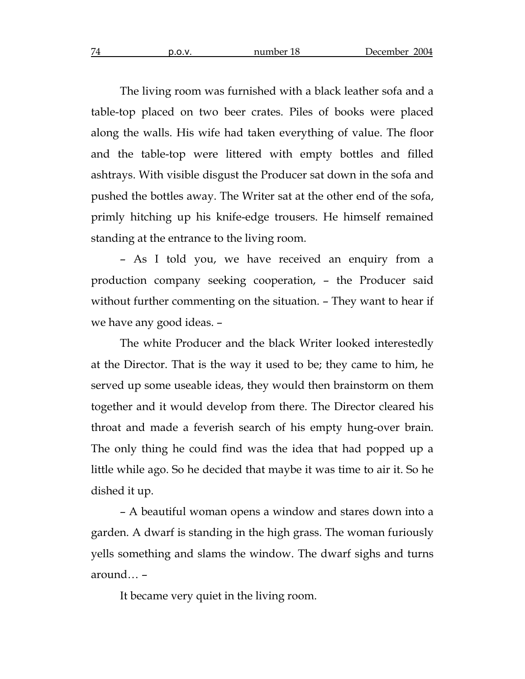| 74 | $\cdot$ . | number | Jecember | 2004 |
|----|-----------|--------|----------|------|
|    |           |        |          |      |

 The living room was furnished with a black leather sofa and a table-top placed on two beer crates. Piles of books were placed along the walls. His wife had taken everything of value. The floor and the table-top were littered with empty bottles and filled ashtrays. With visible disgust the Producer sat down in the sofa and pushed the bottles away. The Writer sat at the other end of the sofa, primly hitching up his knife-edge trousers. He himself remained standing at the entrance to the living room.

 – As I told you, we have received an enquiry from a production company seeking cooperation, – the Producer said without further commenting on the situation. – They want to hear if we have any good ideas. –

 The white Producer and the black Writer looked interestedly at the Director. That is the way it used to be; they came to him, he served up some useable ideas, they would then brainstorm on them together and it would develop from there. The Director cleared his throat and made a feverish search of his empty hung-over brain. The only thing he could find was the idea that had popped up a little while ago. So he decided that maybe it was time to air it. So he dished it up.

 – A beautiful woman opens a window and stares down into a garden. A dwarf is standing in the high grass. The woman furiously yells something and slams the window. The dwarf sighs and turns around… –

It became very quiet in the living room.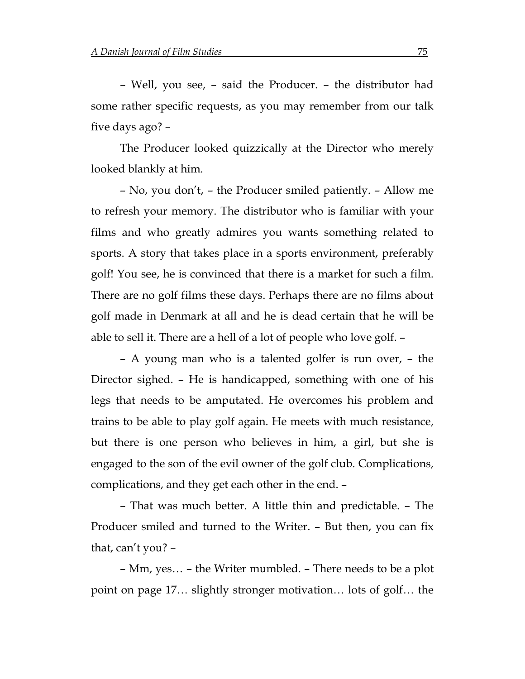– Well, you see, – said the Producer. – the distributor had some rather specific requests, as you may remember from our talk five days ago? –

 The Producer looked quizzically at the Director who merely looked blankly at him.

 – No, you don't, – the Producer smiled patiently. – Allow me to refresh your memory. The distributor who is familiar with your films and who greatly admires you wants something related to sports. A story that takes place in a sports environment, preferably golf! You see, he is convinced that there is a market for such a film. There are no golf films these days. Perhaps there are no films about golf made in Denmark at all and he is dead certain that he will be able to sell it. There are a hell of a lot of people who love golf. –

 – A young man who is a talented golfer is run over, – the Director sighed. – He is handicapped, something with one of his legs that needs to be amputated. He overcomes his problem and trains to be able to play golf again. He meets with much resistance, but there is one person who believes in him, a girl, but she is engaged to the son of the evil owner of the golf club. Complications, complications, and they get each other in the end. –

 – That was much better. A little thin and predictable. – The Producer smiled and turned to the Writer. – But then, you can fix that, can't you? –

 – Mm, yes… – the Writer mumbled. – There needs to be a plot point on page 17… slightly stronger motivation… lots of golf… the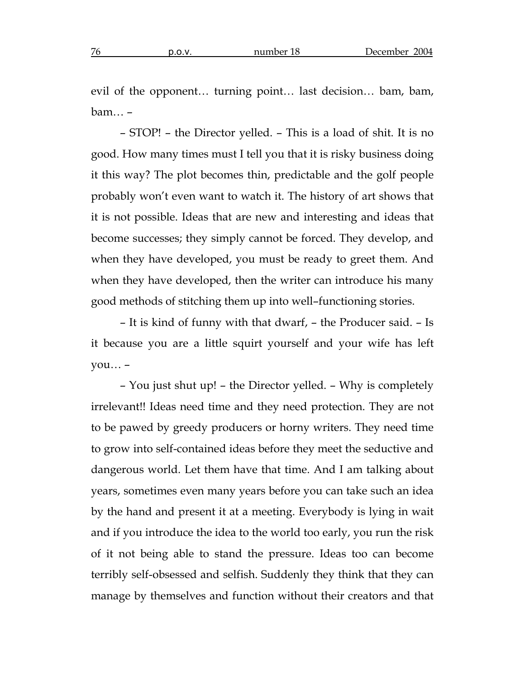evil of the opponent… turning point… last decision… bam, bam, bam… –

 – STOP! – the Director yelled. – This is a load of shit. It is no good. How many times must I tell you that it is risky business doing it this way? The plot becomes thin, predictable and the golf people probably won't even want to watch it. The history of art shows that it is not possible. Ideas that are new and interesting and ideas that become successes; they simply cannot be forced. They develop, and when they have developed, you must be ready to greet them. And when they have developed, then the writer can introduce his many good methods of stitching them up into well–functioning stories.

 – It is kind of funny with that dwarf, – the Producer said. – Is it because you are a little squirt yourself and your wife has left you… –

 – You just shut up! – the Director yelled. – Why is completely irrelevant!! Ideas need time and they need protection. They are not to be pawed by greedy producers or horny writers. They need time to grow into self-contained ideas before they meet the seductive and dangerous world. Let them have that time. And I am talking about years, sometimes even many years before you can take such an idea by the hand and present it at a meeting. Everybody is lying in wait and if you introduce the idea to the world too early, you run the risk of it not being able to stand the pressure. Ideas too can become terribly self-obsessed and selfish. Suddenly they think that they can manage by themselves and function without their creators and that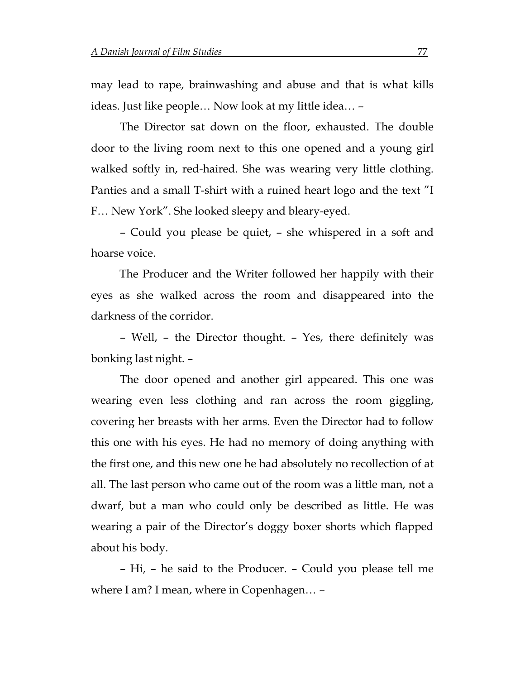may lead to rape, brainwashing and abuse and that is what kills ideas. Just like people… Now look at my little idea… –

 The Director sat down on the floor, exhausted. The double door to the living room next to this one opened and a young girl walked softly in, red-haired. She was wearing very little clothing. Panties and a small T-shirt with a ruined heart logo and the text "I F… New York". She looked sleepy and bleary-eyed.

 – Could you please be quiet, – she whispered in a soft and hoarse voice.

The Producer and the Writer followed her happily with their eyes as she walked across the room and disappeared into the darkness of the corridor.

 – Well, – the Director thought. – Yes, there definitely was bonking last night. –

The door opened and another girl appeared. This one was wearing even less clothing and ran across the room giggling, covering her breasts with her arms. Even the Director had to follow this one with his eyes. He had no memory of doing anything with the first one, and this new one he had absolutely no recollection of at all. The last person who came out of the room was a little man, not a dwarf, but a man who could only be described as little. He was wearing a pair of the Director's doggy boxer shorts which flapped about his body.

 – Hi, – he said to the Producer. – Could you please tell me where I am? I mean, where in Copenhagen… –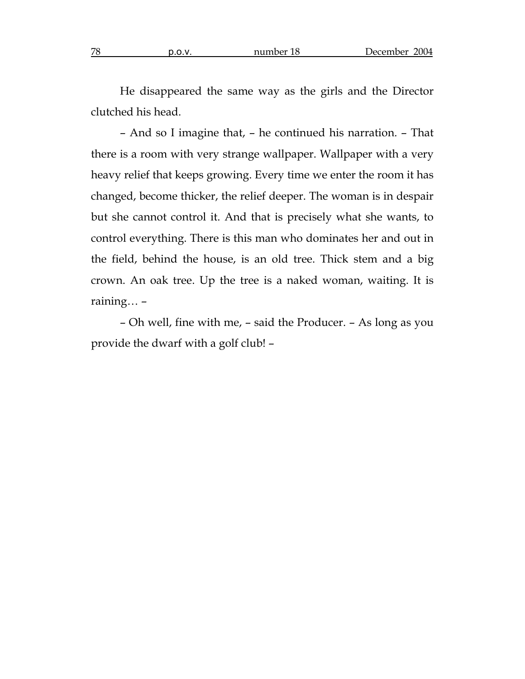He disappeared the same way as the girls and the Director clutched his head.

 – And so I imagine that, – he continued his narration. – That there is a room with very strange wallpaper. Wallpaper with a very heavy relief that keeps growing. Every time we enter the room it has changed, become thicker, the relief deeper. The woman is in despair but she cannot control it. And that is precisely what she wants, to control everything. There is this man who dominates her and out in the field, behind the house, is an old tree. Thick stem and a big crown. An oak tree. Up the tree is a naked woman, waiting. It is raining… –

 – Oh well, fine with me, – said the Producer. – As long as you provide the dwarf with a golf club! –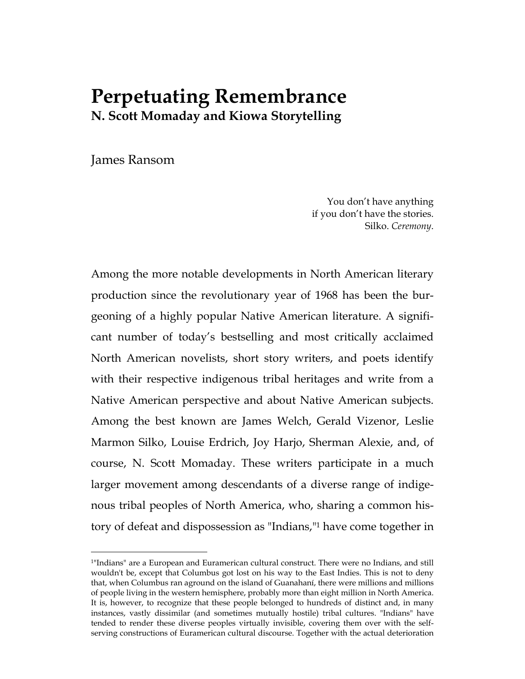## **Perpetuating Remembrance N. Scott Momaday and Kiowa Storytelling**

James Ransom

 $\overline{a}$ 

 You don't have anything if you don't have the stories. Silko. *Ceremony*.

Among the more notable developments in North American literary production since the revolutionary year of 1968 has been the burgeoning of a highly popular Native American literature. A significant number of today's bestselling and most critically acclaimed North American novelists, short story writers, and poets identify with their respective indigenous tribal heritages and write from a Native American perspective and about Native American subjects. Among the best known are James Welch, Gerald Vizenor, Leslie Marmon Silko, Louise Erdrich, Joy Harjo, Sherman Alexie, and, of course, N. Scott Momaday. These writers participate in a much larger movement among descendants of a diverse range of indigenous tribal peoples of North America, who, sharing a common history of defeat and dispossession as "Indians,"1 have come together in

<sup>1&</sup>quot;Indians" are a European and Euramerican cultural construct. There were no Indians, and still wouldn't be, except that Columbus got lost on his way to the East Indies. This is not to deny that, when Columbus ran aground on the island of Guanahaní, there were millions and millions of people living in the western hemisphere, probably more than eight million in North America. It is, however, to recognize that these people belonged to hundreds of distinct and, in many instances, vastly dissimilar (and sometimes mutually hostile) tribal cultures. "Indians" have tended to render these diverse peoples virtually invisible, covering them over with the selfserving constructions of Euramerican cultural discourse. Together with the actual deterioration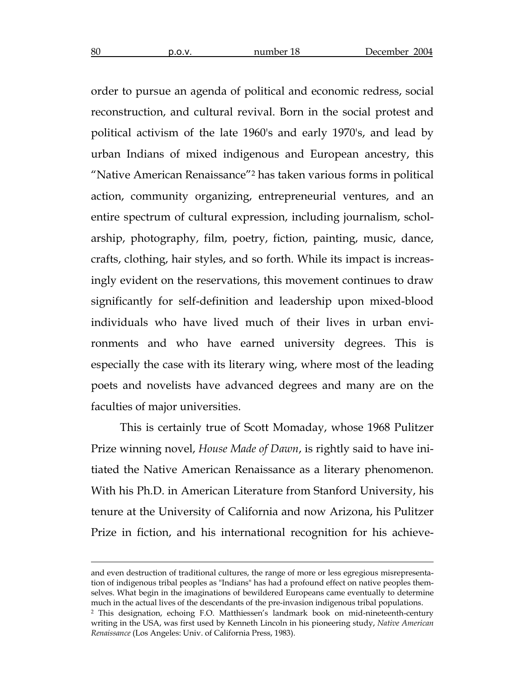order to pursue an agenda of political and economic redress, social reconstruction, and cultural revival. Born in the social protest and political activism of the late 1960's and early 1970's, and lead by urban Indians of mixed indigenous and European ancestry, this "Native American Renaissance"2 has taken various forms in political action, community organizing, entrepreneurial ventures, and an entire spectrum of cultural expression, including journalism, scholarship, photography, film, poetry, fiction, painting, music, dance, crafts, clothing, hair styles, and so forth. While its impact is increasingly evident on the reservations, this movement continues to draw significantly for self-definition and leadership upon mixed-blood individuals who have lived much of their lives in urban environments and who have earned university degrees. This is especially the case with its literary wing, where most of the leading poets and novelists have advanced degrees and many are on the faculties of major universities.

This is certainly true of Scott Momaday, whose 1968 Pulitzer Prize winning novel, *House Made of Dawn*, is rightly said to have initiated the Native American Renaissance as a literary phenomenon. With his Ph.D. in American Literature from Stanford University, his tenure at the University of California and now Arizona, his Pulitzer Prize in fiction, and his international recognition for his achieve-

and even destruction of traditional cultures, the range of more or less egregious misrepresentation of indigenous tribal peoples as "Indians" has had a profound effect on native peoples themselves. What begin in the imaginations of bewildered Europeans came eventually to determine much in the actual lives of the descendants of the pre-invasion indigenous tribal populations.

<sup>2</sup> This designation, echoing F.O. Matthiessen's landmark book on mid-nineteenth-century writing in the USA, was first used by Kenneth Lincoln in his pioneering study, *Native American Renaissance* (Los Angeles: Univ. of California Press, 1983).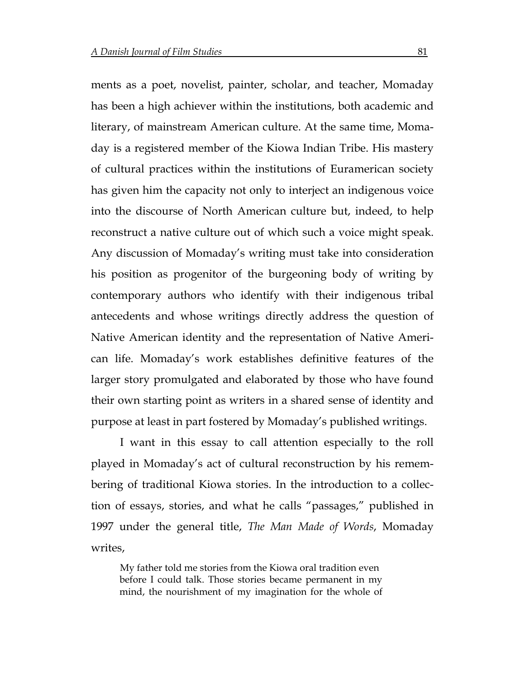ments as a poet, novelist, painter, scholar, and teacher, Momaday has been a high achiever within the institutions, both academic and literary, of mainstream American culture. At the same time, Momaday is a registered member of the Kiowa Indian Tribe. His mastery of cultural practices within the institutions of Euramerican society has given him the capacity not only to interject an indigenous voice into the discourse of North American culture but, indeed, to help reconstruct a native culture out of which such a voice might speak. Any discussion of Momaday's writing must take into consideration his position as progenitor of the burgeoning body of writing by contemporary authors who identify with their indigenous tribal antecedents and whose writings directly address the question of Native American identity and the representation of Native American life. Momaday's work establishes definitive features of the larger story promulgated and elaborated by those who have found their own starting point as writers in a shared sense of identity and purpose at least in part fostered by Momaday's published writings.

I want in this essay to call attention especially to the roll played in Momaday's act of cultural reconstruction by his remembering of traditional Kiowa stories. In the introduction to a collection of essays, stories, and what he calls "passages," published in 1997 under the general title, *The Man Made of Words*, Momaday writes,

My father told me stories from the Kiowa oral tradition even before I could talk. Those stories became permanent in my mind, the nourishment of my imagination for the whole of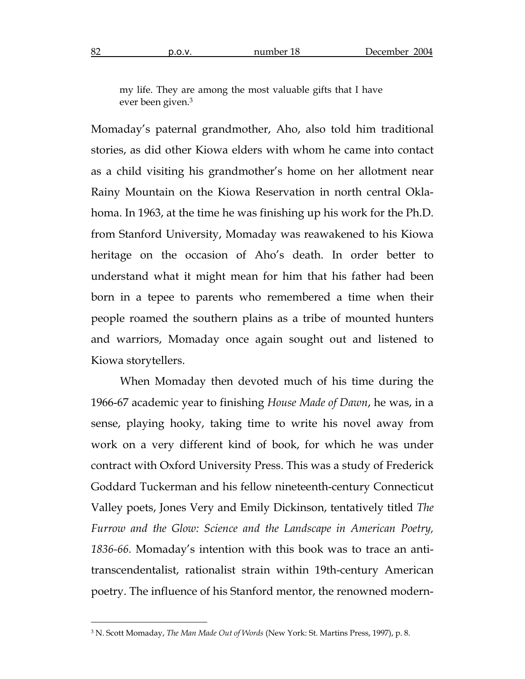my life. They are among the most valuable gifts that I have ever been given.3

Momaday's paternal grandmother, Aho, also told him traditional stories, as did other Kiowa elders with whom he came into contact as a child visiting his grandmother's home on her allotment near Rainy Mountain on the Kiowa Reservation in north central Oklahoma. In 1963, at the time he was finishing up his work for the Ph.D. from Stanford University, Momaday was reawakened to his Kiowa heritage on the occasion of Aho's death. In order better to understand what it might mean for him that his father had been born in a tepee to parents who remembered a time when their people roamed the southern plains as a tribe of mounted hunters and warriors, Momaday once again sought out and listened to Kiowa storytellers.

When Momaday then devoted much of his time during the 1966-67 academic year to finishing *House Made of Dawn*, he was, in a sense, playing hooky, taking time to write his novel away from work on a very different kind of book, for which he was under contract with Oxford University Press. This was a study of Frederick Goddard Tuckerman and his fellow nineteenth-century Connecticut Valley poets, Jones Very and Emily Dickinson, tentatively titled *The Furrow and the Glow: Science and the Landscape in American Poetry, 1836-66.* Momaday's intention with this book was to trace an antitranscendentalist, rationalist strain within 19th-century American poetry. The influence of his Stanford mentor, the renowned modern-

<sup>3</sup> N. Scott Momaday, *The Man Made Out of Words* (New York: St. Martins Press, 1997), p. 8.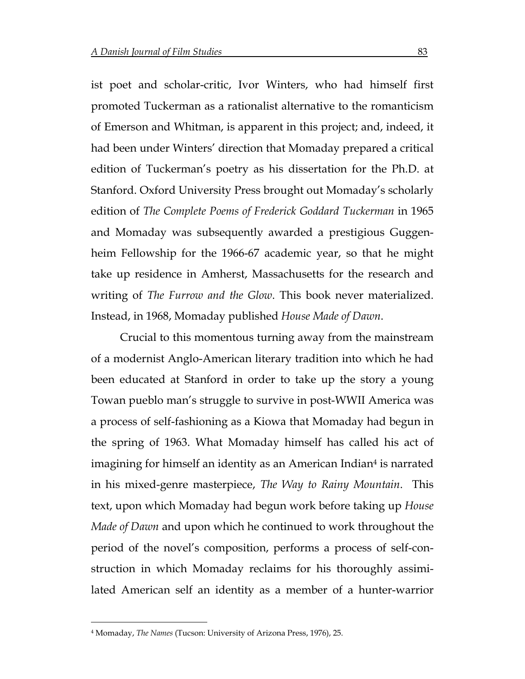ist poet and scholar-critic, Ivor Winters, who had himself first promoted Tuckerman as a rationalist alternative to the romanticism of Emerson and Whitman, is apparent in this project; and, indeed, it had been under Winters' direction that Momaday prepared a critical edition of Tuckerman's poetry as his dissertation for the Ph.D. at Stanford. Oxford University Press brought out Momaday's scholarly edition of *The Complete Poems of Frederick Goddard Tuckerman* in 1965 and Momaday was subsequently awarded a prestigious Guggenheim Fellowship for the 1966-67 academic year, so that he might take up residence in Amherst, Massachusetts for the research and writing of *The Furrow and the Glow*. This book never materialized. Instead, in 1968, Momaday published *House Made of Dawn*.

Crucial to this momentous turning away from the mainstream of a modernist Anglo-American literary tradition into which he had been educated at Stanford in order to take up the story a young Towan pueblo man's struggle to survive in post-WWII America was a process of self-fashioning as a Kiowa that Momaday had begun in the spring of 1963. What Momaday himself has called his act of imagining for himself an identity as an American Indian4 is narrated in his mixed-genre masterpiece, *The Way to Rainy Mountain*. This text, upon which Momaday had begun work before taking up *House Made of Dawn* and upon which he continued to work throughout the period of the novel's composition, performs a process of self-construction in which Momaday reclaims for his thoroughly assimilated American self an identity as a member of a hunter-warrior

<sup>4</sup> Momaday, *The Names* (Tucson: University of Arizona Press, 1976), 25.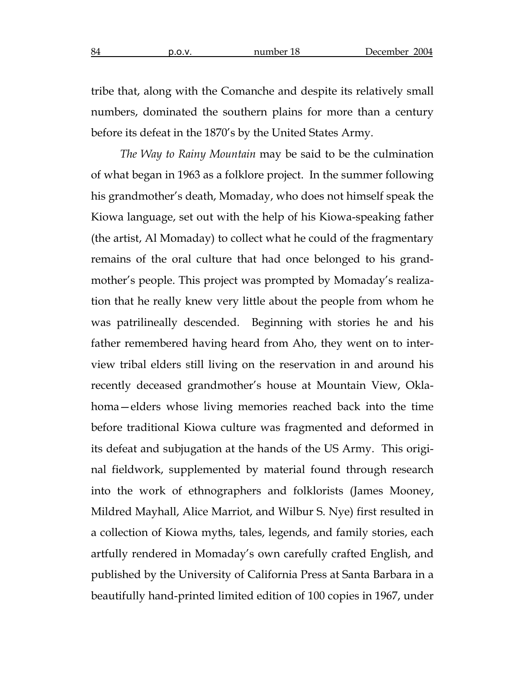tribe that, along with the Comanche and despite its relatively small numbers, dominated the southern plains for more than a century before its defeat in the 1870's by the United States Army.

*The Way to Rainy Mountain* may be said to be the culmination of what began in 1963 as a folklore project. In the summer following his grandmother's death, Momaday, who does not himself speak the Kiowa language, set out with the help of his Kiowa-speaking father (the artist, Al Momaday) to collect what he could of the fragmentary remains of the oral culture that had once belonged to his grandmother's people. This project was prompted by Momaday's realization that he really knew very little about the people from whom he was patrilineally descended. Beginning with stories he and his father remembered having heard from Aho, they went on to interview tribal elders still living on the reservation in and around his recently deceased grandmother's house at Mountain View, Oklahoma—elders whose living memories reached back into the time before traditional Kiowa culture was fragmented and deformed in its defeat and subjugation at the hands of the US Army. This original fieldwork, supplemented by material found through research into the work of ethnographers and folklorists (James Mooney, Mildred Mayhall, Alice Marriot, and Wilbur S. Nye) first resulted in a collection of Kiowa myths, tales, legends, and family stories, each artfully rendered in Momaday's own carefully crafted English, and published by the University of California Press at Santa Barbara in a beautifully hand-printed limited edition of 100 copies in 1967, under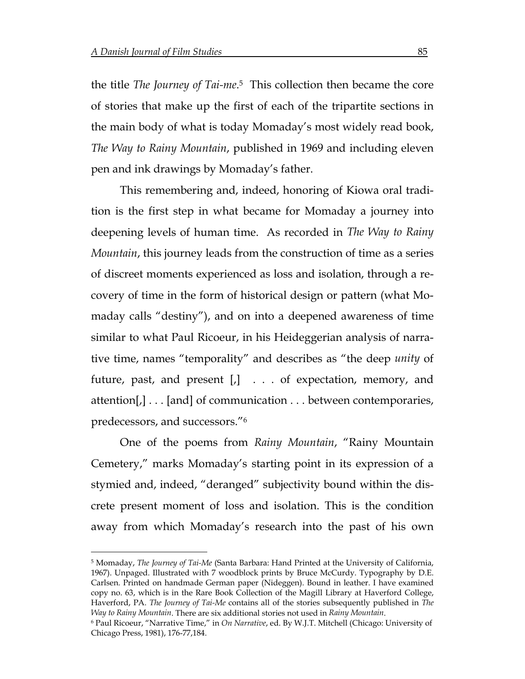$\overline{a}$ 

the title *The Journey of Tai-me*.5 This collection then became the core of stories that make up the first of each of the tripartite sections in the main body of what is today Momaday's most widely read book, *The Way to Rainy Mountain*, published in 1969 and including eleven pen and ink drawings by Momaday's father.

This remembering and, indeed, honoring of Kiowa oral tradition is the first step in what became for Momaday a journey into deepening levels of human time. As recorded in *The Way to Rainy Mountain*, this journey leads from the construction of time as a series of discreet moments experienced as loss and isolation, through a recovery of time in the form of historical design or pattern (what Momaday calls "destiny"), and on into a deepened awareness of time similar to what Paul Ricoeur, in his Heideggerian analysis of narrative time, names "temporality" and describes as "the deep *unity* of future, past, and present [,] . . . of expectation, memory, and attention[,] . . . [and] of communication . . . between contemporaries, predecessors, and successors."6

One of the poems from *Rainy Mountain*, "Rainy Mountain Cemetery," marks Momaday's starting point in its expression of a stymied and, indeed, "deranged" subjectivity bound within the discrete present moment of loss and isolation. This is the condition away from which Momaday's research into the past of his own

<sup>5</sup> Momaday, *The Journey of Tai-Me* (Santa Barbara: Hand Printed at the University of California, 1967). Unpaged. Illustrated with 7 woodblock prints by Bruce McCurdy. Typography by D.E. Carlsen. Printed on handmade German paper (Nideggen). Bound in leather. I have examined copy no. 63, which is in the Rare Book Collection of the Magill Library at Haverford College, Haverford, PA. *The Journey of Tai-Me* contains all of the stories subsequently published in *The Way to Rainy Mountain*. There are six additional stories not used in *Rainy Mountain*.<br><sup>6</sup> Paul Ricoeur, "Narrative Time," in *On Narrative*, ed. By W.J.T. Mitchell (Chicago: University of

Chicago Press, 1981), 176-77,184.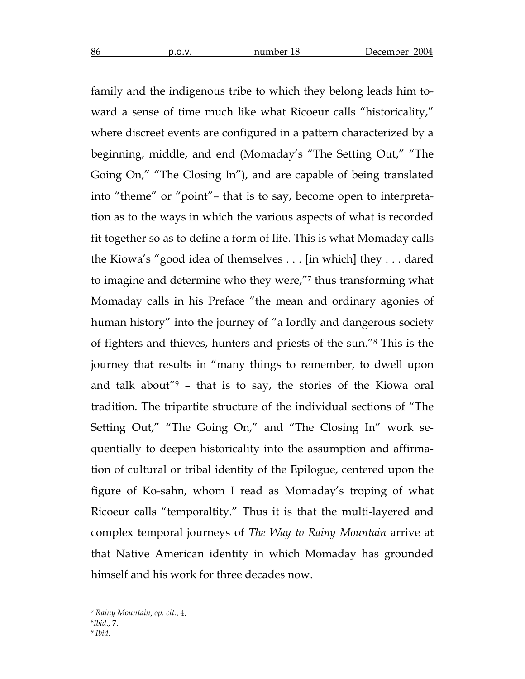family and the indigenous tribe to which they belong leads him toward a sense of time much like what Ricoeur calls "historicality," where discreet events are configured in a pattern characterized by a beginning, middle, and end (Momaday's "The Setting Out," "The Going On," "The Closing In"), and are capable of being translated into "theme" or "point"– that is to say, become open to interpretation as to the ways in which the various aspects of what is recorded fit together so as to define a form of life. This is what Momaday calls the Kiowa's "good idea of themselves . . . [in which] they . . . dared to imagine and determine who they were,"7 thus transforming what Momaday calls in his Preface "the mean and ordinary agonies of human history" into the journey of "a lordly and dangerous society of fighters and thieves, hunters and priests of the sun."8 This is the journey that results in "many things to remember, to dwell upon and talk about" $9$  - that is to say, the stories of the Kiowa oral tradition. The tripartite structure of the individual sections of "The Setting Out," "The Going On," and "The Closing In" work sequentially to deepen historicality into the assumption and affirmation of cultural or tribal identity of the Epilogue, centered upon the figure of Ko-sahn, whom I read as Momaday's troping of what Ricoeur calls "temporaltity." Thus it is that the multi-layered and complex temporal journeys of *The Way to Rainy Mountain* arrive at that Native American identity in which Momaday has grounded himself and his work for three decades now.

<sup>7</sup> *Rainy Mountain*, *op. cit.*, 4. 8*Ibid*., 7. 9 *Ibid.*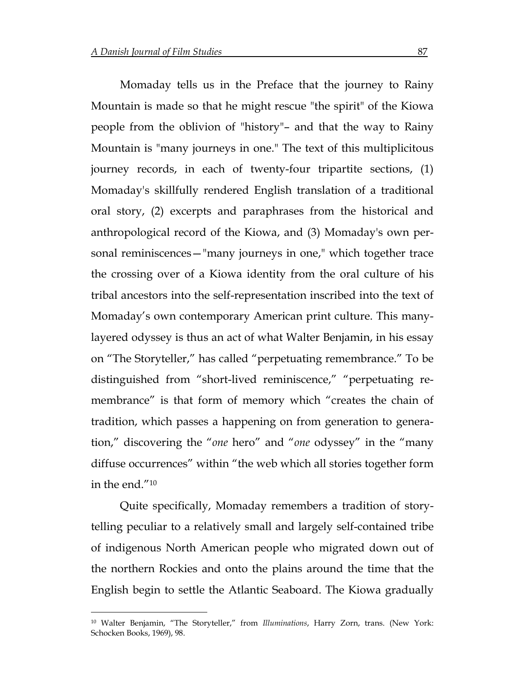Momaday tells us in the Preface that the journey to Rainy Mountain is made so that he might rescue "the spirit" of the Kiowa people from the oblivion of "history"– and that the way to Rainy Mountain is "many journeys in one." The text of this multiplicitous journey records, in each of twenty-four tripartite sections, (1) Momaday's skillfully rendered English translation of a traditional oral story, (2) excerpts and paraphrases from the historical and anthropological record of the Kiowa, and (3) Momaday's own personal reminiscences—"many journeys in one," which together trace the crossing over of a Kiowa identity from the oral culture of his tribal ancestors into the self-representation inscribed into the text of Momaday's own contemporary American print culture. This manylayered odyssey is thus an act of what Walter Benjamin, in his essay on "The Storyteller," has called "perpetuating remembrance." To be distinguished from "short-lived reminiscence," "perpetuating remembrance" is that form of memory which "creates the chain of tradition, which passes a happening on from generation to generation," discovering the "*one* hero" and "*one* odyssey" in the "many diffuse occurrences" within "the web which all stories together form in the end."10

 Quite specifically, Momaday remembers a tradition of storytelling peculiar to a relatively small and largely self-contained tribe of indigenous North American people who migrated down out of the northern Rockies and onto the plains around the time that the English begin to settle the Atlantic Seaboard. The Kiowa gradually

<sup>10</sup> Walter Benjamin, "The Storyteller," from *Illuminations*, Harry Zorn, trans. (New York: Schocken Books, 1969), 98.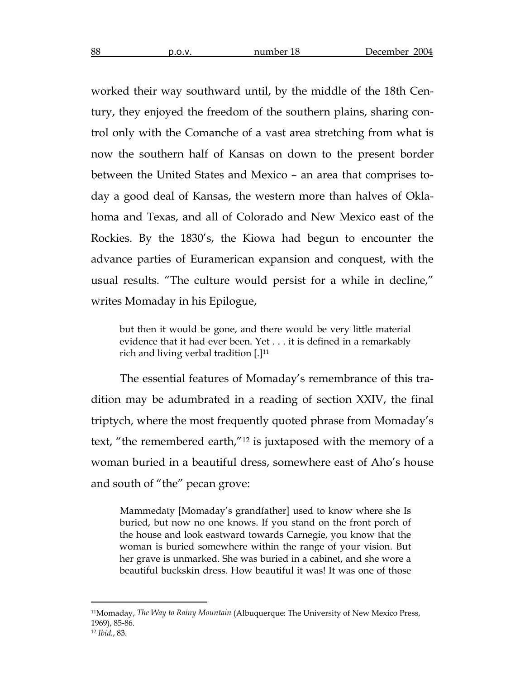worked their way southward until, by the middle of the 18th Century, they enjoyed the freedom of the southern plains, sharing control only with the Comanche of a vast area stretching from what is now the southern half of Kansas on down to the present border between the United States and Mexico – an area that comprises today a good deal of Kansas, the western more than halves of Oklahoma and Texas, and all of Colorado and New Mexico east of the Rockies. By the 1830's, the Kiowa had begun to encounter the advance parties of Euramerican expansion and conquest, with the usual results. "The culture would persist for a while in decline," writes Momaday in his Epilogue,

but then it would be gone, and there would be very little material evidence that it had ever been. Yet . . . it is defined in a remarkably rich and living verbal tradition [.]11

 The essential features of Momaday's remembrance of this tradition may be adumbrated in a reading of section XXIV, the final triptych, where the most frequently quoted phrase from Momaday's text, "the remembered earth,"12 is juxtaposed with the memory of a woman buried in a beautiful dress, somewhere east of Aho's house and south of "the" pecan grove:

Mammedaty [Momaday's grandfather] used to know where she Is buried, but now no one knows. If you stand on the front porch of the house and look eastward towards Carnegie, you know that the woman is buried somewhere within the range of your vision. But her grave is unmarked. She was buried in a cabinet, and she wore a beautiful buckskin dress. How beautiful it was! It was one of those

<sup>11</sup>Momaday, *The Way to Rainy Mountain* (Albuquerque: The University of New Mexico Press, 1969), 85-86. <sup>12</sup> *Ibid.*, 83.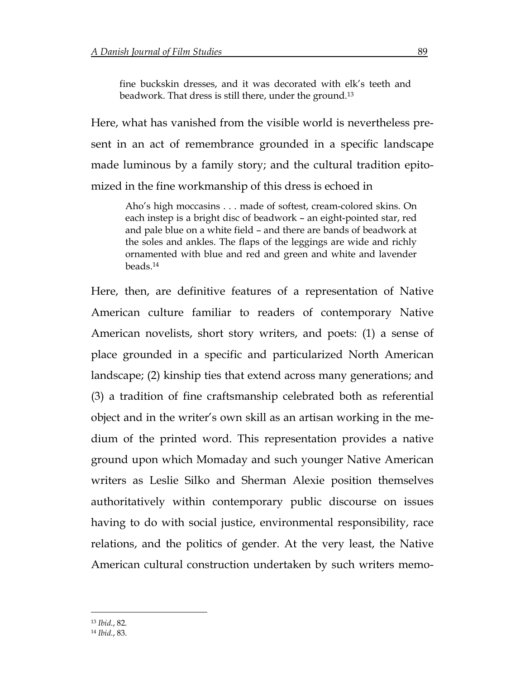fine buckskin dresses, and it was decorated with elk's teeth and beadwork. That dress is still there, under the ground.13

Here, what has vanished from the visible world is nevertheless present in an act of remembrance grounded in a specific landscape made luminous by a family story; and the cultural tradition epitomized in the fine workmanship of this dress is echoed in

Aho's high moccasins . . . made of softest, cream-colored skins. On each instep is a bright disc of beadwork – an eight-pointed star, red and pale blue on a white field – and there are bands of beadwork at the soles and ankles. The flaps of the leggings are wide and richly ornamented with blue and red and green and white and lavender beads.14

Here, then, are definitive features of a representation of Native American culture familiar to readers of contemporary Native American novelists, short story writers, and poets: (1) a sense of place grounded in a specific and particularized North American landscape; (2) kinship ties that extend across many generations; and (3) a tradition of fine craftsmanship celebrated both as referential object and in the writer's own skill as an artisan working in the medium of the printed word. This representation provides a native ground upon which Momaday and such younger Native American writers as Leslie Silko and Sherman Alexie position themselves authoritatively within contemporary public discourse on issues having to do with social justice, environmental responsibility, race relations, and the politics of gender. At the very least, the Native American cultural construction undertaken by such writers memo-

<sup>13</sup> *Ibid.*, 82. 14 *Ibid.*, 83.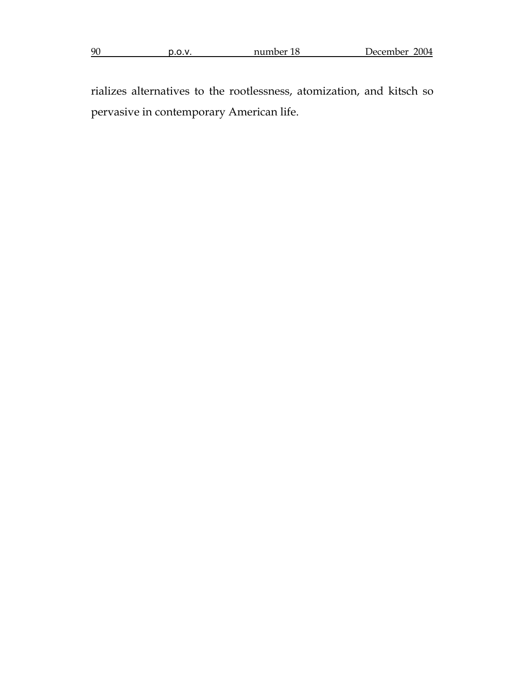rializes alternatives to the rootlessness, atomization, and kitsch so pervasive in contemporary American life.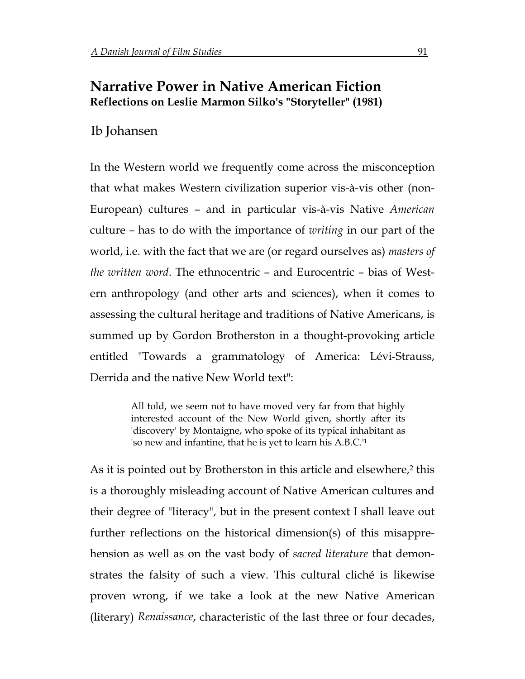## **Narrative Power in Native American Fiction Reflections on Leslie Marmon Silko's "Storyteller" (1981)**

Ib Johansen

In the Western world we frequently come across the misconception that what makes Western civilization superior vis-à-vis other (non-European) cultures – and in particular vis-à-vis Native *American* culture – has to do with the importance of *writing* in our part of the world, i.e. with the fact that we are (or regard ourselves as) *masters of the written word*. The ethnocentric – and Eurocentric – bias of Western anthropology (and other arts and sciences), when it comes to assessing the cultural heritage and traditions of Native Americans, is summed up by Gordon Brotherston in a thought-provoking article entitled "Towards a grammatology of America: Lévi-Strauss, Derrida and the native New World text":

> All told, we seem not to have moved very far from that highly interested account of the New World given, shortly after its 'discovery' by Montaigne, who spoke of its typical inhabitant as 'so new and infantine, that he is yet to learn his A.B.C.'1

As it is pointed out by Brotherston in this article and elsewhere,<sup>2</sup> this is a thoroughly misleading account of Native American cultures and their degree of "literacy", but in the present context I shall leave out further reflections on the historical dimension(s) of this misapprehension as well as on the vast body of *sacred literature* that demonstrates the falsity of such a view. This cultural cliché is likewise proven wrong, if we take a look at the new Native American (literary) *Renaissance*, characteristic of the last three or four decades,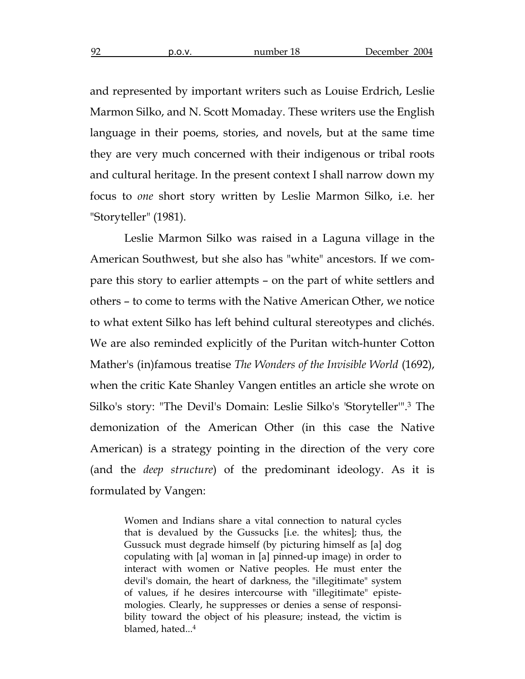and represented by important writers such as Louise Erdrich, Leslie Marmon Silko, and N. Scott Momaday. These writers use the English language in their poems, stories, and novels, but at the same time they are very much concerned with their indigenous or tribal roots and cultural heritage. In the present context I shall narrow down my focus to *one* short story written by Leslie Marmon Silko, i.e. her "Storyteller" (1981).

 Leslie Marmon Silko was raised in a Laguna village in the American Southwest, but she also has "white" ancestors. If we compare this story to earlier attempts – on the part of white settlers and others – to come to terms with the Native American Other, we notice to what extent Silko has left behind cultural stereotypes and clichés. We are also reminded explicitly of the Puritan witch-hunter Cotton Mather's (in)famous treatise *The Wonders of the Invisible World* (1692), when the critic Kate Shanley Vangen entitles an article she wrote on Silko's story: "The Devil's Domain: Leslie Silko's 'Storyteller'".3 The demonization of the American Other (in this case the Native American) is a strategy pointing in the direction of the very core (and the *deep structure*) of the predominant ideology. As it is formulated by Vangen:

Women and Indians share a vital connection to natural cycles that is devalued by the Gussucks [i.e. the whites]; thus, the Gussuck must degrade himself (by picturing himself as [a] dog copulating with [a] woman in [a] pinned-up image) in order to interact with women or Native peoples. He must enter the devil's domain, the heart of darkness, the "illegitimate" system of values, if he desires intercourse with "illegitimate" epistemologies. Clearly, he suppresses or denies a sense of responsibility toward the object of his pleasure; instead, the victim is blamed, hated...4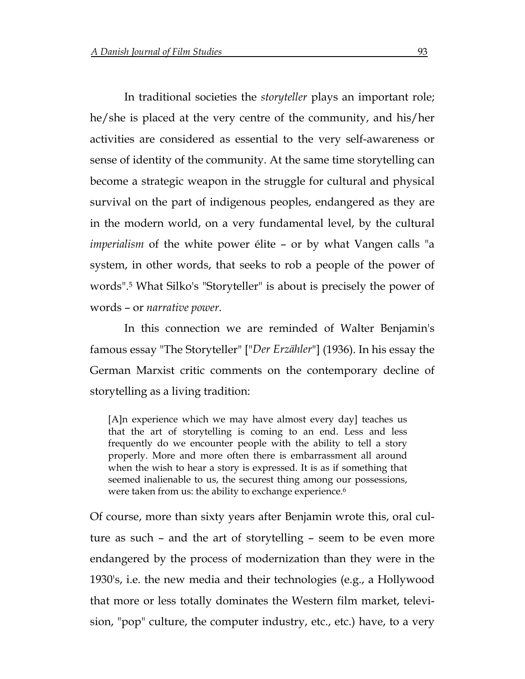In traditional societies the *storyteller* plays an important role; he/she is placed at the very centre of the community, and his/her activities are considered as essential to the very self-awareness or sense of identity of the community. At the same time storytelling can become a strategic weapon in the struggle for cultural and physical survival on the part of indigenous peoples, endangered as they are in the modern world, on a very fundamental level, by the cultural *imperialism* of the white power élite – or by what Vangen calls "a system, in other words, that seeks to rob a people of the power of words".5 What Silko's "Storyteller" is about is precisely the power of words – or *narrative power*.

 In this connection we are reminded of Walter Benjamin's famous essay "The Storyteller" ["*Der Erzähler*"] (1936). In his essay the German Marxist critic comments on the contemporary decline of storytelling as a living tradition:

[A]n experience which we may have almost every day] teaches us that the art of storytelling is coming to an end. Less and less frequently do we encounter people with the ability to tell a story properly. More and more often there is embarrassment all around when the wish to hear a story is expressed. It is as if something that seemed inalienable to us, the securest thing among our possessions, were taken from us: the ability to exchange experience.<sup>6</sup>

Of course, more than sixty years after Benjamin wrote this, oral culture as such – and the art of storytelling – seem to be even more endangered by the process of modernization than they were in the 1930's, i.e. the new media and their technologies (e.g., a Hollywood that more or less totally dominates the Western film market, television, "pop" culture, the computer industry, etc., etc.) have, to a very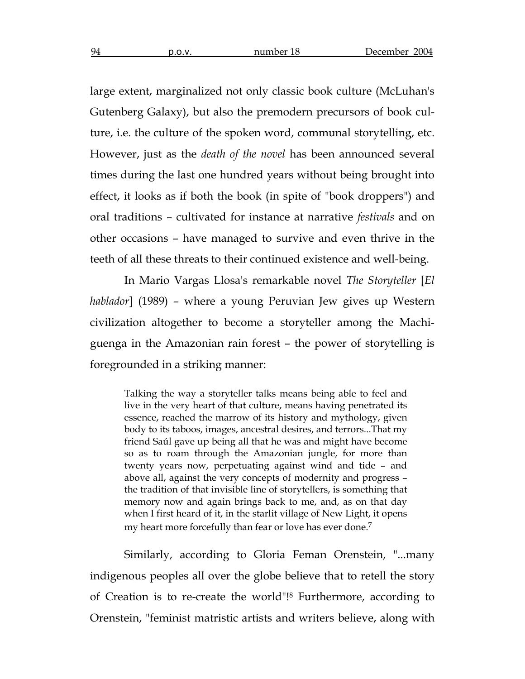large extent, marginalized not only classic book culture (McLuhan's Gutenberg Galaxy), but also the premodern precursors of book culture, i.e. the culture of the spoken word, communal storytelling, etc. However, just as the *death of the novel* has been announced several times during the last one hundred years without being brought into effect, it looks as if both the book (in spite of "book droppers") and oral traditions – cultivated for instance at narrative *festivals* and on other occasions – have managed to survive and even thrive in the teeth of all these threats to their continued existence and well-being.

 In Mario Vargas Llosa's remarkable novel *The Storyteller* [*El hablador*] (1989) – where a young Peruvian Jew gives up Western civilization altogether to become a storyteller among the Machiguenga in the Amazonian rain forest – the power of storytelling is foregrounded in a striking manner:

Talking the way a storyteller talks means being able to feel and live in the very heart of that culture, means having penetrated its essence, reached the marrow of its history and mythology, given body to its taboos, images, ancestral desires, and terrors...That my friend Saúl gave up being all that he was and might have become so as to roam through the Amazonian jungle, for more than twenty years now, perpetuating against wind and tide – and above all, against the very concepts of modernity and progress – the tradition of that invisible line of storytellers, is something that memory now and again brings back to me, and, as on that day when I first heard of it, in the starlit village of New Light, it opens my heart more forcefully than fear or love has ever done.<sup>7</sup>

 Similarly, according to Gloria Feman Orenstein, "...many indigenous peoples all over the globe believe that to retell the story of Creation is to re-create the world"!8 Furthermore, according to Orenstein, "feminist matristic artists and writers believe, along with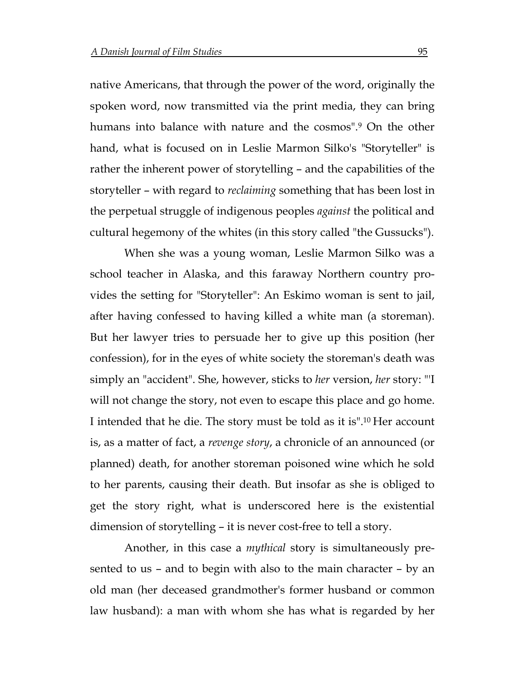native Americans, that through the power of the word, originally the spoken word, now transmitted via the print media, they can bring humans into balance with nature and the cosmos".<sup>9</sup> On the other hand, what is focused on in Leslie Marmon Silko's "Storyteller" is rather the inherent power of storytelling – and the capabilities of the storyteller – with regard to *reclaiming* something that has been lost in the perpetual struggle of indigenous peoples *against* the political and cultural hegemony of the whites (in this story called "the Gussucks").

 When she was a young woman, Leslie Marmon Silko was a school teacher in Alaska, and this faraway Northern country provides the setting for "Storyteller": An Eskimo woman is sent to jail, after having confessed to having killed a white man (a storeman). But her lawyer tries to persuade her to give up this position (her confession), for in the eyes of white society the storeman's death was simply an "accident". She, however, sticks to *her* version, *her* story: "'I will not change the story, not even to escape this place and go home. I intended that he die. The story must be told as it is".10 Her account is, as a matter of fact, a *revenge story*, a chronicle of an announced (or planned) death, for another storeman poisoned wine which he sold to her parents, causing their death. But insofar as she is obliged to get the story right, what is underscored here is the existential dimension of storytelling – it is never cost-free to tell a story.

 Another, in this case a *mythical* story is simultaneously presented to us – and to begin with also to the main character – by an old man (her deceased grandmother's former husband or common law husband): a man with whom she has what is regarded by her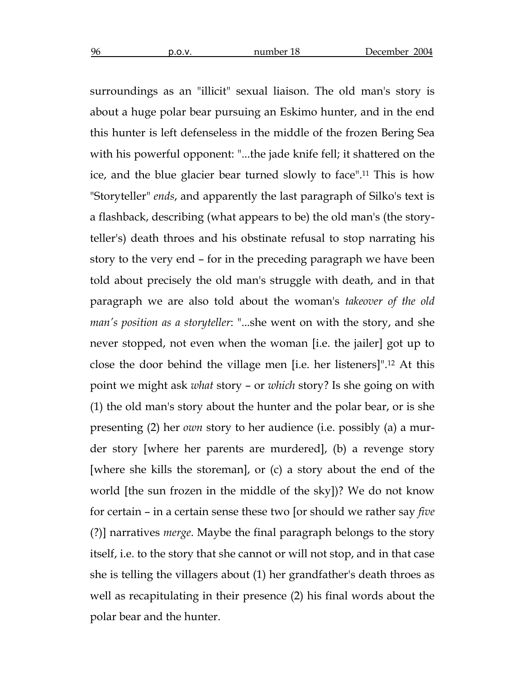surroundings as an "illicit" sexual liaison. The old man's story is about a huge polar bear pursuing an Eskimo hunter, and in the end this hunter is left defenseless in the middle of the frozen Bering Sea with his powerful opponent: "...the jade knife fell; it shattered on the ice, and the blue glacier bear turned slowly to face".11 This is how "Storyteller" *ends*, and apparently the last paragraph of Silko's text is a flashback, describing (what appears to be) the old man's (the storyteller's) death throes and his obstinate refusal to stop narrating his story to the very end – for in the preceding paragraph we have been told about precisely the old man's struggle with death, and in that paragraph we are also told about the woman's *takeover of the old man's position as a storyteller*: "...she went on with the story, and she never stopped, not even when the woman [i.e. the jailer] got up to close the door behind the village men [i.e. her listeners]".12 At this point we might ask *what* story – or *which* story? Is she going on with (1) the old man's story about the hunter and the polar bear, or is she presenting (2) her *own* story to her audience (i.e. possibly (a) a murder story [where her parents are murdered], (b) a revenge story [where she kills the storeman], or (c) a story about the end of the world [the sun frozen in the middle of the sky])? We do not know for certain – in a certain sense these two [or should we rather say *five* (?)] narratives *merge*. Maybe the final paragraph belongs to the story itself, i.e. to the story that she cannot or will not stop, and in that case she is telling the villagers about (1) her grandfather's death throes as well as recapitulating in their presence (2) his final words about the polar bear and the hunter.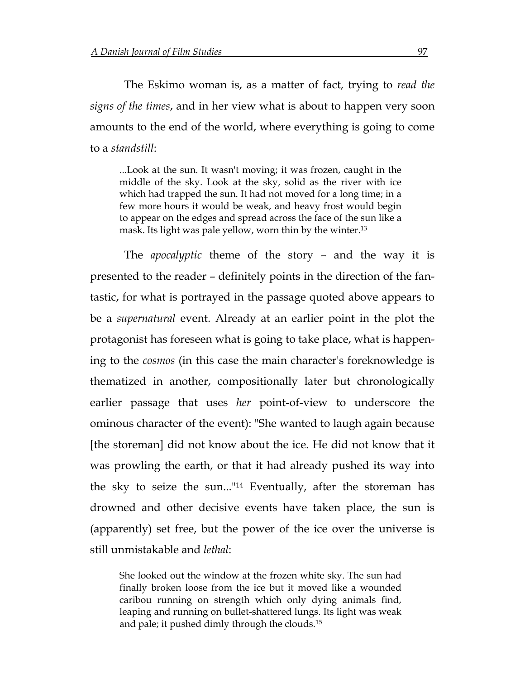The Eskimo woman is, as a matter of fact, trying to *read the signs of the times*, and in her view what is about to happen very soon amounts to the end of the world, where everything is going to come to a *standstill*:

...Look at the sun. It wasn't moving; it was frozen, caught in the middle of the sky. Look at the sky, solid as the river with ice which had trapped the sun. It had not moved for a long time; in a few more hours it would be weak, and heavy frost would begin to appear on the edges and spread across the face of the sun like a mask. Its light was pale yellow, worn thin by the winter.13

 The *apocalyptic* theme of the story – and the way it is presented to the reader – definitely points in the direction of the fantastic, for what is portrayed in the passage quoted above appears to be a *supernatural* event. Already at an earlier point in the plot the protagonist has foreseen what is going to take place, what is happening to the *cosmos* (in this case the main character's foreknowledge is thematized in another, compositionally later but chronologically earlier passage that uses *her* point-of-view to underscore the ominous character of the event): "She wanted to laugh again because [the storeman] did not know about the ice. He did not know that it was prowling the earth, or that it had already pushed its way into the sky to seize the sun..."14 Eventually, after the storeman has drowned and other decisive events have taken place, the sun is (apparently) set free, but the power of the ice over the universe is still unmistakable and *lethal*:

She looked out the window at the frozen white sky. The sun had finally broken loose from the ice but it moved like a wounded caribou running on strength which only dying animals find, leaping and running on bullet-shattered lungs. Its light was weak and pale; it pushed dimly through the clouds.15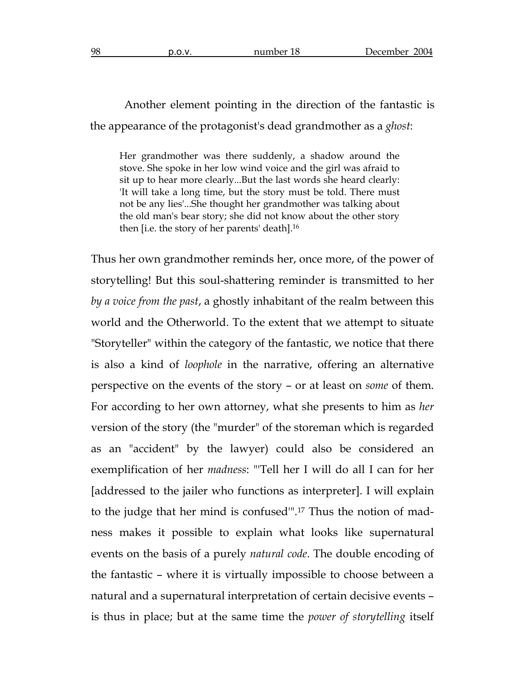Another element pointing in the direction of the fantastic is the appearance of the protagonist's dead grandmother as a *ghost*:

Her grandmother was there suddenly, a shadow around the stove. She spoke in her low wind voice and the girl was afraid to sit up to hear more clearly...But the last words she heard clearly: 'It will take a long time, but the story must be told. There must not be any lies'...She thought her grandmother was talking about the old man's bear story; she did not know about the other story then [i.e. the story of her parents' death].16

Thus her own grandmother reminds her, once more, of the power of storytelling! But this soul-shattering reminder is transmitted to her *by a voice from the past*, a ghostly inhabitant of the realm between this world and the Otherworld. To the extent that we attempt to situate "Storyteller" within the category of the fantastic, we notice that there is also a kind of *loophole* in the narrative, offering an alternative perspective on the events of the story – or at least on *some* of them. For according to her own attorney, what she presents to him as *her* version of the story (the "murder" of the storeman which is regarded as an "accident" by the lawyer) could also be considered an exemplification of her *madness*: "'Tell her I will do all I can for her [addressed to the jailer who functions as interpreter]. I will explain to the judge that her mind is confused'".17 Thus the notion of madness makes it possible to explain what looks like supernatural events on the basis of a purely *natural code*. The double encoding of the fantastic – where it is virtually impossible to choose between a natural and a supernatural interpretation of certain decisive events – is thus in place; but at the same time the *power of storytelling* itself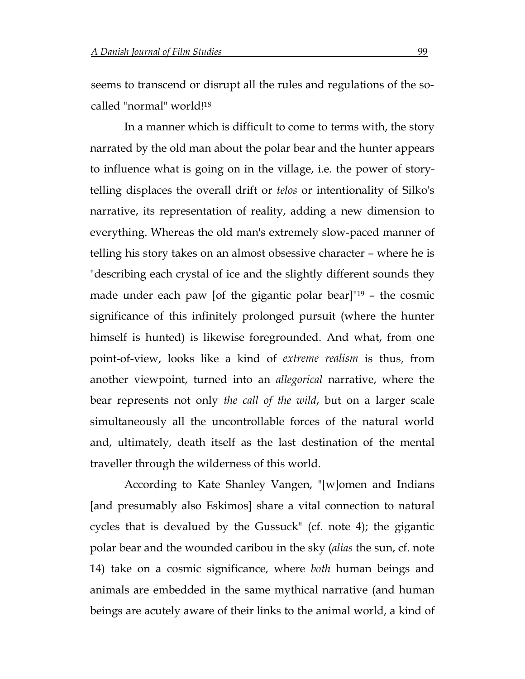seems to transcend or disrupt all the rules and regulations of the socalled "normal" world!18

 In a manner which is difficult to come to terms with, the story narrated by the old man about the polar bear and the hunter appears to influence what is going on in the village, i.e. the power of storytelling displaces the overall drift or *telos* or intentionality of Silko's narrative, its representation of reality, adding a new dimension to everything. Whereas the old man's extremely slow-paced manner of telling his story takes on an almost obsessive character – where he is "describing each crystal of ice and the slightly different sounds they made under each paw [of the gigantic polar bear]"19 – the cosmic significance of this infinitely prolonged pursuit (where the hunter himself is hunted) is likewise foregrounded. And what, from one point-of-view, looks like a kind of *extreme realism* is thus, from another viewpoint, turned into an *allegorical* narrative, where the bear represents not only *the call of the wild*, but on a larger scale simultaneously all the uncontrollable forces of the natural world and, ultimately, death itself as the last destination of the mental traveller through the wilderness of this world.

 According to Kate Shanley Vangen, "[w]omen and Indians [and presumably also Eskimos] share a vital connection to natural cycles that is devalued by the Gussuck" (cf. note 4); the gigantic polar bear and the wounded caribou in the sky (*alias* the sun, cf. note 14) take on a cosmic significance, where *both* human beings and animals are embedded in the same mythical narrative (and human beings are acutely aware of their links to the animal world, a kind of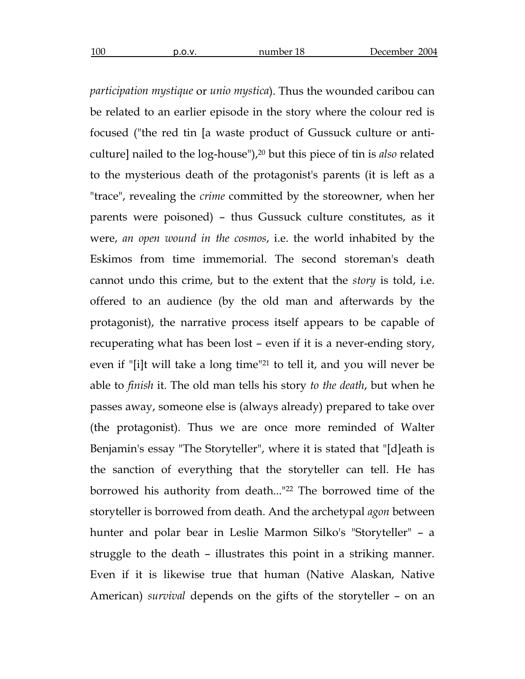*participation mystique* or *unio mystica*). Thus the wounded caribou can be related to an earlier episode in the story where the colour red is focused ("the red tin [a waste product of Gussuck culture or anticulture] nailed to the log-house"),20 but this piece of tin is *also* related to the mysterious death of the protagonist's parents (it is left as a "trace", revealing the *crime* committed by the storeowner, when her parents were poisoned) – thus Gussuck culture constitutes, as it were, *an open wound in the cosmos*, i.e. the world inhabited by the Eskimos from time immemorial. The second storeman's death cannot undo this crime, but to the extent that the *story* is told, i.e. offered to an audience (by the old man and afterwards by the protagonist), the narrative process itself appears to be capable of recuperating what has been lost – even if it is a never-ending story, even if "[i]t will take a long time"21 to tell it, and you will never be able to *finish* it. The old man tells his story *to the death*, but when he passes away, someone else is (always already) prepared to take over (the protagonist). Thus we are once more reminded of Walter Benjamin's essay "The Storyteller", where it is stated that "[d]eath is the sanction of everything that the storyteller can tell. He has borrowed his authority from death..."<sup>22</sup> The borrowed time of the storyteller is borrowed from death. And the archetypal *agon* between hunter and polar bear in Leslie Marmon Silko's "Storyteller" – a struggle to the death – illustrates this point in a striking manner. Even if it is likewise true that human (Native Alaskan, Native American) *survival* depends on the gifts of the storyteller – on an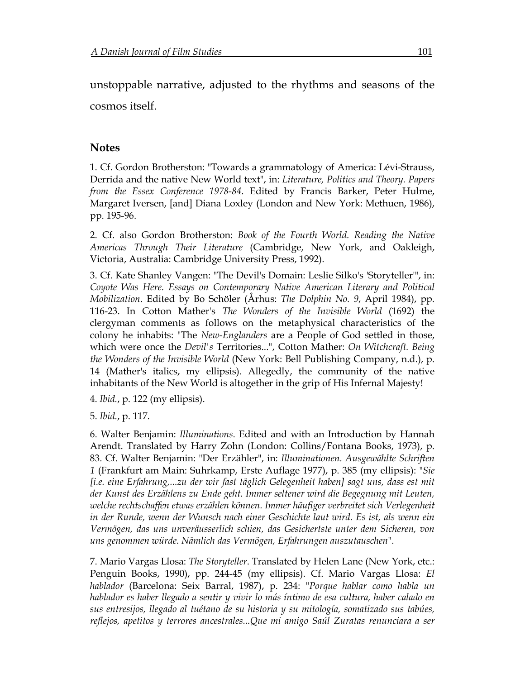unstoppable narrative, adjusted to the rhythms and seasons of the cosmos itself.

## **Notes**

1. Cf. Gordon Brotherston: "Towards a grammatology of America: Lévi-Strauss, Derrida and the native New World text", in: *Literature, Politics and Theory. Papers from the Essex Conference 1978-84*. Edited by Francis Barker, Peter Hulme, Margaret Iversen, [and] Diana Loxley (London and New York: Methuen, 1986), pp. 195-96.

2. Cf. also Gordon Brotherston: *Book of the Fourth World. Reading the Native Americas Through Their Literature* (Cambridge, New York, and Oakleigh, Victoria, Australia: Cambridge University Press, 1992).

3. Cf. Kate Shanley Vangen: "The Devil's Domain: Leslie Silko's 'Storyteller'", in: *Coyote Was Here. Essays on Contemporary Native American Literary and Political Mobilization*. Edited by Bo Schöler (Århus: *The Dolphin No. 9*, April 1984), pp. 116-23. In Cotton Mather's *The Wonders of the Invisible World* (1692) the clergyman comments as follows on the metaphysical characteristics of the colony he inhabits: "The *New-Englanders* are a People of God settled in those, which were once the *Devil's* Territories...", Cotton Mather: *On Witchcraft. Being the Wonders of the Invisible World* (New York: Bell Publishing Company, n.d.), p. 14 (Mather's italics, my ellipsis). Allegedly, the community of the native inhabitants of the New World is altogether in the grip of His Infernal Majesty!

4. *Ibid.*, p. 122 (my ellipsis).

5. *Ibid.*, p. 117.

6. Walter Benjamin: *Illuminations*. Edited and with an Introduction by Hannah Arendt. Translated by Harry Zohn (London: Collins/Fontana Books, 1973), p. 83. Cf. Walter Benjamin: "Der Erzähler", in: *Illuminationen. Ausgewählte Schriften 1* (Frankfurt am Main: Suhrkamp, Erste Auflage 1977), p. 385 (my ellipsis): "*Sie [i.e. eine Erfahrung,...zu der wir fast täglich Gelegenheit haben] sagt uns, dass est mit der Kunst des Erzählens zu Ende geht. Immer seltener wird die Begegnung mit Leuten, welche rechtschaffen etwas erzählen können. Immer häufiger verbreitet sich Verlegenheit in der Runde, wenn der Wunsch nach einer Geschichte laut wird. Es ist, als wenn ein Vermögen, das uns unveräusserlich schien, das Gesichertste unter dem Sicheren, von uns genommen würde. Nämlich das Vermögen, Erfahrungen auszutauschen*".

7. Mario Vargas Llosa: *The Storyteller*. Translated by Helen Lane (New York, etc.: Penguin Books, 1990), pp. 244-45 (my ellipsis). Cf. Mario Vargas Llosa: *El hablador* (Barcelona: Seix Barral, 1987), p. 234: "*Porque hablar como habla un hablador es haber llegado a sentir y vivir lo más íntimo de esa cultura, haber calado en sus entresijos, llegado al tuétano de su historia y su mitología, somatizado sus tabúes, reflejos, apetitos y terrores ancestrales...Que mi amigo Saúl Zuratas renunciara a ser*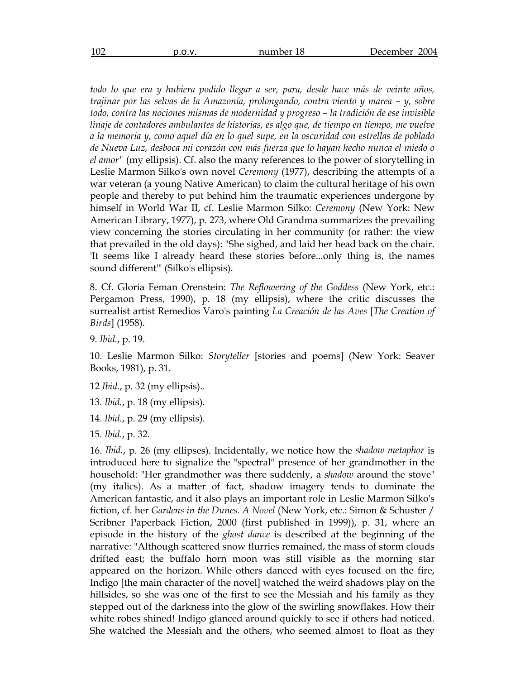*todo lo que era y hubiera podido llegar a ser, para, desde hace más de veinte años, trajinar por las selvas de la Amazonía, prolongando, contra viento y marea – y, sobre todo, contra las nociones mismas de modernidad y progreso – la tradición de ese invisible linaje de contadores ambulantes de historias, es algo que, de tiempo en tiempo, me vuelve a la memoria y, como aquel día en lo quel supe, en la oscuridad con estrellas de poblado de Nueva Luz, desboca mi corazón con más fuerza que lo hayan hecho nunca el miedo o el amor"* (my ellipsis). Cf. also the many references to the power of storytelling in Leslie Marmon Silko's own novel *Ceremony* (1977), describing the attempts of a war veteran (a young Native American) to claim the cultural heritage of his own people and thereby to put behind him the traumatic experiences undergone by himself in World War II, cf. Leslie Marmon Silko: *Ceremony* (New York: New American Library, 1977), p. 273, where Old Grandma summarizes the prevailing view concerning the stories circulating in her community (or rather: the view that prevailed in the old days): "She sighed, and laid her head back on the chair. 'It seems like I already heard these stories before...only thing is, the names sound different'" (Silko's ellipsis).

8. Cf. Gloria Feman Orenstein: *The Reflowering of the Goddess* (New York, etc.: Pergamon Press, 1990), p. 18 (my ellipsis), where the critic discusses the surrealist artist Remedios Varo's painting *La Creación de las Aves* [*The Creation of Birds*] (1958).

9. *Ibid.*, p. 19.

10. Leslie Marmon Silko: *Storyteller* [stories and poems] (New York: Seaver Books, 1981), p. 31.

12 *Ibid.*, p. 32 (my ellipsis)..

13. *Ibid.*, p. 18 (my ellipsis).

14. *Ibid.*, p. 29 (my ellipsis).

15. *Ibid.*, p. 32.

16. *Ibid.*, p. 26 (my ellipses). Incidentally, we notice how the *shadow metaphor* is introduced here to signalize the "spectral" presence of her grandmother in the household: "Her grandmother was there suddenly, a *shadow* around the stove" (my italics). As a matter of fact, shadow imagery tends to dominate the American fantastic, and it also plays an important role in Leslie Marmon Silko's fiction, cf. her *Gardens in the Dunes. A Novel* (New York, etc.: Simon & Schuster / Scribner Paperback Fiction, 2000 (first published in 1999)), p. 31, where an episode in the history of the *ghost dance* is described at the beginning of the narrative: "Although scattered snow flurries remained, the mass of storm clouds drifted east; the buffalo horn moon was still visible as the morning star appeared on the horizon. While others danced with eyes focused on the fire, Indigo [the main character of the novel] watched the weird shadows play on the hillsides, so she was one of the first to see the Messiah and his family as they stepped out of the darkness into the glow of the swirling snowflakes. How their white robes shined! Indigo glanced around quickly to see if others had noticed. She watched the Messiah and the others, who seemed almost to float as they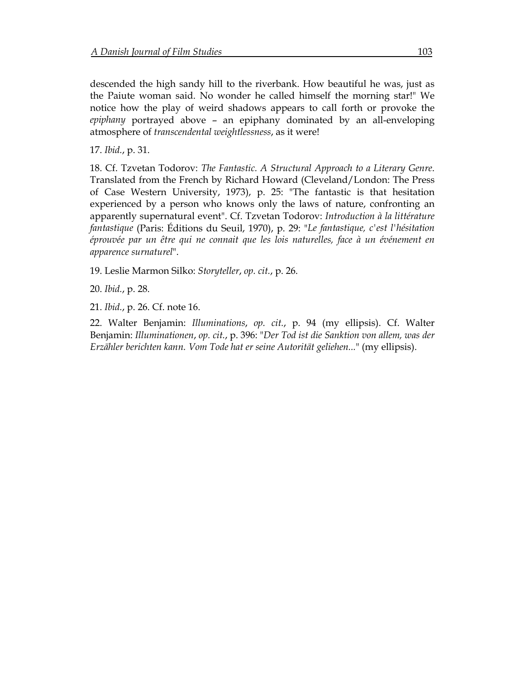descended the high sandy hill to the riverbank. How beautiful he was, just as the Paiute woman said. No wonder he called himself the morning star!" We notice how the play of weird shadows appears to call forth or provoke the *epiphany* portrayed above – an epiphany dominated by an all-enveloping atmosphere of *transcendental weightlessness*, as it were!

17. *Ibid.*, p. 31.

18. Cf. Tzvetan Todorov: *The Fantastic. A Structural Approach to a Literary Genre*. Translated from the French by Richard Howard (Cleveland/London: The Press of Case Western University, 1973), p. 25: "The fantastic is that hesitation experienced by a person who knows only the laws of nature, confronting an apparently supernatural event". Cf. Tzvetan Todorov: *Introduction à la littérature fantastique* (Paris: Éditions du Seuil, 1970), p. 29: "*Le fantastique, c'est l'hésitation éprouvée par un être qui ne connait que les lois naturelles, face à un événement en apparence surnaturel*".

19. Leslie Marmon Silko: *Storyteller*, *op. cit.*, p. 26.

20. *Ibid.*, p. 28.

21. *Ibid.*, p. 26. Cf. note 16.

22. Walter Benjamin: *Illuminations*, *op. cit.*, p. 94 (my ellipsis). Cf. Walter Benjamin: *Illuminationen*, *op. cit.*, p. 396: "*Der Tod ist die Sanktion von allem, was der Erzähler berichten kann. Vom Tode hat er seine Autorität geliehen...*" (my ellipsis).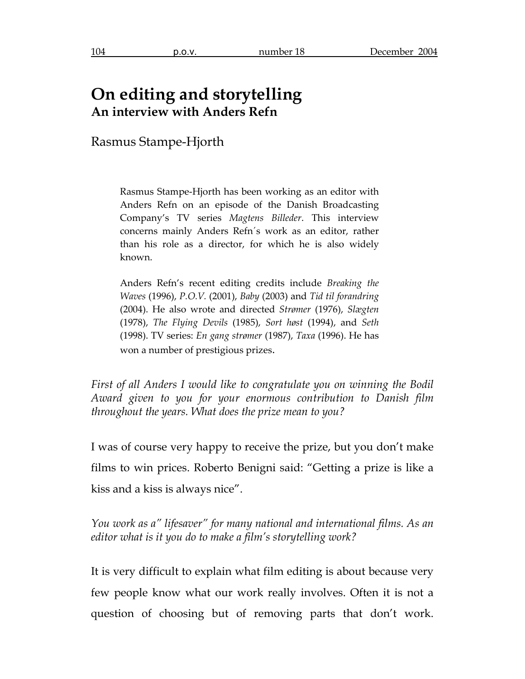## **On editing and storytelling An interview with Anders Refn**

Rasmus Stampe-Hjorth

Rasmus Stampe-Hjorth has been working as an editor with Anders Refn on an episode of the Danish Broadcasting Company's TV series *Magtens Billeder*. This interview concerns mainly Anders Refn´s work as an editor, rather than his role as a director, for which he is also widely known.

Anders Refn's recent editing credits include *Breaking the Waves* (1996), *P.O.V.* (2001), *Baby* (2003) and *Tid til forandring* (2004). He also wrote and directed *Strømer* (1976), *Slægten*  (1978), *The Flying Devils* (1985), *Sort høst* (1994), and *Seth* (1998). TV series: *En gang strømer* (1987), *Taxa* (1996). He has won a number of prestigious prizes.

*First of all Anders I would like to congratulate you on winning the Bodil Award given to you for your enormous contribution to Danish film throughout the years. What does the prize mean to you?* 

I was of course very happy to receive the prize, but you don't make films to win prices. Roberto Benigni said: "Getting a prize is like a kiss and a kiss is always nice".

*You work as a" lifesaver" for many national and international films. As an editor what is it you do to make a film's storytelling work?* 

It is very difficult to explain what film editing is about because very few people know what our work really involves. Often it is not a question of choosing but of removing parts that don't work.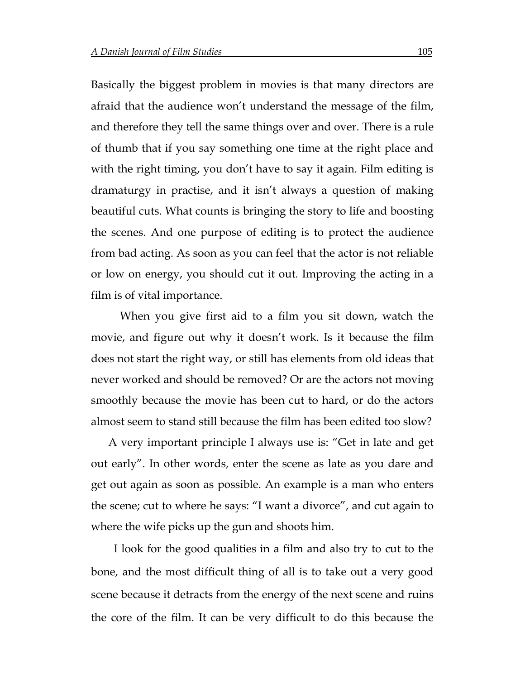Basically the biggest problem in movies is that many directors are afraid that the audience won't understand the message of the film, and therefore they tell the same things over and over. There is a rule of thumb that if you say something one time at the right place and with the right timing, you don't have to say it again. Film editing is dramaturgy in practise, and it isn't always a question of making beautiful cuts. What counts is bringing the story to life and boosting the scenes. And one purpose of editing is to protect the audience from bad acting. As soon as you can feel that the actor is not reliable or low on energy, you should cut it out. Improving the acting in a film is of vital importance.

When you give first aid to a film you sit down, watch the movie, and figure out why it doesn't work. Is it because the film does not start the right way, or still has elements from old ideas that never worked and should be removed? Or are the actors not moving smoothly because the movie has been cut to hard, or do the actors almost seem to stand still because the film has been edited too slow?

 A very important principle I always use is: "Get in late and get out early". In other words, enter the scene as late as you dare and get out again as soon as possible. An example is a man who enters the scene; cut to where he says: "I want a divorce", and cut again to where the wife picks up the gun and shoots him.

I look for the good qualities in a film and also try to cut to the bone, and the most difficult thing of all is to take out a very good scene because it detracts from the energy of the next scene and ruins the core of the film. It can be very difficult to do this because the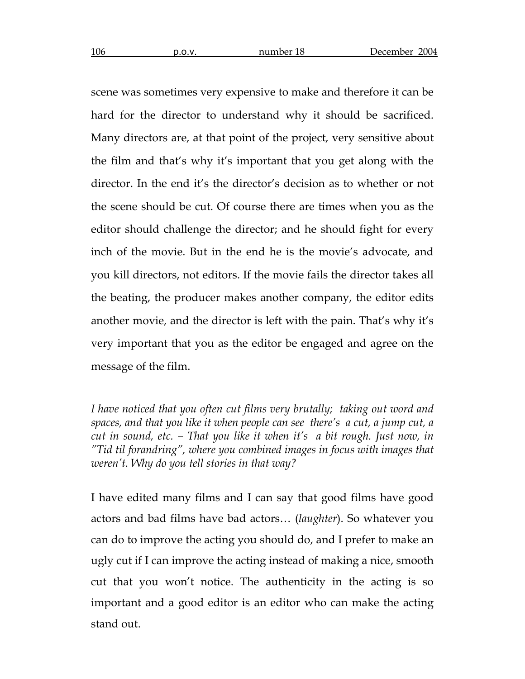scene was sometimes very expensive to make and therefore it can be hard for the director to understand why it should be sacrificed. Many directors are, at that point of the project, very sensitive about the film and that's why it's important that you get along with the director. In the end it's the director's decision as to whether or not the scene should be cut. Of course there are times when you as the editor should challenge the director; and he should fight for every inch of the movie. But in the end he is the movie's advocate, and you kill directors, not editors. If the movie fails the director takes all the beating, the producer makes another company, the editor edits another movie, and the director is left with the pain. That's why it's very important that you as the editor be engaged and agree on the message of the film.

*I have noticed that you often cut films very brutally; taking out word and spaces, and that you like it when people can see there's a cut, a jump cut, a cut in sound, etc. – That you like it when it's a bit rough. Just now, in "Tid til forandring", where you combined images in focus with images that weren't. Why do you tell stories in that way?* 

I have edited many films and I can say that good films have good actors and bad films have bad actors… (*laughter*). So whatever you can do to improve the acting you should do, and I prefer to make an ugly cut if I can improve the acting instead of making a nice, smooth cut that you won't notice. The authenticity in the acting is so important and a good editor is an editor who can make the acting stand out.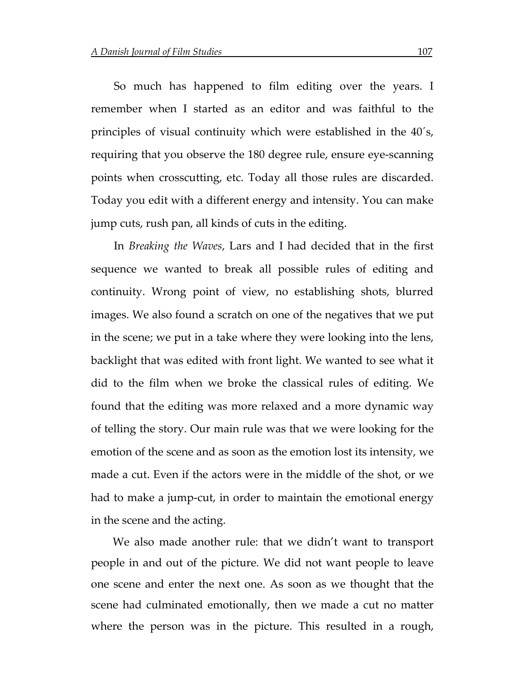So much has happened to film editing over the years. I remember when I started as an editor and was faithful to the principles of visual continuity which were established in the 40´s, requiring that you observe the 180 degree rule, ensure eye-scanning points when crosscutting, etc. Today all those rules are discarded. Today you edit with a different energy and intensity. You can make jump cuts, rush pan, all kinds of cuts in the editing.

In *Breaking the Waves*, Lars and I had decided that in the first sequence we wanted to break all possible rules of editing and continuity. Wrong point of view, no establishing shots, blurred images. We also found a scratch on one of the negatives that we put in the scene; we put in a take where they were looking into the lens, backlight that was edited with front light. We wanted to see what it did to the film when we broke the classical rules of editing. We found that the editing was more relaxed and a more dynamic way of telling the story. Our main rule was that we were looking for the emotion of the scene and as soon as the emotion lost its intensity, we made a cut. Even if the actors were in the middle of the shot, or we had to make a jump-cut, in order to maintain the emotional energy in the scene and the acting.

We also made another rule: that we didn't want to transport people in and out of the picture. We did not want people to leave one scene and enter the next one. As soon as we thought that the scene had culminated emotionally, then we made a cut no matter where the person was in the picture. This resulted in a rough,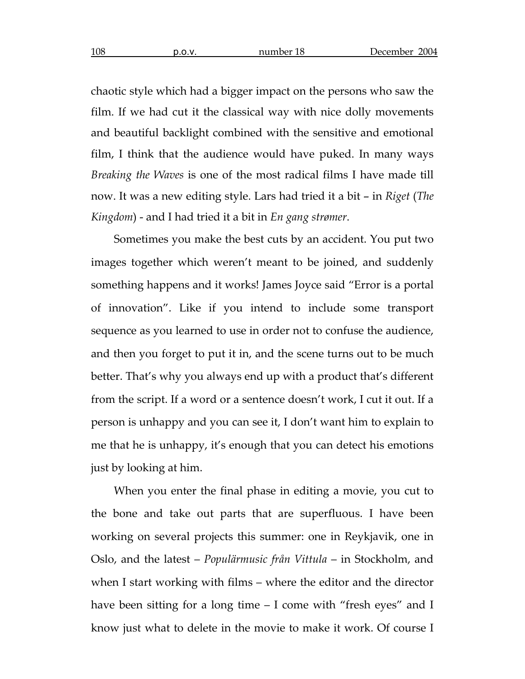chaotic style which had a bigger impact on the persons who saw the film. If we had cut it the classical way with nice dolly movements and beautiful backlight combined with the sensitive and emotional film, I think that the audience would have puked. In many ways *Breaking the Waves* is one of the most radical films I have made till now. It was a new editing style. Lars had tried it a bit – in *Riget* (*The Kingdom*) - and I had tried it a bit in *En gang strømer*.

Sometimes you make the best cuts by an accident. You put two images together which weren't meant to be joined, and suddenly something happens and it works! James Joyce said "Error is a portal of innovation". Like if you intend to include some transport sequence as you learned to use in order not to confuse the audience, and then you forget to put it in, and the scene turns out to be much better. That's why you always end up with a product that's different from the script. If a word or a sentence doesn't work, I cut it out. If a person is unhappy and you can see it, I don't want him to explain to me that he is unhappy, it's enough that you can detect his emotions just by looking at him.

When you enter the final phase in editing a movie, you cut to the bone and take out parts that are superfluous. I have been working on several projects this summer: one in Reykjavik, one in Oslo, and the latest – *Populärmusic från Vittula* – in Stockholm, and when I start working with films – where the editor and the director have been sitting for a long time – I come with "fresh eyes" and I know just what to delete in the movie to make it work. Of course I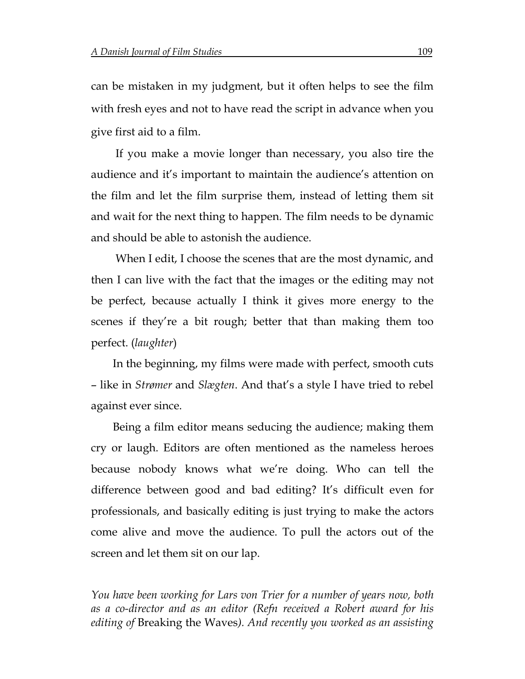can be mistaken in my judgment, but it often helps to see the film with fresh eyes and not to have read the script in advance when you give first aid to a film.

 If you make a movie longer than necessary, you also tire the audience and it's important to maintain the audience's attention on the film and let the film surprise them, instead of letting them sit and wait for the next thing to happen. The film needs to be dynamic and should be able to astonish the audience.

 When I edit, I choose the scenes that are the most dynamic, and then I can live with the fact that the images or the editing may not be perfect, because actually I think it gives more energy to the scenes if they're a bit rough; better that than making them too perfect. (*laughter*)

In the beginning, my films were made with perfect, smooth cuts – like in *Strømer* and *Slægten*. And that's a style I have tried to rebel against ever since.

Being a film editor means seducing the audience; making them cry or laugh. Editors are often mentioned as the nameless heroes because nobody knows what we're doing. Who can tell the difference between good and bad editing? It's difficult even for professionals, and basically editing is just trying to make the actors come alive and move the audience. To pull the actors out of the screen and let them sit on our lap.

*You have been working for Lars von Trier for a number of years now, both as a co-director and as an editor (Refn received a Robert award for his editing of* Breaking the Waves*). And recently you worked as an assisting*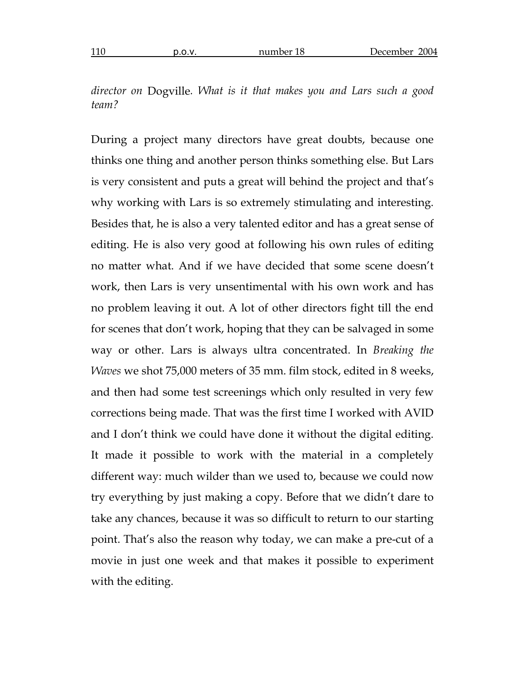*director on* Dogville*. What is it that makes you and Lars such a good team?* 

During a project many directors have great doubts, because one thinks one thing and another person thinks something else. But Lars is very consistent and puts a great will behind the project and that's why working with Lars is so extremely stimulating and interesting. Besides that, he is also a very talented editor and has a great sense of editing. He is also very good at following his own rules of editing no matter what. And if we have decided that some scene doesn't work, then Lars is very unsentimental with his own work and has no problem leaving it out. A lot of other directors fight till the end for scenes that don't work, hoping that they can be salvaged in some way or other. Lars is always ultra concentrated. In *Breaking the Waves* we shot 75,000 meters of 35 mm. film stock, edited in 8 weeks, and then had some test screenings which only resulted in very few corrections being made. That was the first time I worked with AVID and I don't think we could have done it without the digital editing. It made it possible to work with the material in a completely different way: much wilder than we used to, because we could now try everything by just making a copy. Before that we didn't dare to take any chances, because it was so difficult to return to our starting point. That's also the reason why today, we can make a pre-cut of a movie in just one week and that makes it possible to experiment with the editing.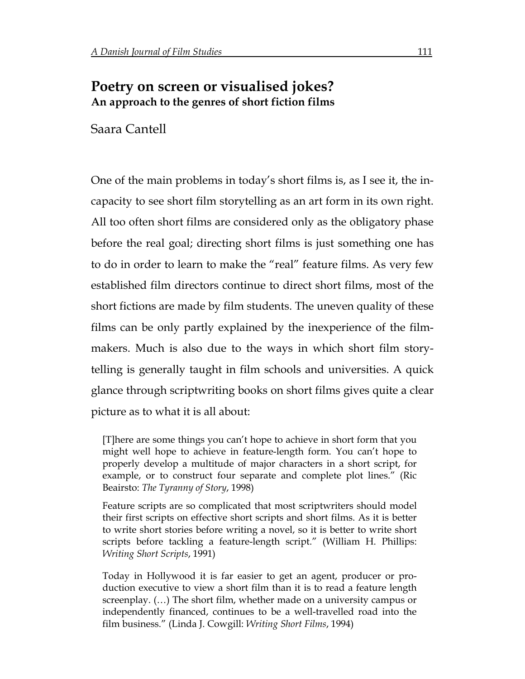# **Poetry on screen or visualised jokes? An approach to the genres of short fiction films**

Saara Cantell

One of the main problems in today's short films is, as I see it, the incapacity to see short film storytelling as an art form in its own right. All too often short films are considered only as the obligatory phase before the real goal; directing short films is just something one has to do in order to learn to make the "real" feature films. As very few established film directors continue to direct short films, most of the short fictions are made by film students. The uneven quality of these films can be only partly explained by the inexperience of the filmmakers. Much is also due to the ways in which short film storytelling is generally taught in film schools and universities. A quick glance through scriptwriting books on short films gives quite a clear picture as to what it is all about:

[T]here are some things you can't hope to achieve in short form that you might well hope to achieve in feature-length form. You can't hope to properly develop a multitude of major characters in a short script, for example, or to construct four separate and complete plot lines." (Ric Beairsto: *The Tyranny of Story*, 1998)

Feature scripts are so complicated that most scriptwriters should model their first scripts on effective short scripts and short films. As it is better to write short stories before writing a novel, so it is better to write short scripts before tackling a feature-length script." (William H. Phillips: *Writing Short Scripts*, 1991)

Today in Hollywood it is far easier to get an agent, producer or production executive to view a short film than it is to read a feature length screenplay. (…) The short film, whether made on a university campus or independently financed, continues to be a well-travelled road into the film business." (Linda J. Cowgill: *Writing Short Films*, 1994)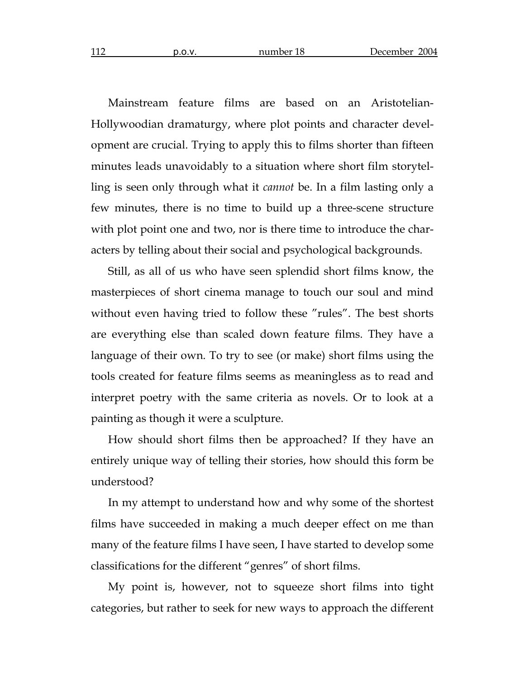Mainstream feature films are based on an Aristotelian-Hollywoodian dramaturgy, where plot points and character development are crucial. Trying to apply this to films shorter than fifteen minutes leads unavoidably to a situation where short film storytelling is seen only through what it *cannot* be. In a film lasting only a few minutes, there is no time to build up a three-scene structure with plot point one and two, nor is there time to introduce the characters by telling about their social and psychological backgrounds.

Still, as all of us who have seen splendid short films know, the masterpieces of short cinema manage to touch our soul and mind without even having tried to follow these "rules". The best shorts are everything else than scaled down feature films. They have a language of their own. To try to see (or make) short films using the tools created for feature films seems as meaningless as to read and interpret poetry with the same criteria as novels. Or to look at a painting as though it were a sculpture.

How should short films then be approached? If they have an entirely unique way of telling their stories, how should this form be understood?

In my attempt to understand how and why some of the shortest films have succeeded in making a much deeper effect on me than many of the feature films I have seen, I have started to develop some classifications for the different "genres" of short films.

My point is, however, not to squeeze short films into tight categories, but rather to seek for new ways to approach the different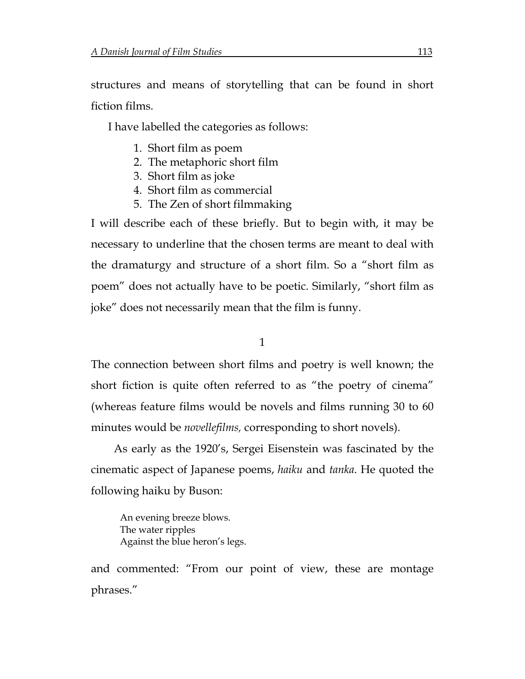structures and means of storytelling that can be found in short fiction films.

I have labelled the categories as follows:

- 1. Short film as poem
- 2. The metaphoric short film
- 3. Short film as joke
- 4. Short film as commercial
- 5. The Zen of short filmmaking

I will describe each of these briefly. But to begin with, it may be necessary to underline that the chosen terms are meant to deal with the dramaturgy and structure of a short film. So a "short film as poem" does not actually have to be poetic. Similarly, "short film as joke" does not necessarily mean that the film is funny.

## 1

The connection between short films and poetry is well known; the short fiction is quite often referred to as "the poetry of cinema" (whereas feature films would be novels and films running 30 to 60 minutes would be *novellefilms,* corresponding to short novels).

As early as the 1920's, Sergei Eisenstein was fascinated by the cinematic aspect of Japanese poems, *haiku* and *tanka*. He quoted the following haiku by Buson:

An evening breeze blows. The water ripples Against the blue heron's legs.

and commented: "From our point of view, these are montage phrases."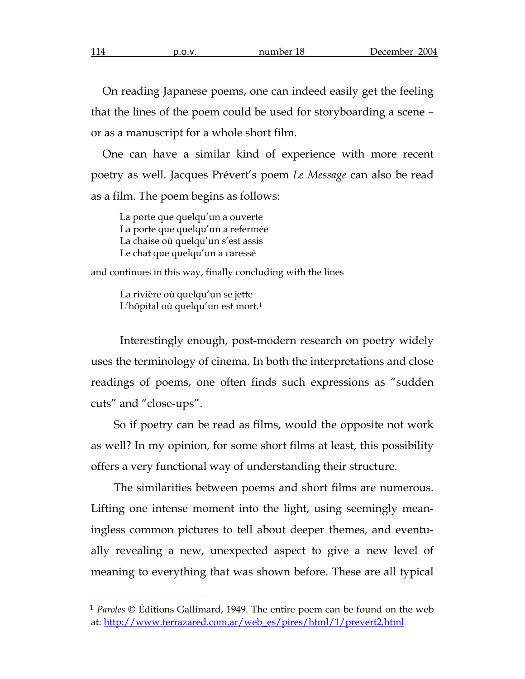On reading Japanese poems, one can indeed easily get the feeling that the lines of the poem could be used for storyboarding a scene – or as a manuscript for a whole short film.

One can have a similar kind of experience with more recent poetry as well. Jacques Prévert's poem *Le Message* can also be read as a film. The poem begins as follows:

La porte que quelqu'un a ouverte La porte que quelqu'un a refermée La chaise où quelqu'un s'est assis Le chat que quelqu'un a caressé

and continues in this way, finally concluding with the lines

La rivière où quelqu'un se jette L'hôpital où quelqu'un est mort.<sup>1</sup>

Interestingly enough, post-modern research on poetry widely uses the terminology of cinema. In both the interpretations and close readings of poems, one often finds such expressions as "sudden cuts" and "close-ups".

So if poetry can be read as films, would the opposite not work as well? In my opinion, for some short films at least, this possibility offers a very functional way of understanding their structure.

The similarities between poems and short films are numerous. Lifting one intense moment into the light, using seemingly meaningless common pictures to tell about deeper themes, and eventually revealing a new, unexpected aspect to give a new level of meaning to everything that was shown before. These are all typical

 $\overline{a}$ 

<sup>1</sup> *Paroles* © Éditions Gallimard, 1949. The entire poem can be found on the web at: http://www.terrazared.com.ar/web\_es/pires/html/1/prevert2.html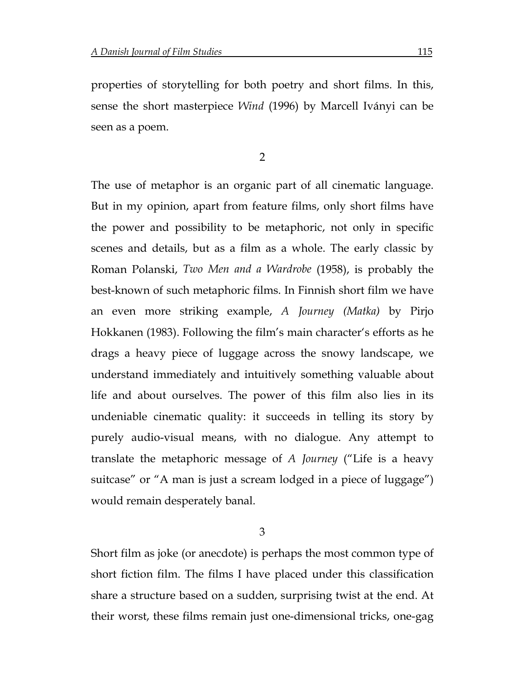properties of storytelling for both poetry and short films. In this, sense the short masterpiece *Wind* (1996) by Marcell Iványi can be seen as a poem.

2

The use of metaphor is an organic part of all cinematic language. But in my opinion, apart from feature films, only short films have the power and possibility to be metaphoric, not only in specific scenes and details, but as a film as a whole. The early classic by Roman Polanski, *Two Men and a Wardrobe* (1958), is probably the best-known of such metaphoric films. In Finnish short film we have an even more striking example, *A Journey (Matka)* by Pirjo Hokkanen (1983). Following the film's main character's efforts as he drags a heavy piece of luggage across the snowy landscape, we understand immediately and intuitively something valuable about life and about ourselves. The power of this film also lies in its undeniable cinematic quality: it succeeds in telling its story by purely audio-visual means, with no dialogue. Any attempt to translate the metaphoric message of *A Journey* ("Life is a heavy suitcase" or "A man is just a scream lodged in a piece of luggage") would remain desperately banal.

3

Short film as joke (or anecdote) is perhaps the most common type of short fiction film. The films I have placed under this classification share a structure based on a sudden, surprising twist at the end. At their worst, these films remain just one-dimensional tricks, one-gag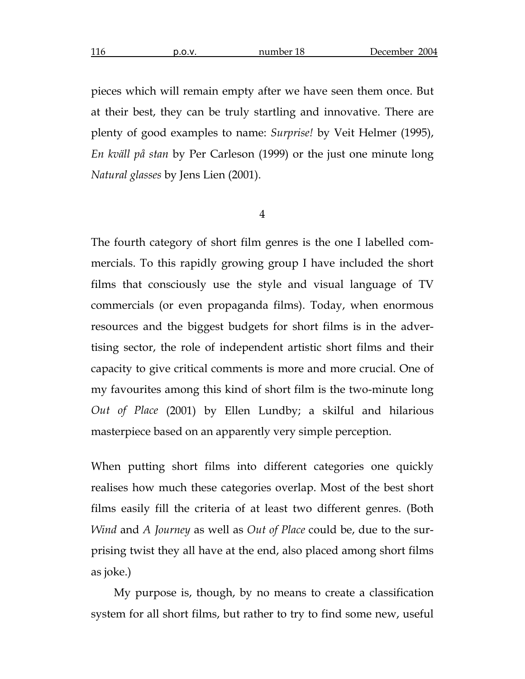pieces which will remain empty after we have seen them once. But at their best, they can be truly startling and innovative. There are plenty of good examples to name: *Surprise!* by Veit Helmer (1995), *En kväll på stan* by Per Carleson (1999) or the just one minute long *Natural glasses* by Jens Lien (2001).

4

The fourth category of short film genres is the one I labelled commercials. To this rapidly growing group I have included the short films that consciously use the style and visual language of TV commercials (or even propaganda films). Today, when enormous resources and the biggest budgets for short films is in the advertising sector, the role of independent artistic short films and their capacity to give critical comments is more and more crucial. One of my favourites among this kind of short film is the two-minute long *Out of Place* (2001) by Ellen Lundby; a skilful and hilarious masterpiece based on an apparently very simple perception.

When putting short films into different categories one quickly realises how much these categories overlap. Most of the best short films easily fill the criteria of at least two different genres. (Both *Wind* and *A Journey* as well as *Out of Place* could be, due to the surprising twist they all have at the end, also placed among short films as joke.)

My purpose is, though, by no means to create a classification system for all short films, but rather to try to find some new, useful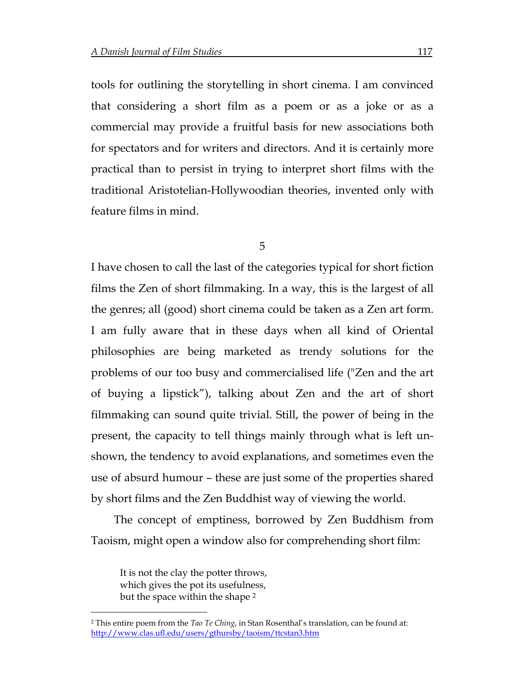tools for outlining the storytelling in short cinema. I am convinced that considering a short film as a poem or as a joke or as a commercial may provide a fruitful basis for new associations both for spectators and for writers and directors. And it is certainly more practical than to persist in trying to interpret short films with the traditional Aristotelian-Hollywoodian theories, invented only with feature films in mind.

5

I have chosen to call the last of the categories typical for short fiction films the Zen of short filmmaking. In a way, this is the largest of all the genres; all (good) short cinema could be taken as a Zen art form. I am fully aware that in these days when all kind of Oriental philosophies are being marketed as trendy solutions for the problems of our too busy and commercialised life ("Zen and the art of buying a lipstick"), talking about Zen and the art of short filmmaking can sound quite trivial. Still, the power of being in the present, the capacity to tell things mainly through what is left unshown, the tendency to avoid explanations, and sometimes even the use of absurd humour – these are just some of the properties shared by short films and the Zen Buddhist way of viewing the world.

The concept of emptiness, borrowed by Zen Buddhism from Taoism, might open a window also for comprehending short film:

It is not the clay the potter throws, which gives the pot its usefulness, but the space within the shape<sup>2</sup>

 $\overline{a}$ 

<sup>2</sup> This entire poem from the *Tao Te Ching*, in Stan Rosenthal's translation, can be found at: http://www.clas.ufl.edu/users/gthursby/taoism/ttcstan3.htm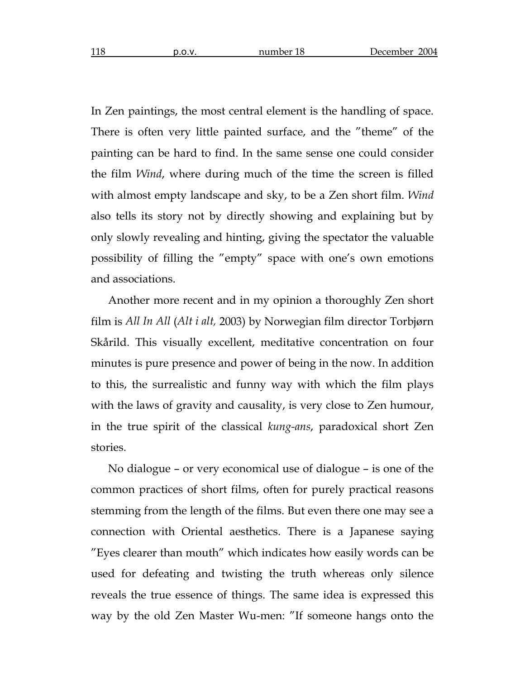In Zen paintings, the most central element is the handling of space. There is often very little painted surface, and the "theme" of the painting can be hard to find. In the same sense one could consider the film *Wind*, where during much of the time the screen is filled with almost empty landscape and sky, to be a Zen short film. *Wind* also tells its story not by directly showing and explaining but by only slowly revealing and hinting, giving the spectator the valuable

possibility of filling the "empty" space with one's own emotions and associations.

Another more recent and in my opinion a thoroughly Zen short film is *All In All* (*Alt i alt,* 2003) by Norwegian film director Torbjørn Skårild. This visually excellent, meditative concentration on four minutes is pure presence and power of being in the now. In addition to this, the surrealistic and funny way with which the film plays with the laws of gravity and causality, is very close to Zen humour, in the true spirit of the classical *kung-ans*, paradoxical short Zen stories.

No dialogue – or very economical use of dialogue – is one of the common practices of short films, often for purely practical reasons stemming from the length of the films. But even there one may see a connection with Oriental aesthetics. There is a Japanese saying "Eyes clearer than mouth" which indicates how easily words can be used for defeating and twisting the truth whereas only silence reveals the true essence of things. The same idea is expressed this way by the old Zen Master Wu-men: "If someone hangs onto the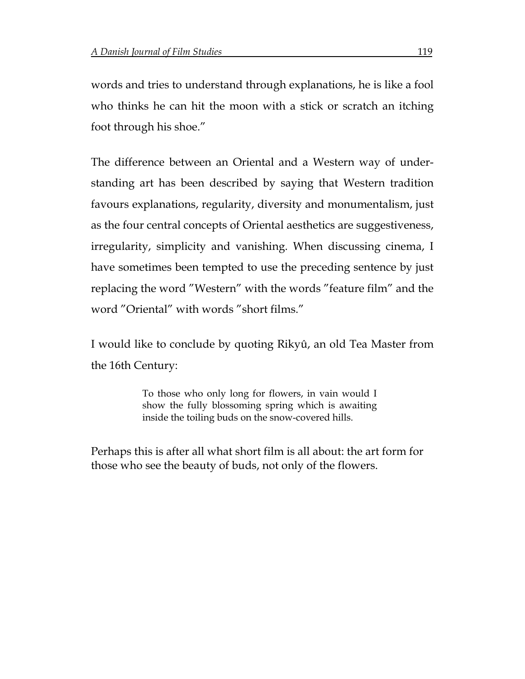words and tries to understand through explanations, he is like a fool who thinks he can hit the moon with a stick or scratch an itching foot through his shoe."

The difference between an Oriental and a Western way of understanding art has been described by saying that Western tradition favours explanations, regularity, diversity and monumentalism, just as the four central concepts of Oriental aesthetics are suggestiveness, irregularity, simplicity and vanishing. When discussing cinema, I have sometimes been tempted to use the preceding sentence by just replacing the word "Western" with the words "feature film" and the word "Oriental" with words "short films."

I would like to conclude by quoting Rikyû, an old Tea Master from the 16th Century:

> To those who only long for flowers, in vain would I show the fully blossoming spring which is awaiting inside the toiling buds on the snow-covered hills.

Perhaps this is after all what short film is all about: the art form for those who see the beauty of buds, not only of the flowers.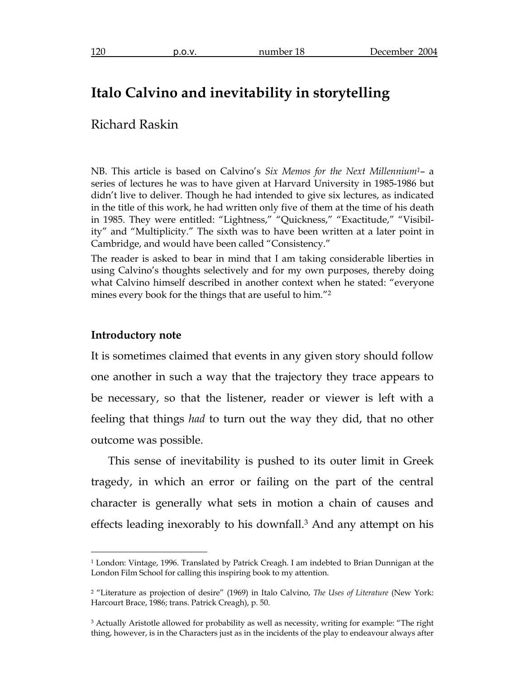# **Italo Calvino and inevitability in storytelling**

# Richard Raskin

NB. This article is based on Calvino's *Six Memos for the Next Millennium1*– a series of lectures he was to have given at Harvard University in 1985-1986 but didn't live to deliver. Though he had intended to give six lectures, as indicated in the title of this work, he had written only five of them at the time of his death in 1985. They were entitled: "Lightness," "Quickness," "Exactitude," "Visibility" and "Multiplicity." The sixth was to have been written at a later point in Cambridge, and would have been called "Consistency."

The reader is asked to bear in mind that I am taking considerable liberties in using Calvino's thoughts selectively and for my own purposes, thereby doing what Calvino himself described in another context when he stated: "everyone mines every book for the things that are useful to him."<sup>2</sup>

#### **Introductory note**

 $\overline{a}$ 

It is sometimes claimed that events in any given story should follow one another in such a way that the trajectory they trace appears to be necessary, so that the listener, reader or viewer is left with a feeling that things *had* to turn out the way they did, that no other outcome was possible.

This sense of inevitability is pushed to its outer limit in Greek tragedy, in which an error or failing on the part of the central character is generally what sets in motion a chain of causes and effects leading inexorably to his downfall.<sup>3</sup> And any attempt on his

<sup>1</sup> London: Vintage, 1996. Translated by Patrick Creagh. I am indebted to Brian Dunnigan at the London Film School for calling this inspiring book to my attention.

<sup>2 &</sup>quot;Literature as projection of desire" (1969) in Italo Calvino, *The Uses of Literature* (New York: Harcourt Brace, 1986; trans. Patrick Creagh), p. 50.

<sup>&</sup>lt;sup>3</sup> Actually Aristotle allowed for probability as well as necessity, writing for example: "The right thing, however, is in the Characters just as in the incidents of the play to endeavour always after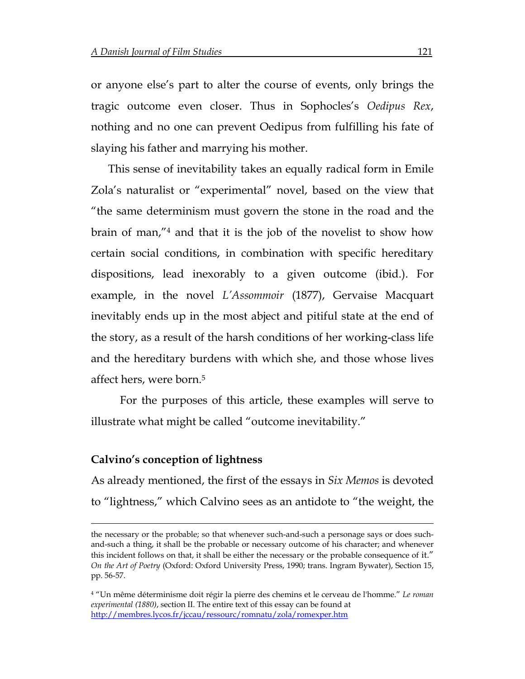or anyone else's part to alter the course of events, only brings the tragic outcome even closer. Thus in Sophocles's *Oedipus Rex*, nothing and no one can prevent Oedipus from fulfilling his fate of slaying his father and marrying his mother.

This sense of inevitability takes an equally radical form in Emile Zola's naturalist or "experimental" novel, based on the view that "the same determinism must govern the stone in the road and the brain of man,"4 and that it is the job of the novelist to show how certain social conditions, in combination with specific hereditary dispositions, lead inexorably to a given outcome (ibid.). For example, in the novel *L'Assommoir* (1877), Gervaise Macquart inevitably ends up in the most abject and pitiful state at the end of the story, as a result of the harsh conditions of her working-class life and the hereditary burdens with which she, and those whose lives affect hers, were born.5

For the purposes of this article, these examples will serve to illustrate what might be called "outcome inevitability."

## **Calvino's conception of lightness**

 $\overline{a}$ 

As already mentioned, the first of the essays in *Six Memos* is devoted to "lightness," which Calvino sees as an antidote to "the weight, the

the necessary or the probable; so that whenever such-and-such a personage says or does suchand-such a thing, it shall be the probable or necessary outcome of his character; and whenever this incident follows on that, it shall be either the necessary or the probable consequence of it." *On the Art of Poetry* (Oxford: Oxford University Press, 1990; trans. Ingram Bywater), Section 15, pp. 56-57.

<sup>4 &</sup>quot;Un même déterminisme doit régir la pierre des chemins et le cerveau de l'homme." *Le roman experimental (1880)*, section II. The entire text of this essay can be found at http://membres.lycos.fr/jccau/ressourc/romnatu/zola/romexper.htm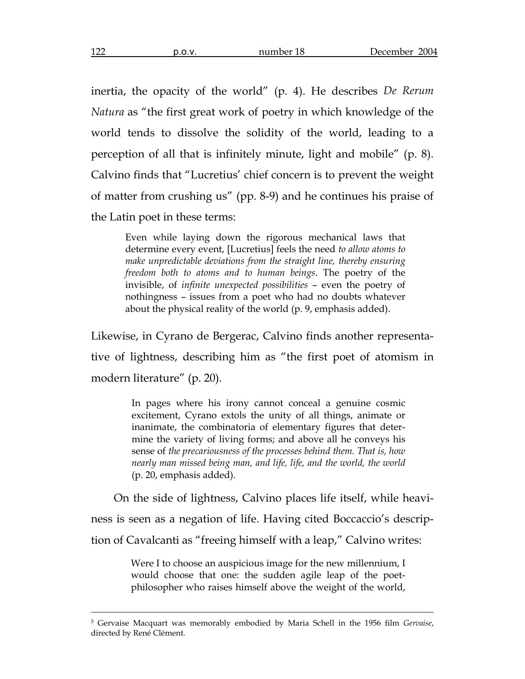inertia, the opacity of the world" (p. 4). He describes *De Rerum Natura* as "the first great work of poetry in which knowledge of the world tends to dissolve the solidity of the world, leading to a perception of all that is infinitely minute, light and mobile" (p. 8). Calvino finds that "Lucretius' chief concern is to prevent the weight of matter from crushing us" (pp. 8-9) and he continues his praise of the Latin poet in these terms:

Even while laying down the rigorous mechanical laws that determine every event, [Lucretius] feels the need *to allow atoms to make unpredictable deviations from the straight line, thereby ensuring freedom both to atoms and to human beings*. The poetry of the invisible, of *infinite unexpected possibilities* – even the poetry of nothingness – issues from a poet who had no doubts whatever about the physical reality of the world (p. 9, emphasis added).

Likewise, in Cyrano de Bergerac, Calvino finds another representative of lightness, describing him as "the first poet of atomism in modern literature" (p. 20).

> In pages where his irony cannot conceal a genuine cosmic excitement, Cyrano extols the unity of all things, animate or inanimate, the combinatoria of elementary figures that determine the variety of living forms; and above all he conveys his sense of *the precariousness of the processes behind them. That is, how nearly man missed being man, and life, life, and the world, the world* (p. 20, emphasis added).

On the side of lightness, Calvino places life itself, while heaviness is seen as a negation of life. Having cited Boccaccio's description of Cavalcanti as "freeing himself with a leap," Calvino writes:

> Were I to choose an auspicious image for the new millennium, I would choose that one: the sudden agile leap of the poetphilosopher who raises himself above the weight of the world,

 $\overline{a}$ 

<sup>5</sup> Gervaise Macquart was memorably embodied by Maria Schell in the 1956 film *Gervaise*, directed by René Clément.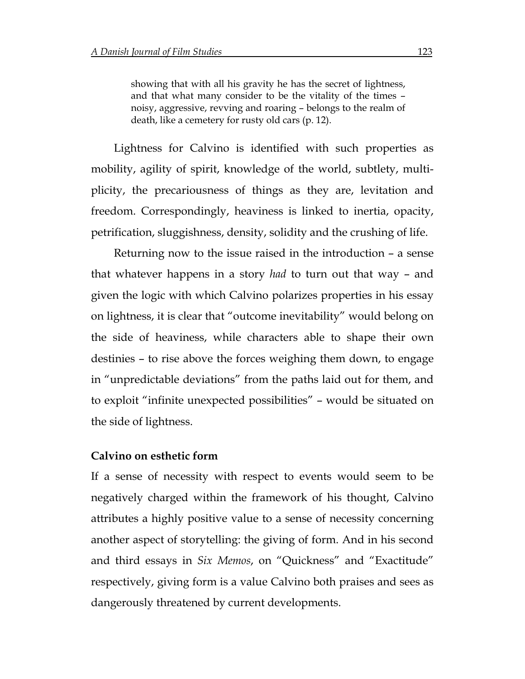showing that with all his gravity he has the secret of lightness, and that what many consider to be the vitality of the times – noisy, aggressive, revving and roaring – belongs to the realm of death, like a cemetery for rusty old cars (p. 12).

Lightness for Calvino is identified with such properties as mobility, agility of spirit, knowledge of the world, subtlety, multiplicity, the precariousness of things as they are, levitation and freedom. Correspondingly, heaviness is linked to inertia, opacity, petrification, sluggishness, density, solidity and the crushing of life.

Returning now to the issue raised in the introduction – a sense that whatever happens in a story *had* to turn out that way – and given the logic with which Calvino polarizes properties in his essay on lightness, it is clear that "outcome inevitability" would belong on the side of heaviness, while characters able to shape their own destinies – to rise above the forces weighing them down, to engage in "unpredictable deviations" from the paths laid out for them, and to exploit "infinite unexpected possibilities" – would be situated on the side of lightness.

#### **Calvino on esthetic form**

If a sense of necessity with respect to events would seem to be negatively charged within the framework of his thought, Calvino attributes a highly positive value to a sense of necessity concerning another aspect of storytelling: the giving of form. And in his second and third essays in *Six Memos*, on "Quickness" and "Exactitude" respectively, giving form is a value Calvino both praises and sees as dangerously threatened by current developments.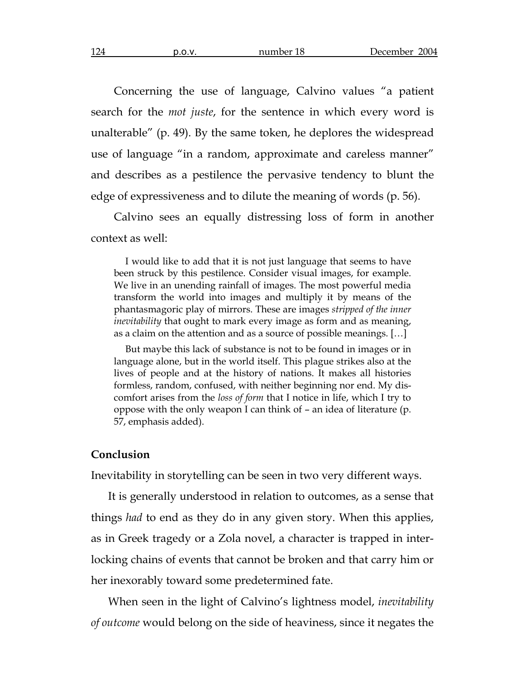Concerning the use of language, Calvino values "a patient search for the *mot juste*, for the sentence in which every word is unalterable" (p. 49). By the same token, he deplores the widespread use of language "in a random, approximate and careless manner" and describes as a pestilence the pervasive tendency to blunt the edge of expressiveness and to dilute the meaning of words (p. 56).

Calvino sees an equally distressing loss of form in another context as well:

I would like to add that it is not just language that seems to have been struck by this pestilence. Consider visual images, for example. We live in an unending rainfall of images. The most powerful media transform the world into images and multiply it by means of the phantasmagoric play of mirrors. These are images *stripped of the inner inevitability* that ought to mark every image as form and as meaning, as a claim on the attention and as a source of possible meanings. […]

But maybe this lack of substance is not to be found in images or in language alone, but in the world itself. This plague strikes also at the lives of people and at the history of nations. It makes all histories formless, random, confused, with neither beginning nor end. My discomfort arises from the *loss of form* that I notice in life, which I try to oppose with the only weapon I can think of – an idea of literature (p. 57, emphasis added).

#### **Conclusion**

Inevitability in storytelling can be seen in two very different ways.

It is generally understood in relation to outcomes, as a sense that things *had* to end as they do in any given story. When this applies, as in Greek tragedy or a Zola novel, a character is trapped in interlocking chains of events that cannot be broken and that carry him or her inexorably toward some predetermined fate.

When seen in the light of Calvino's lightness model, *inevitability of outcome* would belong on the side of heaviness, since it negates the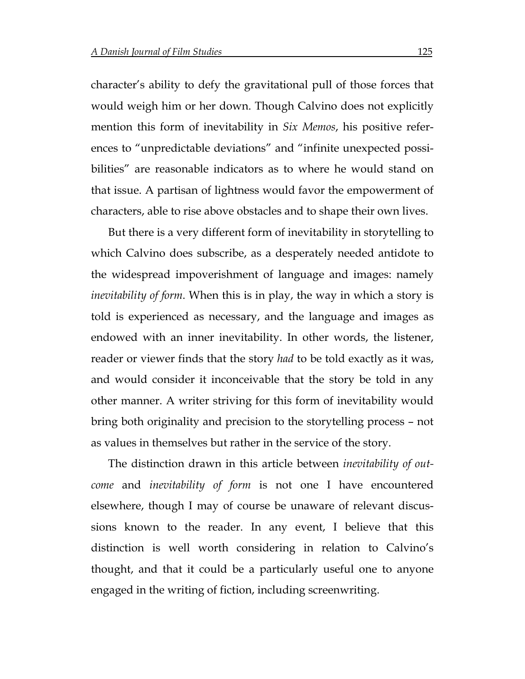character's ability to defy the gravitational pull of those forces that would weigh him or her down. Though Calvino does not explicitly mention this form of inevitability in *Six Memos*, his positive references to "unpredictable deviations" and "infinite unexpected possibilities" are reasonable indicators as to where he would stand on that issue. A partisan of lightness would favor the empowerment of characters, able to rise above obstacles and to shape their own lives.

But there is a very different form of inevitability in storytelling to which Calvino does subscribe, as a desperately needed antidote to the widespread impoverishment of language and images: namely *inevitability of form*. When this is in play, the way in which a story is told is experienced as necessary, and the language and images as endowed with an inner inevitability. In other words, the listener, reader or viewer finds that the story *had* to be told exactly as it was, and would consider it inconceivable that the story be told in any other manner. A writer striving for this form of inevitability would bring both originality and precision to the storytelling process – not as values in themselves but rather in the service of the story.

The distinction drawn in this article between *inevitability of outcome* and *inevitability of form* is not one I have encountered elsewhere, though I may of course be unaware of relevant discussions known to the reader. In any event, I believe that this distinction is well worth considering in relation to Calvino's thought, and that it could be a particularly useful one to anyone engaged in the writing of fiction, including screenwriting.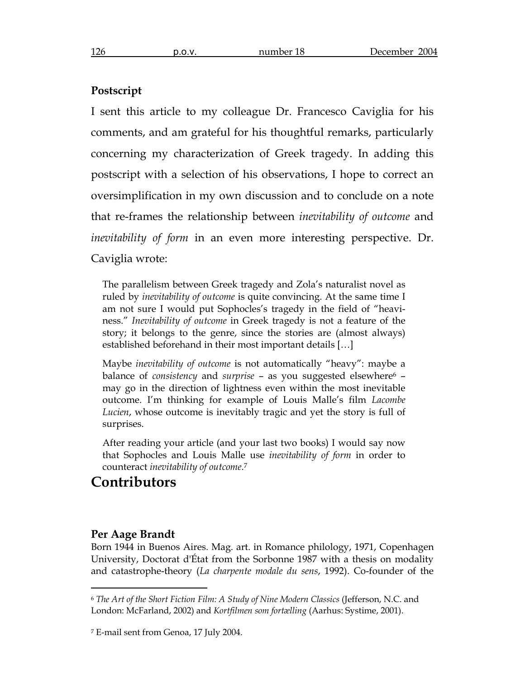# **Postscript**

I sent this article to my colleague Dr. Francesco Caviglia for his comments, and am grateful for his thoughtful remarks, particularly concerning my characterization of Greek tragedy. In adding this postscript with a selection of his observations, I hope to correct an oversimplification in my own discussion and to conclude on a note that re-frames the relationship between *inevitability of outcome* and *inevitability of form* in an even more interesting perspective. Dr. Caviglia wrote:

The parallelism between Greek tragedy and Zola's naturalist novel as ruled by *inevitability of outcome* is quite convincing. At the same time I am not sure I would put Sophocles's tragedy in the field of "heaviness." *Inevitability of outcome* in Greek tragedy is not a feature of the story; it belongs to the genre, since the stories are (almost always) established beforehand in their most important details […]

Maybe *inevitability of outcome* is not automatically "heavy": maybe a balance of *consistency* and *surprise* – as you suggested elsewhere6 – may go in the direction of lightness even within the most inevitable outcome. I'm thinking for example of Louis Malle's film *Lacombe Lucien*, whose outcome is inevitably tragic and yet the story is full of surprises.

After reading your article (and your last two books) I would say now that Sophocles and Louis Malle use *inevitability of form* in order to counteract *inevitability of outcome*.7

# **Contributors**

# **Per Aage Brandt**

 $\overline{a}$ 

Born 1944 in Buenos Aires. Mag. art. in Romance philology, 1971, Copenhagen University, Doctorat d'État from the Sorbonne 1987 with a thesis on modality and catastrophe-theory (*La charpente modale du sens*, 1992). Co-founder of the

<sup>6</sup> *The Art of the Short Fiction Film: A Study of Nine Modern Classics* (Jefferson, N.C. and London: McFarland, 2002) and *Kortfilmen som fortælling* (Aarhus: Systime, 2001).

<sup>7</sup> E-mail sent from Genoa, 17 July 2004.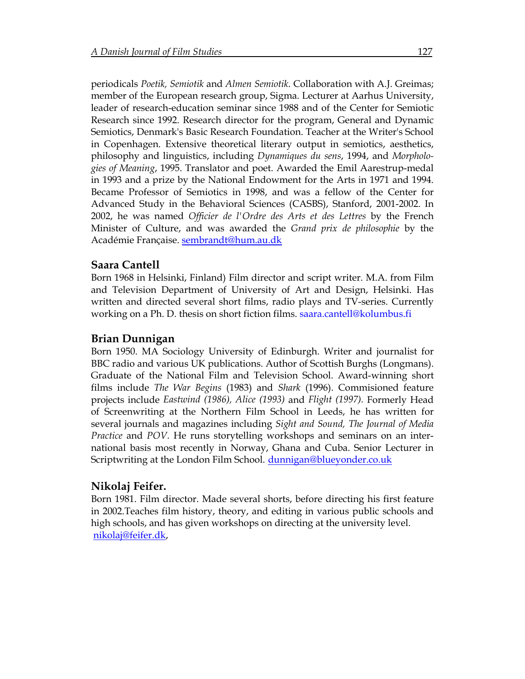periodicals *Poetik, Semiotik* and *Almen Semiotik*. Collaboration with A.J. Greimas; member of the European research group, Sigma. Lecturer at Aarhus University, leader of research-education seminar since 1988 and of the Center for Semiotic Research since 1992. Research director for the program, General and Dynamic Semiotics, Denmark's Basic Research Foundation. Teacher at the Writer's School in Copenhagen. Extensive theoretical literary output in semiotics, aesthetics, philosophy and linguistics, including *Dynamiques du sens*, 1994, and *Morphologies of Meaning*, 1995. Translator and poet. Awarded the Emil Aarestrup-medal in 1993 and a prize by the National Endowment for the Arts in 1971 and 1994. Became Professor of Semiotics in 1998, and was a fellow of the Center for Advanced Study in the Behavioral Sciences (CASBS), Stanford, 2001-2002. In 2002, he was named *Officier de l'Ordre des Arts et des Lettres* by the French Minister of Culture, and was awarded the *Grand prix de philosophie* by the Académie Française. sembrandt@hum.au.dk

## **Saara Cantell**

Born 1968 in Helsinki, Finland) Film director and script writer. M.A. from Film and Television Department of University of Art and Design, Helsinki. Has written and directed several short films, radio plays and TV-series. Currently working on a Ph. D. thesis on short fiction films. saara.cantell@kolumbus.fi

### **Brian Dunnigan**

Born 1950. MA Sociology University of Edinburgh. Writer and journalist for BBC radio and various UK publications. Author of Scottish Burghs (Longmans). Graduate of the National Film and Television School. Award-winning short films include *The War Begins* (1983) and *Shark* (1996). Commisioned feature projects include *Eastwind (1986), Alice (1993)* and *Flight (1997).* Formerly Head of Screenwriting at the Northern Film School in Leeds, he has written for several journals and magazines including *Sight and Sound, The Journal of Media Practice* and *POV.* He runs storytelling workshops and seminars on an international basis most recently in Norway, Ghana and Cuba. Senior Lecturer in Scriptwriting at the London Film School. dunnigan@blueyonder.co.uk

## **Nikolaj Feifer.**

Born 1981. Film director. Made several shorts, before directing his first feature in 2002.Teaches film history, theory, and editing in various public schools and high schools, and has given workshops on directing at the university level. nikolaj@feifer.dk,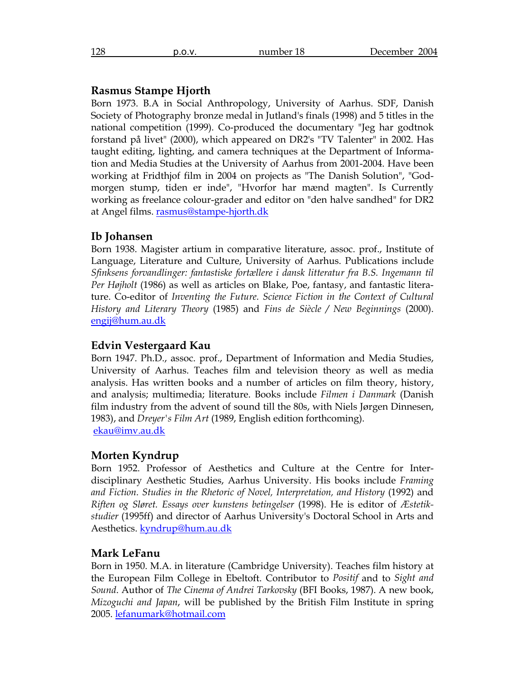#### **Rasmus Stampe Hjorth**

Born 1973. B.A in Social Anthropology, University of Aarhus. SDF, Danish Society of Photography bronze medal in Jutland's finals (1998) and 5 titles in the national competition (1999). Co-produced the documentary "Jeg har godtnok forstand på livet" (2000), which appeared on DR2's "TV Talenter" in 2002. Has taught editing, lighting, and camera techniques at the Department of Information and Media Studies at the University of Aarhus from 2001-2004. Have been working at Fridthjof film in 2004 on projects as "The Danish Solution", "Godmorgen stump, tiden er inde", "Hvorfor har mænd magten". Is Currently working as freelance colour-grader and editor on "den halve sandhed" for DR2 at Angel films. rasmus@stampe-hjorth.dk

### **Ib Johansen**

Born 1938. Magister artium in comparative literature, assoc. prof., Institute of Language, Literature and Culture, University of Aarhus. Publications include *Sfinksens forvandlinger: fantastiske fortællere i dansk litteratur fra B.S. Ingemann til Per Højholt* (1986) as well as articles on Blake, Poe, fantasy, and fantastic literature. Co-editor of *Inventing the Future. Science Fiction in the Context of Cultural History and Literary Theory* (1985) and *Fins de Siècle / New Beginnings* (2000). engij@hum.au.dk

## **Edvin Vestergaard Kau**

Born 1947. Ph.D., assoc. prof., Department of Information and Media Studies, University of Aarhus. Teaches film and television theory as well as media analysis. Has written books and a number of articles on film theory, history, and analysis; multimedia; literature. Books include *Filmen i Danmark* (Danish film industry from the advent of sound till the 80s, with Niels Jørgen Dinnesen, 1983), and *Dreyer's Film Art* (1989, English edition forthcoming). ekau@imv.au.dk

#### **Morten Kyndrup**

Born 1952. Professor of Aesthetics and Culture at the Centre for Interdisciplinary Aesthetic Studies, Aarhus University. His books include *Framing and Fiction. Studies in the Rhetoric of Novel, Interpretation, and History* (1992) and *Riften og Sløret. Essays over kunstens betingelser* (1998). He is editor of *Æstetikstudier* (1995ff) and director of Aarhus University's Doctoral School in Arts and Aesthetics. kyndrup@hum.au.dk

#### **Mark LeFanu**

Born in 1950. M.A. in literature (Cambridge University). Teaches film history at the European Film College in Ebeltoft. Contributor to *Positif* and to *Sight and Sound*. Author of *The Cinema of Andrei Tarkovsky* (BFI Books, 1987). A new book, *Mizoguchi and Japan*, will be published by the British Film Institute in spring 2005. lefanumark@hotmail.com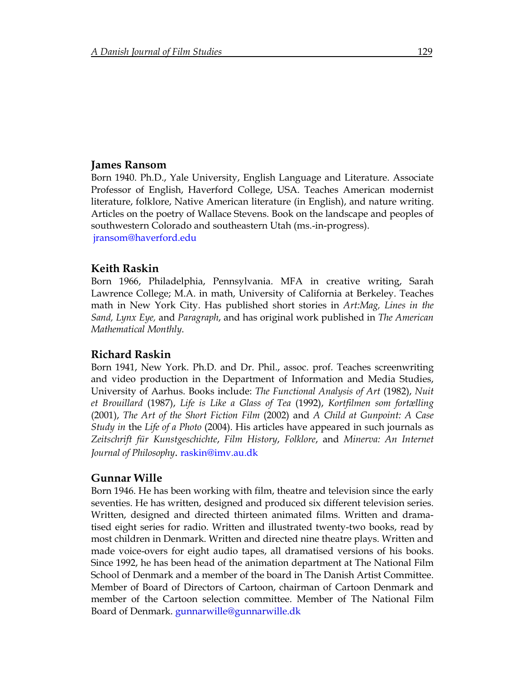#### **James Ransom**

Born 1940. Ph.D., Yale University, English Language and Literature. Associate Professor of English, Haverford College, USA. Teaches American modernist literature, folklore, Native American literature (in English), and nature writing. Articles on the poetry of Wallace Stevens. Book on the landscape and peoples of southwestern Colorado and southeastern Utah (ms.-in-progress). jransom@haverford.edu

#### **Keith Raskin**

Born 1966, Philadelphia, Pennsylvania. MFA in creative writing, Sarah Lawrence College; M.A. in math, University of California at Berkeley. Teaches math in New York City. Has published short stories in *Art:Mag, Lines in the Sand, Lynx Eye,* and *Paragraph*, and has original work published in *The American Mathematical Monthly*.

#### **Richard Raskin**

Born 1941, New York. Ph.D. and Dr. Phil., assoc. prof. Teaches screenwriting and video production in the Department of Information and Media Studies, University of Aarhus. Books include: *The Functional Analysis of Art* (1982), *Nuit et Brouillard* (1987), *Life is Like a Glass of Tea* (1992), *Kortfilmen som fortælling* (2001), *The Art of the Short Fiction Film* (2002) and *A Child at Gunpoint: A Case Study in* the *Life of a Photo* (2004). His articles have appeared in such journals as *Zeitschrift für Kunstgeschichte*, *Film History*, *Folklore*, and *Minerva: An Internet Journal of Philosophy*. raskin@imv.au.dk

#### **Gunnar Wille**

Born 1946. He has been working with film, theatre and television since the early seventies. He has written, designed and produced six different television series. Written, designed and directed thirteen animated films. Written and dramatised eight series for radio. Written and illustrated twenty-two books, read by most children in Denmark. Written and directed nine theatre plays. Written and made voice-overs for eight audio tapes, all dramatised versions of his books. Since 1992, he has been head of the animation department at The National Film School of Denmark and a member of the board in The Danish Artist Committee. Member of Board of Directors of Cartoon, chairman of Cartoon Denmark and member of the Cartoon selection committee. Member of The National Film Board of Denmark. gunnarwille@gunnarwille.dk